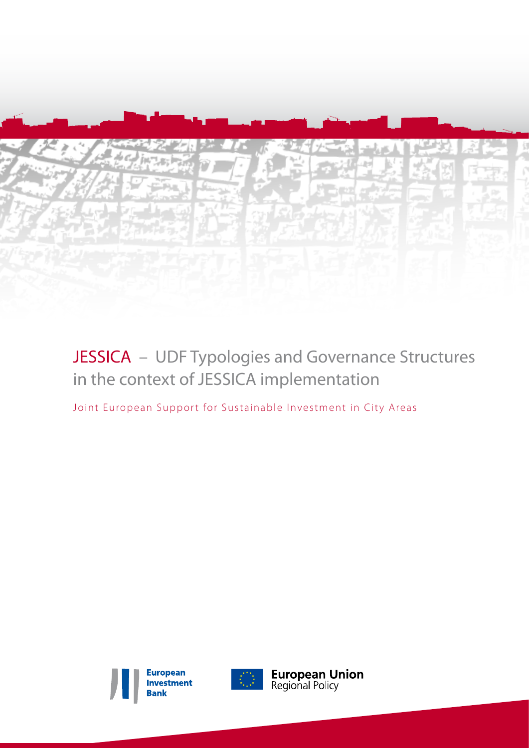

# JESSICA - UDF Typologies and Governance Structures in the context of JESSICA implementation

Joint European Support for Sustainable Investment in City Areas





**European Union**<br>Regional Policy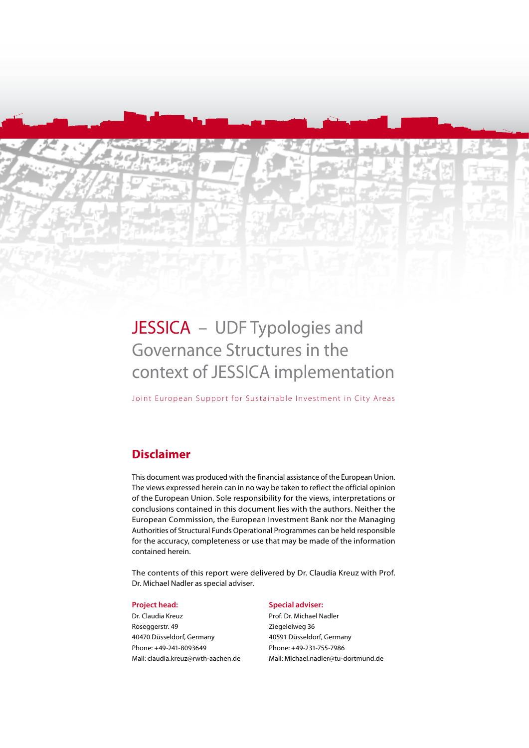# JESSICA - UDF Typologies and Governance Structures in the context of JESSICA implementation

Joint European Support for Sustainable Investment in City Areas

## **Disclaimer**

This document was produced with the financial assistance of the European Union. The views expressed herein can in no way be taken to reflect the official opinion of the European Union. Sole responsibility for the views, interpretations or conclusions contained in this document lies with the authors. Neither the European Commission, the European Investment Bank nor the Managing Authorities of Structural Funds Operational Programmes can be held responsible for the accuracy, completeness or use that may be made of the information contained herein.

The contents of this report were delivered by Dr. Claudia Kreuz with Prof. Dr. Michael Nadler as special adviser.

#### **Project head:**

Dr. Claudia Kreuz Roseggerstr. 49 40470 Düsseldorf, Germany Phone: +49-241-8093649 Mail: claudia.kreuz@rwth-aachen.de

#### **Special adviser:**

Prof. Dr. Michael Nadler Ziegeleiweg 36 40591 Düsseldorf, Germany Phone: +49-231-755-7986 Mail: Michael.nadler@tu-dortmund.de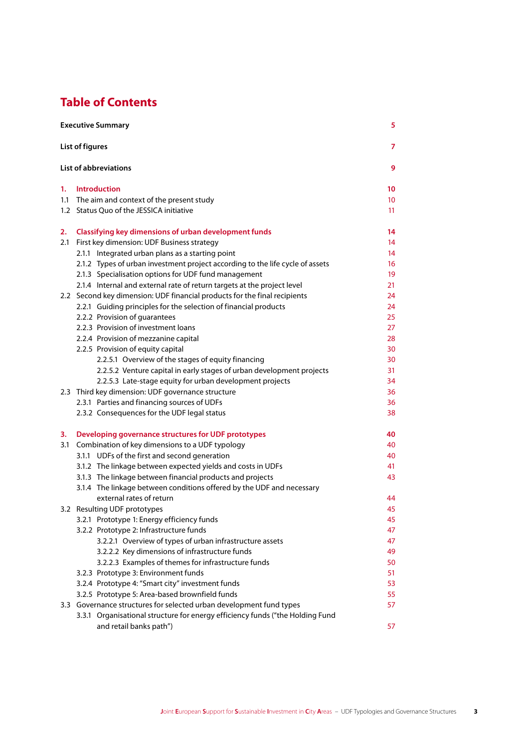# **Table of Contents**

| <b>Executive Summary</b> |                                                                                                   |                 |
|--------------------------|---------------------------------------------------------------------------------------------------|-----------------|
|                          | List of figures                                                                                   | $\overline{7}$  |
|                          | <b>List of abbreviations</b>                                                                      | 9               |
| 1.                       | <b>Introduction</b>                                                                               | 10              |
|                          | 1.1 The aim and context of the present study                                                      | 10 <sup>°</sup> |
|                          | 1.2 Status Quo of the JESSICA initiative                                                          | 11              |
| 2.                       | Classifying key dimensions of urban development funds                                             | 14              |
| 2.1                      | First key dimension: UDF Business strategy                                                        | 14              |
|                          | 2.1.1 Integrated urban plans as a starting point                                                  | 14              |
|                          | 2.1.2 Types of urban investment project according to the life cycle of assets                     | 16              |
|                          | 2.1.3 Specialisation options for UDF fund management                                              | 19              |
|                          | 2.1.4 Internal and external rate of return targets at the project level                           | 21              |
|                          | 2.2 Second key dimension: UDF financial products for the final recipients                         | 24              |
|                          | 2.2.1 Guiding principles for the selection of financial products                                  | 24              |
|                          | 2.2.2 Provision of quarantees                                                                     | 25              |
|                          | 2.2.3 Provision of investment loans                                                               | 27              |
|                          | 2.2.4 Provision of mezzanine capital                                                              | 28              |
|                          | 2.2.5 Provision of equity capital<br>2.2.5.1 Overview of the stages of equity financing           | 30<br>30        |
|                          | 2.2.5.2 Venture capital in early stages of urban development projects                             | 31              |
|                          | 2.2.5.3 Late-stage equity for urban development projects                                          | 34              |
|                          | 2.3 Third key dimension: UDF governance structure                                                 | 36              |
|                          | 2.3.1 Parties and financing sources of UDFs                                                       | 36              |
|                          | 2.3.2 Consequences for the UDF legal status                                                       | 38              |
| з.                       | Developing governance structures for UDF prototypes                                               | 40              |
| 3.1                      | Combination of key dimensions to a UDF typology                                                   | 40              |
|                          | 3.1.1 UDFs of the first and second generation                                                     | 40              |
|                          | 3.1.2 The linkage between expected yields and costs in UDFs                                       | 41              |
|                          | 3.1.3 The linkage between financial products and projects                                         | 43              |
|                          | 3.1.4 The linkage between conditions offered by the UDF and necessary<br>external rates of return | 44              |
|                          | 3.2 Resulting UDF prototypes                                                                      | 45              |
|                          | 3.2.1 Prototype 1: Energy efficiency funds                                                        | 45              |
|                          | 3.2.2 Prototype 2: Infrastructure funds                                                           | 47              |
|                          | 3.2.2.1 Overview of types of urban infrastructure assets                                          | 47              |
|                          | 3.2.2.2 Key dimensions of infrastructure funds                                                    | 49              |
|                          | 3.2.2.3 Examples of themes for infrastructure funds                                               | 50              |
|                          | 3.2.3 Prototype 3: Environment funds                                                              | 51              |
|                          | 3.2.4 Prototype 4: "Smart city" investment funds                                                  | 53              |
|                          | 3.2.5 Prototype 5: Area-based brownfield funds                                                    | 55              |
|                          | 3.3 Governance structures for selected urban development fund types                               | 57              |
|                          | 3.3.1 Organisational structure for energy efficiency funds ("the Holding Fund                     |                 |
|                          | and retail banks path")                                                                           | 57              |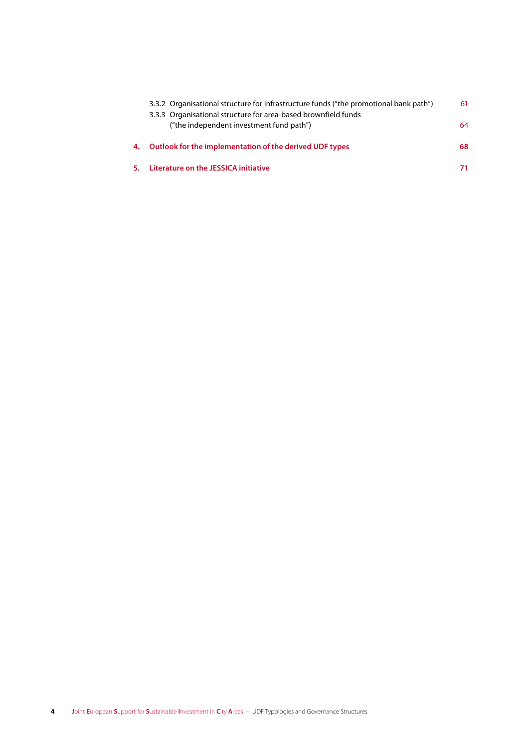|    | 3.3.2 Organisational structure for infrastructure funds ("the promotional bank path")                      | 61 |
|----|------------------------------------------------------------------------------------------------------------|----|
|    | 3.3.3 Organisational structure for area-based brownfield funds<br>("the independent investment fund path") | 64 |
| 4. | Outlook for the implementation of the derived UDF types                                                    | 68 |
|    | Literature on the JESSICA initiative                                                                       |    |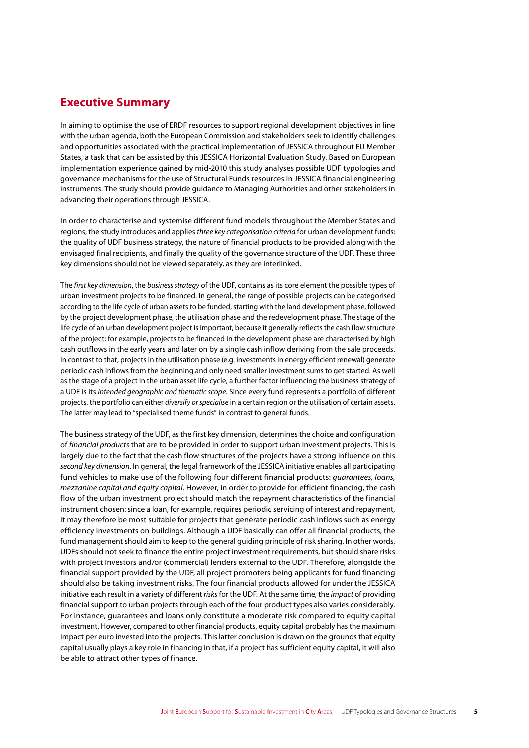### **Executive Summary**

In aiming to optimise the use of ERDF resources to support regional development objectives in line with the urban agenda, both the European Commission and stakeholders seek to identify challenges and opportunities associated with the practical implementation of JESSICA throughout EU Member States, a task that can be assisted by this JESSICA Horizontal Evaluation Study. Based on European implementation experience gained by mid-2010 this study analyses possible UDF typologies and governance mechanisms for the use of Structural Funds resources in JESSICA financial engineering instruments. The study should provide guidance to Managing Authorities and other stakeholders in advancing their operations through JESSICA.

In order to characterise and systemise different fund models throughout the Member States and regions, the study introduces and applies *three key categorisation criteria* for urban development funds: the quality of UDF business strategy, the nature of financial products to be provided along with the envisaged final recipients, and finally the quality of the governance structure of the UDF. These three key dimensions should not be viewed separately, as they are interlinked.

The *first key dimension*, the *business strategy* of the UDF, contains as its core element the possible types of urban investment projects to be financed. In general, the range of possible projects can be categorised according to the life cycle of urban assets to be funded, starting with the land development phase, followed by the project development phase, the utilisation phase and the redevelopment phase. The stage of the life cycle of an urban development project is important, because it generally reflects the cash flow structure of the project: for example, projects to be financed in the development phase are characterised by high cash outflows in the early years and later on by a single cash inflow deriving from the sale proceeds. In contrast to that, projects in the utilisation phase (e.g. investments in energy efficient renewal) generate periodic cash inflows from the beginning and only need smaller investment sums to get started. As well as the stage of a project in the urban asset life cycle, a further factor influencing the business strategy of a UDF is its *intended geographic and thematic scope*. Since every fund represents a portfolio of different projects, the portfolio can either *diversify or specialise* in a certain region or the utilisation of certain assets. The latter may lead to "specialised theme funds" in contrast to general funds.

The business strategy of the UDF, as the first key dimension, determines the choice and configuration of *financial products* that are to be provided in order to support urban investment projects. This is largely due to the fact that the cash flow structures of the projects have a strong influence on this *second key dimension*. In general, the legal framework of the JESSICA initiative enables all participating fund vehicles to make use of the following four different financial products: *guarantees, loans, mezzanine capital and equity capital*. However, in order to provide for efficient financing, the cash flow of the urban investment project should match the repayment characteristics of the financial instrument chosen: since a loan, for example, requires periodic servicing of interest and repayment, it may therefore be most suitable for projects that generate periodic cash inflows such as energy efficiency investments on buildings. Although a UDF basically can offer all financial products, the fund management should aim to keep to the general guiding principle of risk sharing. In other words, UDFs should not seek to finance the entire project investment requirements, but should share risks with project investors and/or (commercial) lenders external to the UDF. Therefore, alongside the financial support provided by the UDF, all project promoters being applicants for fund financing should also be taking investment risks. The four financial products allowed for under the JESSICA initiative each result in a variety of different *risks* for the UDF. At the same time, the *impact* of providing financial support to urban projects through each of the four product types also varies considerably. For instance, guarantees and loans only constitute a moderate risk compared to equity capital investment. However, compared to other financial products, equity capital probably has the maximum impact per euro invested into the projects. This latter conclusion is drawn on the grounds that equity capital usually plays a key role in financing in that, if a project has sufficient equity capital, it will also be able to attract other types of finance.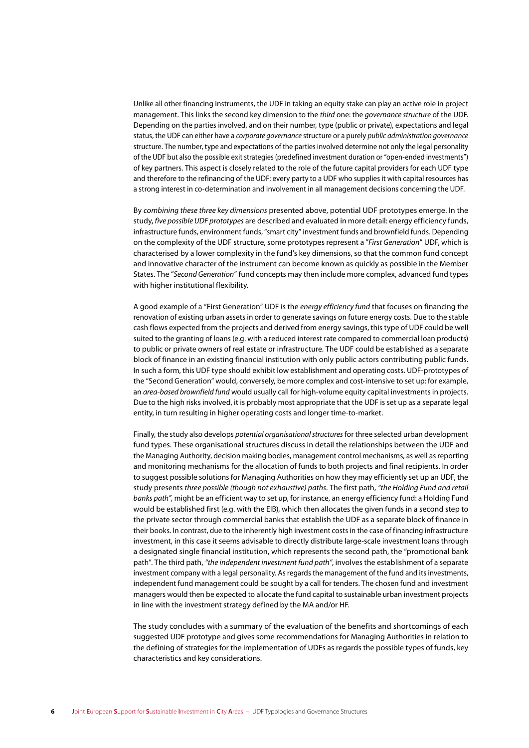Unlike all other financing instruments, the UDF in taking an equity stake can play an active role in project management. This links the second key dimension to the third one: the governance structure of the UDF. Depending on the parties involved, and on their number, type (public or private), expectations and legal status, the UDF can either have a corporate governance structure or a purely public administration governance structure. The number, type and expectations of the parties involved determine not only the legal personality of the UDF but also the possible exit strategies (predefined investment duration or "open-ended investments") of key partners. This aspect is closely related to the role of the future capital providers for each UDF type and therefore to the refinancing of the UDF: every party to a UDF who supplies it with capital resources has a strong interest in co-determination and involvement in all management decisions concerning the UDF.

By combining these three key dimensions presented above, potential UDF prototypes emerge. In the study, five possible UDF prototypes are described and evaluated in more detail: energy efficiency funds, infrastructure funds, environment funds, "smart city" investment funds and brownfield funds. Depending on the complexity of the UDF structure, some prototypes represent a "First Generation" UDF, which is characterised by a lower complexity in the fund's key dimensions, so that the common fund concept and innovative character of the instrument can become known as quickly as possible in the Member States. The "Second Generation" fund concepts may then include more complex, advanced fund types with higher institutional flexibility.

A good example of a "First Generation" UDF is the energy efficiency fund that focuses on financing the renovation of existing urban assets in order to generate savings on future energy costs. Due to the stable cash flows expected from the projects and derived from energy savings, this type of UDF could be well suited to the granting of loans (e.g. with a reduced interest rate compared to commercial loan products) to public or private owners of real estate or infrastructure. The UDF could be established as a separate block of finance in an existing financial institution with only public actors contributing public funds. In such a form, this UDF type should exhibit low establishment and operating costs. UDF-prototypes of the "Second Generation" would, conversely, be more complex and cost-intensive to set up: for example, an area-based brownfield fund would usually call for high-volume equity capital investments in projects. Due to the high risks involved, it is probably most appropriate that the UDF is set up as a separate legal entity, in turn resulting in higher operating costs and longer time-to-market.

Finally, the study also develops potential organisational structures for three selected urban development fund types. These organisational structures discuss in detail the relationships between the UDF and the Managing Authority, decision making bodies, management control mechanisms, as well as reporting and monitoring mechanisms for the allocation of funds to both projects and final recipients. In order to suggest possible solutions for Managing Authorities on how they may efficiently set up an UDF, the study presents three possible (though not exhaustive) paths. The first path, "the Holding Fund and retail banks path", might be an efficient way to set up, for instance, an energy efficiency fund: a Holding Fund would be established first (e.g. with the EIB), which then allocates the given funds in a second step to the private sector through commercial banks that establish the UDF as a separate block of finance in their books. In contrast, due to the inherently high investment costs in the case of financing infrastructure investment, in this case it seems advisable to directly distribute large-scale investment loans through a designated single financial institution, which represents the second path, the "promotional bank path". The third path, "the independent investment fund path", involves the establishment of a separate investment company with a legal personality. As regards the management of the fund and its investments, independent fund management could be sought by a call for tenders. The chosen fund and investment managers would then be expected to allocate the fund capital to sustainable urban investment projects in line with the investment strategy defined by the MA and/or HF.

The study concludes with a summary of the evaluation of the benefits and shortcomings of each suggested UDF prototype and gives some recommendations for Managing Authorities in relation to the defining of strategies for the implementation of UDFs as regards the possible types of funds, key characteristics and key considerations.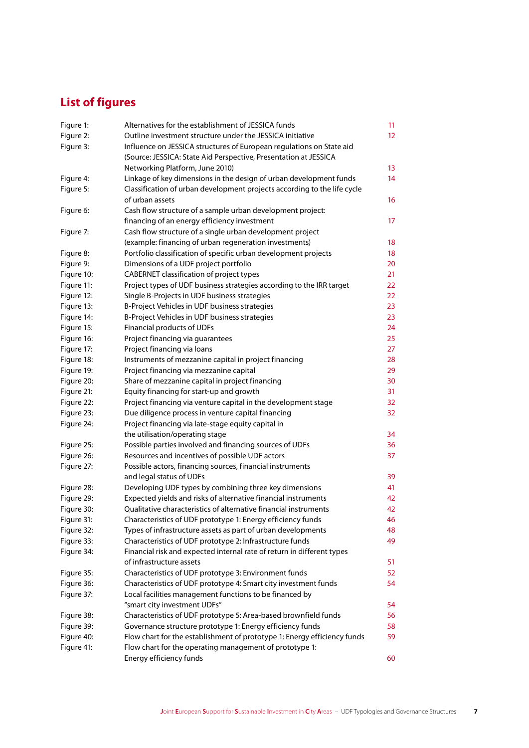# **List of figures**

| Figure 1:  | Alternatives for the establishment of JESSICA funds                      | 11       |  |  |
|------------|--------------------------------------------------------------------------|----------|--|--|
| Figure 2:  | Outline investment structure under the JESSICA initiative                | 12       |  |  |
| Figure 3:  | Influence on JESSICA structures of European regulations on State aid     |          |  |  |
|            | (Source: JESSICA: State Aid Perspective, Presentation at JESSICA         |          |  |  |
|            | Networking Platform, June 2010)                                          | 13       |  |  |
| Figure 4:  | Linkage of key dimensions in the design of urban development funds       | 14       |  |  |
| Figure 5:  | Classification of urban development projects according to the life cycle |          |  |  |
|            | of urban assets                                                          | 16       |  |  |
| Figure 6:  | Cash flow structure of a sample urban development project:               |          |  |  |
|            | financing of an energy efficiency investment                             | 17       |  |  |
| Figure 7:  | Cash flow structure of a single urban development project                |          |  |  |
|            | (example: financing of urban regeneration investments)                   | 18       |  |  |
| Figure 8:  | Portfolio classification of specific urban development projects          | 18       |  |  |
| Figure 9:  | Dimensions of a UDF project portfolio                                    | 20       |  |  |
| Figure 10: | CABERNET classification of project types                                 | 21       |  |  |
| Figure 11: | Project types of UDF business strategies according to the IRR target     | 22       |  |  |
| Figure 12: | Single B-Projects in UDF business strategies                             | 22       |  |  |
| Figure 13: | B-Project Vehicles in UDF business strategies                            | 23       |  |  |
| Figure 14: | B-Project Vehicles in UDF business strategies                            | 23       |  |  |
| Figure 15: |                                                                          | 24       |  |  |
| Figure 16: | Financial products of UDFs<br>Project financing via guarantees           |          |  |  |
|            |                                                                          | 25<br>27 |  |  |
| Figure 17: | Project financing via loans                                              |          |  |  |
| Figure 18: | Instruments of mezzanine capital in project financing                    | 28       |  |  |
| Figure 19: | Project financing via mezzanine capital                                  | 29       |  |  |
| Figure 20: | Share of mezzanine capital in project financing                          | 30       |  |  |
| Figure 21: | Equity financing for start-up and growth                                 | 31       |  |  |
| Figure 22: | Project financing via venture capital in the development stage           | 32       |  |  |
| Figure 23: | Due diligence process in venture capital financing                       | 32       |  |  |
| Figure 24: | Project financing via late-stage equity capital in                       |          |  |  |
|            | the utilisation/operating stage                                          | 34       |  |  |
| Figure 25: | Possible parties involved and financing sources of UDFs                  | 36       |  |  |
| Figure 26: | Resources and incentives of possible UDF actors                          | 37       |  |  |
| Figure 27: | Possible actors, financing sources, financial instruments                |          |  |  |
|            | and legal status of UDFs                                                 | 39       |  |  |
| Figure 28: | Developing UDF types by combining three key dimensions                   | 41       |  |  |
| Figure 29: | Expected yields and risks of alternative financial instruments           | 42       |  |  |
| Figure 30: | Qualitative characteristics of alternative financial instruments         | 42       |  |  |
| Figure 31: | Characteristics of UDF prototype 1: Energy efficiency funds              | 46       |  |  |
| Figure 32: | Types of infrastructure assets as part of urban developments             | 48       |  |  |
| Figure 33: | Characteristics of UDF prototype 2: Infrastructure funds                 | 49       |  |  |
| Figure 34: | Financial risk and expected internal rate of return in different types   |          |  |  |
|            | of infrastructure assets                                                 | 51       |  |  |
| Figure 35: | Characteristics of UDF prototype 3: Environment funds                    | 52       |  |  |
| Figure 36: | Characteristics of UDF prototype 4: Smart city investment funds          | 54       |  |  |
| Figure 37: | Local facilities management functions to be financed by                  |          |  |  |
|            | "smart city investment UDFs"                                             | 54       |  |  |
| Figure 38: | Characteristics of UDF prototype 5: Area-based brownfield funds          | 56       |  |  |
| Figure 39: | Governance structure prototype 1: Energy efficiency funds                | 58       |  |  |
| Figure 40: | Flow chart for the establishment of prototype 1: Energy efficiency funds | 59       |  |  |
| Figure 41: | Flow chart for the operating management of prototype 1:                  |          |  |  |
|            | Energy efficiency funds                                                  | 60       |  |  |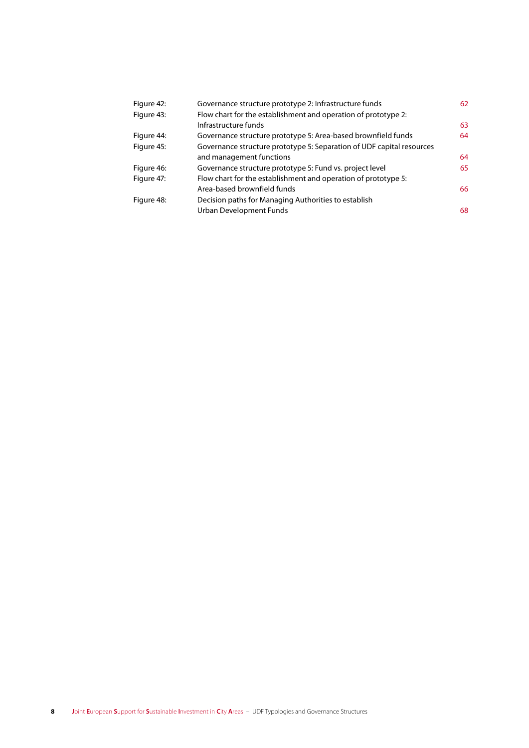| Figure 42: | Governance structure prototype 2: Infrastructure funds                | 62 |
|------------|-----------------------------------------------------------------------|----|
| Figure 43: | Flow chart for the establishment and operation of prototype 2:        |    |
|            | Infrastructure funds                                                  | 63 |
| Figure 44: | Governance structure prototype 5: Area-based brownfield funds         | 64 |
| Figure 45: | Governance structure prototype 5: Separation of UDF capital resources |    |
|            | and management functions                                              | 64 |
| Figure 46: | Governance structure prototype 5: Fund vs. project level              | 65 |
| Figure 47: | Flow chart for the establishment and operation of prototype 5:        |    |
|            | Area-based brownfield funds                                           | 66 |
| Figure 48: | Decision paths for Managing Authorities to establish                  |    |
|            | Urban Development Funds                                               | 68 |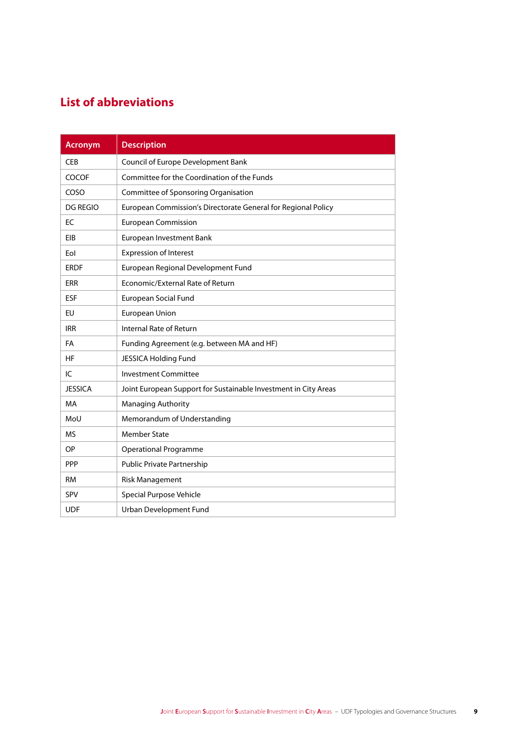# **List of abbreviations**

| <b>Acronym</b>  | <b>Description</b>                                              |  |  |
|-----------------|-----------------------------------------------------------------|--|--|
| <b>CEB</b>      | Council of Europe Development Bank                              |  |  |
| <b>COCOF</b>    | Committee for the Coordination of the Funds                     |  |  |
| COSO            | Committee of Sponsoring Organisation                            |  |  |
| <b>DG REGIO</b> | European Commission's Directorate General for Regional Policy   |  |  |
| EC              | <b>European Commission</b>                                      |  |  |
| EIB             | European Investment Bank                                        |  |  |
| Eol             | <b>Expression of Interest</b>                                   |  |  |
| <b>ERDF</b>     | European Regional Development Fund                              |  |  |
| <b>ERR</b>      | Economic/External Rate of Return                                |  |  |
| <b>ESF</b>      | European Social Fund                                            |  |  |
| EU              | European Union                                                  |  |  |
| <b>IRR</b>      | Internal Rate of Return                                         |  |  |
| FA              | Funding Agreement (e.g. between MA and HF)                      |  |  |
| <b>HF</b>       | JESSICA Holding Fund                                            |  |  |
| IC              | <b>Investment Committee</b>                                     |  |  |
| <b>JESSICA</b>  | Joint European Support for Sustainable Investment in City Areas |  |  |
| MA              | Managing Authority                                              |  |  |
| MoU             | Memorandum of Understanding                                     |  |  |
| <b>MS</b>       | <b>Member State</b>                                             |  |  |
| OP              | <b>Operational Programme</b>                                    |  |  |
| PPP             | Public Private Partnership                                      |  |  |
| <b>RM</b>       | <b>Risk Management</b>                                          |  |  |
| SPV             | <b>Special Purpose Vehicle</b>                                  |  |  |
| <b>UDF</b>      | Urban Development Fund                                          |  |  |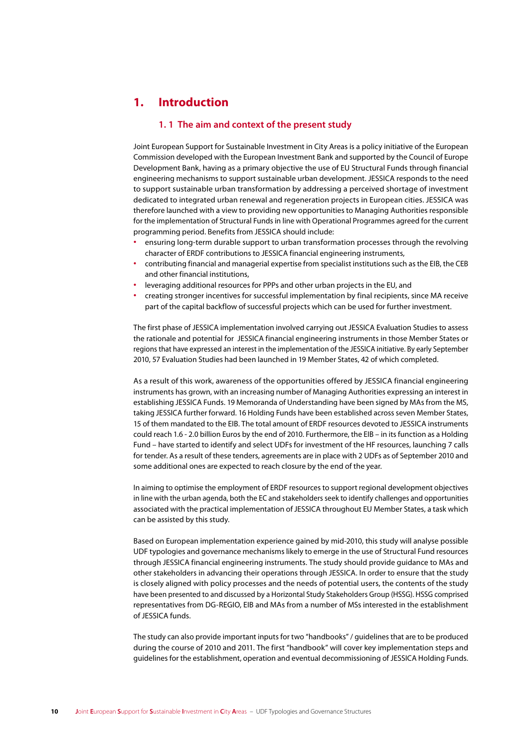### **1. Introduction**

#### **1. 1 The aim and context of the present study**

Joint European Support for Sustainable Investment in City Areas is a policy initiative of the European Commission developed with the European Investment Bank and supported by the Council of Europe Development Bank, having as a primary objective the use of EU Structural Funds through financial engineering mechanisms to support sustainable urban development. JESSICA responds to the need to support sustainable urban transformation by addressing a perceived shortage of investment dedicated to integrated urban renewal and regeneration projects in European cities. JESSICA was therefore launched with a view to providing new opportunities to Managing Authorities responsible for the implementation of Structural Funds in line with Operational Programmes agreed for the current programming period. Benefits from JESSICA should include:

- **∙** ensuring long-term durable support to urban transformation processes through the revolving character of ERDF contributions to JESSICA financial engineering instruments,
- **∙** contributing financial and managerial expertise from specialist institutions such as the EIB, the CEB and other financial institutions,
- **∙** leveraging additional resources for PPPs and other urban projects in the EU, and
- **∙** creating stronger incentives for successful implementation by final recipients, since MA receive part of the capital backflow of successful projects which can be used for further investment.

The first phase of JESSICA implementation involved carrying out JESSICA Evaluation Studies to assess the rationale and potential for JESSICA financial engineering instruments in those Member States or regions that have expressed an interest in the implementation of the JESSICA initiative. By early September 2010, 57 Evaluation Studies had been launched in 19 Member States, 42 of which completed.

As a result of this work, awareness of the opportunities offered by JESSICA financial engineering instruments has grown, with an increasing number of Managing Authorities expressing an interest in establishing JESSICA Funds. 19 Memoranda of Understanding have been signed by MAs from the MS, taking JESSICA further forward. 16 Holding Funds have been established across seven Member States, 15 of them mandated to the EIB. The total amount of ERDF resources devoted to JESSICA instruments could reach 1.6 - 2.0 billion Euros by the end of 2010. Furthermore, the EIB – in its function as a Holding Fund – have started to identify and select UDFs for investment of the HF resources, launching 7 calls for tender. As a result of these tenders, agreements are in place with 2 UDFs as of September 2010 and some additional ones are expected to reach closure by the end of the year.

In aiming to optimise the employment of ERDF resources to support regional development objectives in line with the urban agenda, both the EC and stakeholders seek to identify challenges and opportunities associated with the practical implementation of JESSICA throughout EU Member States, a task which can be assisted by this study.

Based on European implementation experience gained by mid-2010, this study will analyse possible UDF typologies and governance mechanisms likely to emerge in the use of Structural Fund resources through JESSICA financial engineering instruments. The study should provide guidance to MAs and other stakeholders in advancing their operations through JESSICA. In order to ensure that the study is closely aligned with policy processes and the needs of potential users, the contents of the study have been presented to and discussed by a Horizontal Study Stakeholders Group (HSSG). HSSG comprised representatives from DG-REGIO, EIB and MAs from a number of MSs interested in the establishment of JESSICA funds.

The study can also provide important inputs for two "handbooks" / guidelines that are to be produced during the course of 2010 and 2011. The first "handbook" will cover key implementation steps and guidelines for the establishment, operation and eventual decommissioning of JESSICA Holding Funds.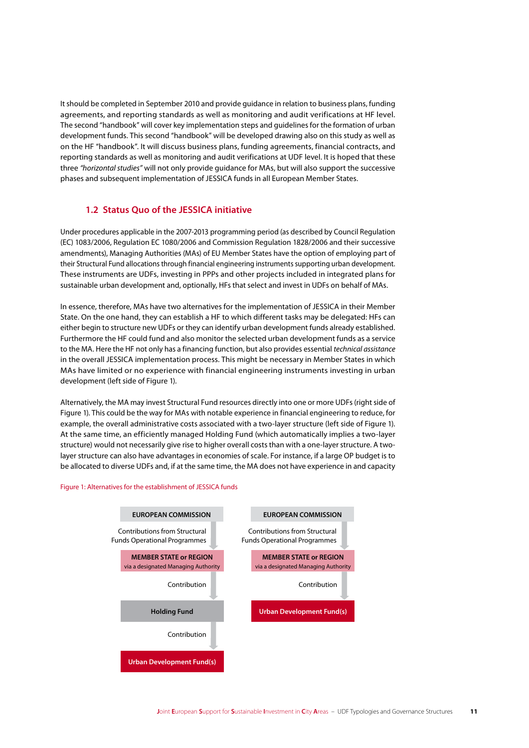It should be completed in September 2010 and provide guidance in relation to business plans, funding agreements, and reporting standards as well as monitoring and audit verifications at HF level. The second "handbook" will cover key implementation steps and guidelines for the formation of urban development funds. This second "handbook" will be developed drawing also on this study as well as on the HF "handbook". It will discuss business plans, funding agreements, financial contracts, and reporting standards as well as monitoring and audit verifications at UDF level. It is hoped that these three *"horizontal studies"* will not only provide guidance for MAs, but will also support the successive phases and subsequent implementation of JESSICA funds in all European Member States.

#### **1.2 Status Quo of the JESSICA initiative**

Under procedures applicable in the 2007-2013 programming period (as described by Council Regulation (EC) 1083/2006, Regulation EC 1080/2006 and Commission Regulation 1828/2006 and their successive amendments), Managing Authorities (MAs) of EU Member States have the option of employing part of their Structural Fund allocations through financial engineering instruments supporting urban development. These instruments are UDFs, investing in PPPs and other projects included in integrated plans for sustainable urban development and, optionally, HFs that select and invest in UDFs on behalf of MAs.

In essence, therefore, MAs have two alternatives for the implementation of JESSICA in their Member State. On the one hand, they can establish a HF to which different tasks may be delegated: HFs can either begin to structure new UDFs or they can identify urban development funds already established. Furthermore the HF could fund and also monitor the selected urban development funds as a service to the MA. Here the HF not only has a financing function, but also provides essential *technical assistance* in the overall JESSICA implementation process. This might be necessary in Member States in which MAs have limited or no experience with financial engineering instruments investing in urban development (left side of Figure 1).

Alternatively, the MA may invest Structural Fund resources directly into one or more UDFs (right side of Figure 1). This could be the way for MAs with notable experience in financial engineering to reduce, for example, the overall administrative costs associated with a two-layer structure (left side of Figure 1). At the same time, an efficiently managed Holding Fund (which automatically implies a two-layer structure) would not necessarily give rise to higher overall costs than with a one-layer structure. A twolayer structure can also have advantages in economies of scale. For instance, if a large OP budget is to be allocated to diverse UDFs and, if at the same time, the MA does not have experience in and capacity

#### Figure 1: Alternatives for the establishment of JESSICA funds

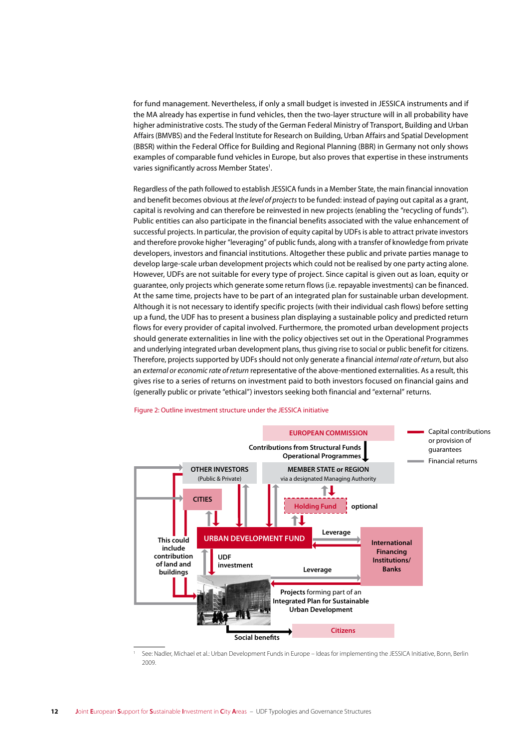for fund management. Nevertheless, if only a small budget is invested in JESSICA instruments and if the MA already has expertise in fund vehicles, then the two-layer structure will in all probability have higher administrative costs. The study of the German Federal Ministry of Transport, Building and Urban Affairs (BMVBS) and the Federal Institute for Research on Building, Urban Affairs and Spatial Development (BBSR) within the Federal Office for Building and Regional Planning (BBR) in Germany not only shows examples of comparable fund vehicles in Europe, but also proves that expertise in these instruments varies significantly across Member States<sup>1</sup>.

Regardless of the path followed to establish JESSICA funds in a Member State, the main financial innovation and benefit becomes obvious at *the level of projects* to be funded: instead of paying out capital as a grant, capital is revolving and can therefore be reinvested in new projects (enabling the "recycling of funds"). Public entities can also participate in the financial benefits associated with the value enhancement of successful projects. In particular, the provision of equity capital by UDFs is able to attract private investors and therefore provoke higher "leveraging" of public funds, along with a transfer of knowledge from private developers, investors and financial institutions. Altogether these public and private parties manage to develop large-scale urban development projects which could not be realised by one party acting alone. However, UDFs are not suitable for every type of project. Since capital is given out as loan, equity or guarantee, only projects which generate some return flows (i.e. repayable investments) can be financed. At the same time, projects have to be part of an integrated plan for sustainable urban development. Although it is not necessary to identify specific projects (with their individual cash flows) before setting up a fund, the UDF has to present a business plan displaying a sustainable policy and predicted return flows for every provider of capital involved. Furthermore, the promoted urban development projects should generate externalities in line with the policy objectives set out in the Operational Programmes and underlying integrated urban development plans, thus giving rise to social or public benefit for citizens. Therefore, projects supported by UDFs should not only generate a financial *internal rate of return*, but also an *external or economic rate of return* representative of the above-mentioned externalities. As a result, this gives rise to a series of returns on investment paid to both investors focused on financial gains and (generally public or private "ethical") investors seeking both financial and "external" returns.

#### Figure 2: Outline investment structure under the JESSICA initiative



<sup>1</sup> See: Nadler, Michael et al.: Urban Development Funds in Europe – Ideas for implementing the JESSICA Initiative, Bonn, Berlin 2009.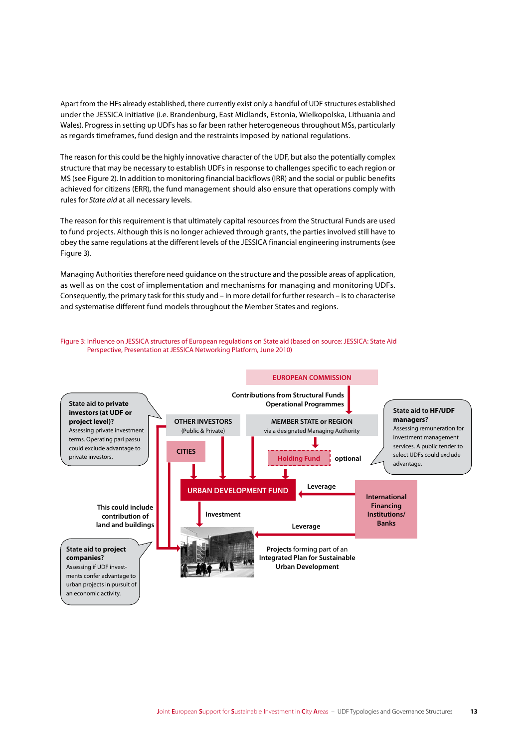Apart from the HFs already established, there currently exist only a handful of UDF structures established under the JESSICA initiative (i.e. Brandenburg, East Midlands, Estonia, Wielkopolska, Lithuania and Wales). Progress in setting up UDFs has so far been rather heterogeneous throughout MSs, particularly as regards timeframes, fund design and the restraints imposed by national regulations.

The reason for this could be the highly innovative character of the UDF, but also the potentially complex structure that may be necessary to establish UDFs in response to challenges specific to each region or MS (see Figure 2). In addition to monitoring financial backflows (IRR) and the social or public benefits achieved for citizens (ERR), the fund management should also ensure that operations comply with rules for *State aid* at all necessary levels.

The reason for this requirement is that ultimately capital resources from the Structural Funds are used to fund projects. Although this is no longer achieved through grants, the parties involved still have to obey the same regulations at the different levels of the JESSICA financial engineering instruments (see Figure 3).

Managing Authorities therefore need guidance on the structure and the possible areas of application, as well as on the cost of implementation and mechanisms for managing and monitoring UDFs. Consequently, the primary task for this study and – in more detail for further research – is to characterise and systematise different fund models throughout the Member States and regions.



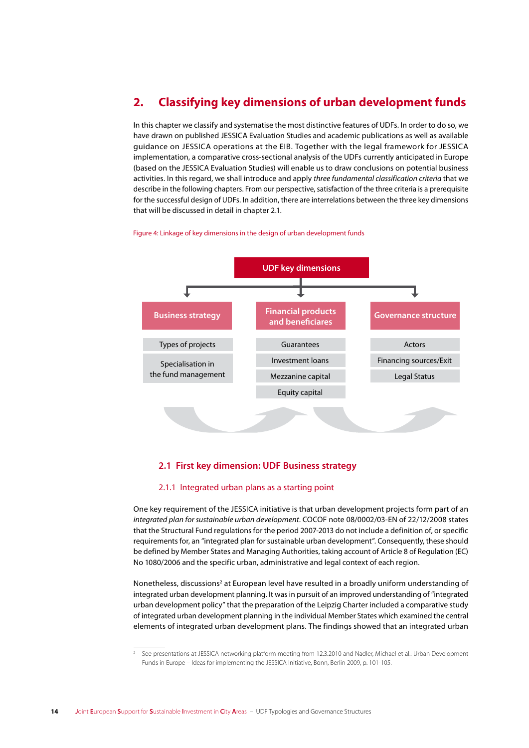### **2. Classifying key dimensions of urban development funds**

In this chapter we classify and systematise the most distinctive features of UDFs. In order to do so, we have drawn on published JESSICA Evaluation Studies and academic publications as well as available guidance on JESSICA operations at the EIB. Together with the legal framework for JESSICA implementation, a comparative cross-sectional analysis of the UDFs currently anticipated in Europe (based on the JESSICA Evaluation Studies) will enable us to draw conclusions on potential business activities. In this regard, we shall introduce and apply *three fundamental classification criteria* that we describe in the following chapters. From our perspective, satisfaction of the three criteria is a prerequisite for the successful design of UDFs. In addition, there are interrelations between the three key dimensions that will be discussed in detail in chapter 2.1.

Figure 4: Linkage of key dimensions in the design of urban development funds



#### **2.1 First key dimension: UDF Business strategy**

#### 2.1.1 Integrated urban plans as a starting point

One key requirement of the JESSICA initiative is that urban development projects form part of an *integrated plan for sustainable urban development*. COCOF note 08/0002/03-EN of 22/12/2008 states that the Structural Fund regulations for the period 2007-2013 do not include a definition of, or specific requirements for, an "integrated plan for sustainable urban development". Consequently, these should be defined by Member States and Managing Authorities, taking account of Article 8 of Regulation (EC) No 1080/2006 and the specific urban, administrative and legal context of each region.

Nonetheless, discussions<sup>2</sup> at European level have resulted in a broadly uniform understanding of integrated urban development planning. It was in pursuit of an improved understanding of "integrated urban development policy" that the preparation of the Leipzig Charter included a comparative study of integrated urban development planning in the individual Member States which examined the central elements of integrated urban development plans. The findings showed that an integrated urban

<sup>2</sup> See presentations at JESSICA networking platform meeting from 12.3.2010 and Nadler, Michael et al.: Urban Development Funds in Europe – Ideas for implementing the JESSICA Initiative, Bonn, Berlin 2009, p. 101-105.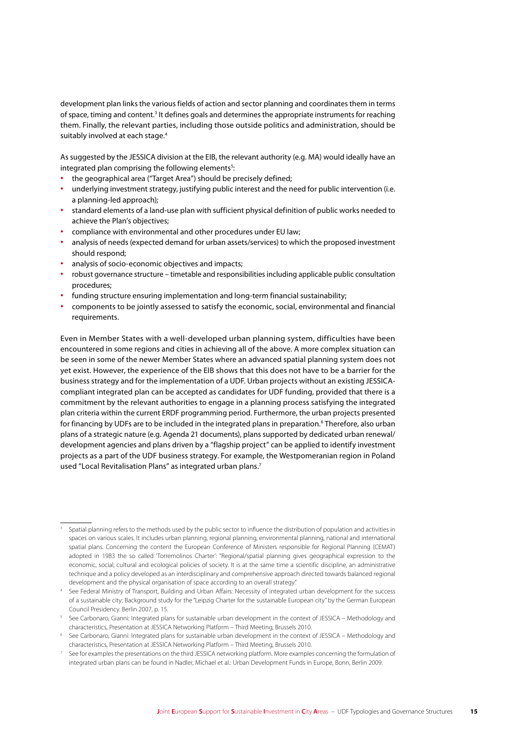development plan links the various fields of action and sector planning and coordinates them in terms of space, timing and content.<sup>3</sup> It defines goals and determines the appropriate instruments for reaching them. Finally, the relevant parties, including those outside politics and administration, should be suitably involved at each stage.<sup>4</sup>

As suggested by the JESSICA division at the EIB, the relevant authority (e.g. MA) would ideally have an integrated plan comprising the following elements<sup>5</sup>:

- **∙** the geographical area ("Target Area") should be precisely defined;
- **∙** underlying investment strategy, justifying public interest and the need for public intervention (i.e. a planning-led approach);
- **∙** standard elements of a land-use plan with sufficient physical definition of public works needed to achieve the Plan's objectives;
- **∙** compliance with environmental and other procedures under EU law;
- **∙** analysis of needs (expected demand for urban assets/services) to which the proposed investment should respond;
- **∙** analysis of socio-economic objectives and impacts;
- **∙** robust governance structure timetable and responsibilities including applicable public consultation procedures;
- **∙** funding structure ensuring implementation and long-term financial sustainability;
- **∙** components to be jointly assessed to satisfy the economic, social, environmental and financial requirements.

Even in Member States with a well-developed urban planning system, difficulties have been encountered in some regions and cities in achieving all of the above. A more complex situation can be seen in some of the newer Member States where an advanced spatial planning system does not yet exist. However, the experience of the EIB shows that this does not have to be a barrier for the business strategy and for the implementation of a UDF. Urban projects without an existing JESSICAcompliant integrated plan can be accepted as candidates for UDF funding, provided that there is a commitment by the relevant authorities to engage in a planning process satisfying the integrated plan criteria within the current ERDF programming period. Furthermore, the urban projects presented for financing by UDFs are to be included in the integrated plans in preparation.<sup>6</sup> Therefore, also urban plans of a strategic nature (e.g. Agenda 21 documents), plans supported by dedicated urban renewal/ development agencies and plans driven by a "flagship project" can be applied to identify investment projects as a part of the UDF business strategy. For example, the Westpomeranian region in Poland used "Local Revitalisation Plans" as integrated urban plans.<sup>7</sup>

<sup>3</sup> Spatial planning refers to the methods used by the public sector to influence the distribution of population and activities in spaces on various scales. It includes urban planning, regional planning, environmental planning, national and international spatial plans. Concerning the content the European Conference of Ministers responsible for Regional Planning (CEMAT) adopted in 1983 the so called 'Torremolinos Charter': "Regional/spatial planning gives geographical expression to the economic, social, cultural and ecological policies of society. It is at the same time a scientific discipline, an administrative technique and a policy developed as an interdisciplinary and comprehensive approach directed towards balanced regional development and the physical organisation of space according to an overall strategy."

<sup>4</sup> See Federal Ministry of Transport, Building and Urban Affairs: Necessity of integrated urban development for the success of a sustainable city; Background study for the "Leipzig Charter for the sustainable European city" by the German European Council Presidency. Berlin 2007, p. 15.

<sup>5</sup> See Carbonaro, Gianni: Integrated plans for sustainable urban development in the context of JESSICA – Methodology and characteristics, Presentation at JESSICA Networking Platform – Third Meeting, Brussels 2010.

<sup>6</sup> See Carbonaro, Gianni: Integrated plans for sustainable urban development in the context of JESSICA – Methodology and characteristics, Presentation at JESSICA Networking Platform – Third Meeting, Brussels 2010.

<sup>7</sup> See for examples the presentations on the third JESSICA networking platform. More examples concerning the formulation of integrated urban plans can be found in Nadler, Michael et al.: Urban Development Funds in Europe, Bonn, Berlin 2009.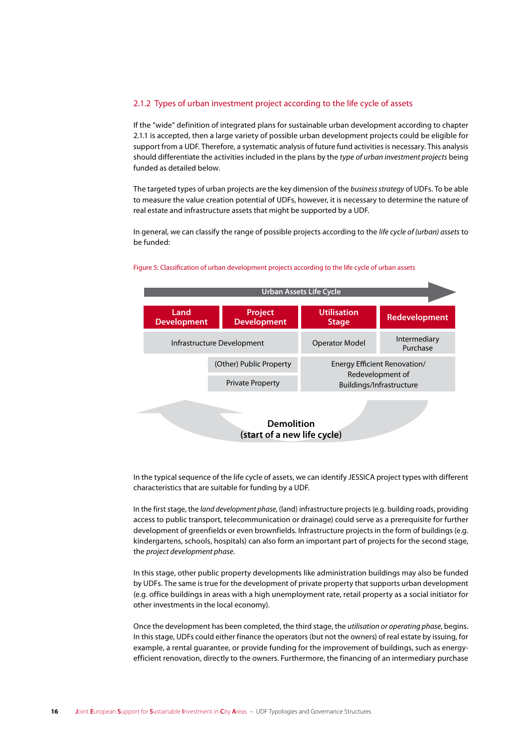#### 2.1.2 Types of urban investment project according to the life cycle of assets

If the "wide" definition of integrated plans for sustainable urban development according to chapter 2.1.1 is accepted, then a large variety of possible urban development projects could be eligible for support from a UDF. Therefore, a systematic analysis of future fund activities is necessary. This analysis should differentiate the activities included in the plans by the *type of urban investment projects* being funded as detailed below.

The targeted types of urban projects are the key dimension of the *business strategy* of UDFs. To be able to measure the value creation potential of UDFs, however, it is necessary to determine the nature of real estate and infrastructure assets that might be supported by a UDF.

In general, we can classify the range of possible projects according to the *life cycle of (urban) assets* to be funded:



#### Figure 5: Classification of urban development projects according to the life cycle of urban assets

In the typical sequence of the life cycle of assets, we can identify JESSICA project types with different characteristics that are suitable for funding by a UDF.

In the first stage, the *land development phase*, (land) infrastructure projects (e.g. building roads, providing access to public transport, telecommunication or drainage) could serve as a prerequisite for further development of greenfields or even brownfields. Infrastructure projects in the form of buildings (e.g. kindergartens, schools, hospitals) can also form an important part of projects for the second stage, the *project development phase*.

In this stage, other public property developments like administration buildings may also be funded by UDFs. The same is true for the development of private property that supports urban development (e.g. office buildings in areas with a high unemployment rate, retail property as a social initiator for other investments in the local economy).

Once the development has been completed, the third stage, the *utilisation or operating phase*, begins. In this stage, UDFs could either finance the operators (but not the owners) of real estate by issuing, for example, a rental guarantee, or provide funding for the improvement of buildings, such as energyefficient renovation, directly to the owners. Furthermore, the financing of an intermediary purchase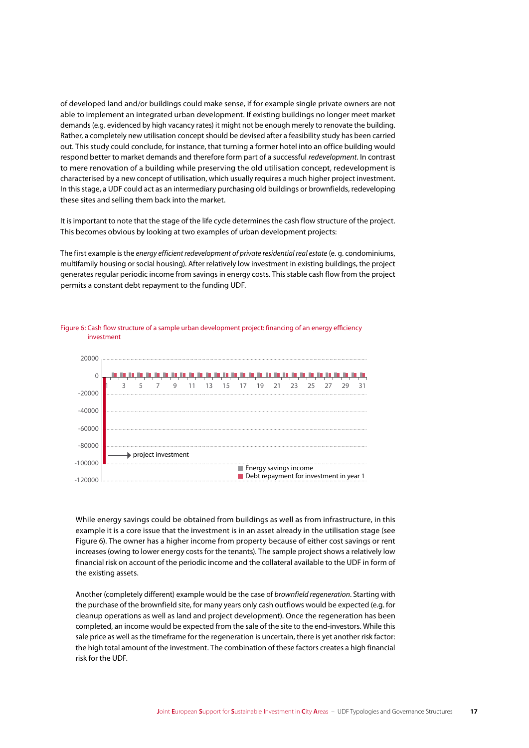of developed land and/or buildings could make sense, if for example single private owners are not able to implement an integrated urban development. If existing buildings no longer meet market demands (e.g. evidenced by high vacancy rates) it might not be enough merely to renovate the building. Rather, a completely new utilisation concept should be devised after a feasibility study has been carried out. This study could conclude, for instance, that turning a former hotel into an office building would respond better to market demands and therefore form part of a successful *redevelopment*. In contrast to mere renovation of a building while preserving the old utilisation concept, redevelopment is characterised by a new concept of utilisation, which usually requires a much higher project investment. In this stage, a UDF could act as an intermediary purchasing old buildings or brownfields, redeveloping these sites and selling them back into the market.

It is important to note that the stage of the life cycle determines the cash flow structure of the project. This becomes obvious by looking at two examples of urban development projects:

The first example is the *energy efficient redevelopment of private residential real estate* (e. g. condominiums, multifamily housing or social housing). After relatively low investment in existing buildings, the project generates regular periodic income from savings in energy costs. This stable cash flow from the project permits a constant debt repayment to the funding UDF.



Figure 6: Cash flow structure of a sample urban development project: financing of an energy efficiency investment

While energy savings could be obtained from buildings as well as from infrastructure, in this example it is a core issue that the investment is in an asset already in the utilisation stage (see Figure 6). The owner has a higher income from property because of either cost savings or rent increases (owing to lower energy costs for the tenants). The sample project shows a relatively low financial risk on account of the periodic income and the collateral available to the UDF in form of the existing assets.

Another (completely different) example would be the case of *brownfield regeneration*. Starting with the purchase of the brownfield site, for many years only cash outflows would be expected (e.g. for cleanup operations as well as land and project development). Once the regeneration has been completed, an income would be expected from the sale of the site to the end-investors. While this sale price as well as the timeframe for the regeneration is uncertain, there is yet another risk factor: the high total amount of the investment. The combination of these factors creates a high financial risk for the UDF.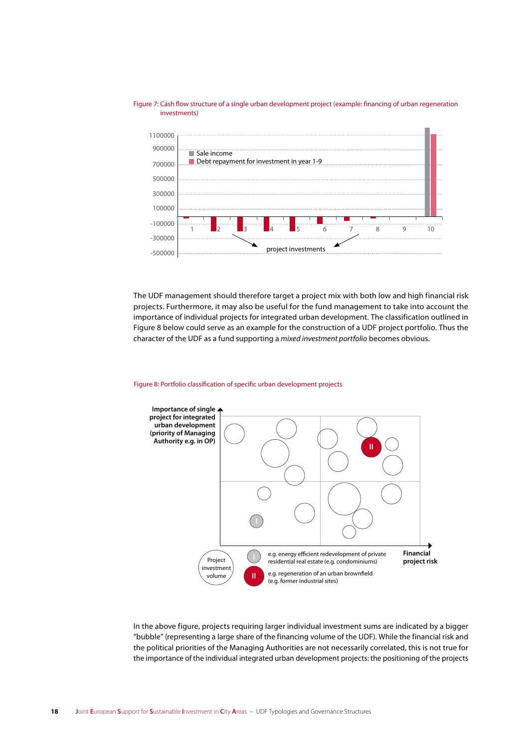

Figure 7: Cash flow structure of a single urban development project (example: financing of urban regeneration investments)

The UDF management should therefore target a project mix with both low and high financial risk projects. Furthermore, it may also be useful for the fund management to take into account the importance of individual projects for integrated urban development. The classification outlined in Figure 8 below could serve as an example for the construction of a UDF project portfolio. Thus the character of the UDF as a fund supporting a *mixed investment portfolio* becomes obvious.

#### Figure 8: Portfolio classification of specific urban development projects



In the above figure, projects requiring larger individual investment sums are indicated by a bigger "bubble" (representing a large share of the financing volume of the UDF). While the financial risk and the political priorities of the Managing Authorities are not necessarily correlated, this is not true for the importance of the individual integrated urban development projects: the positioning of the projects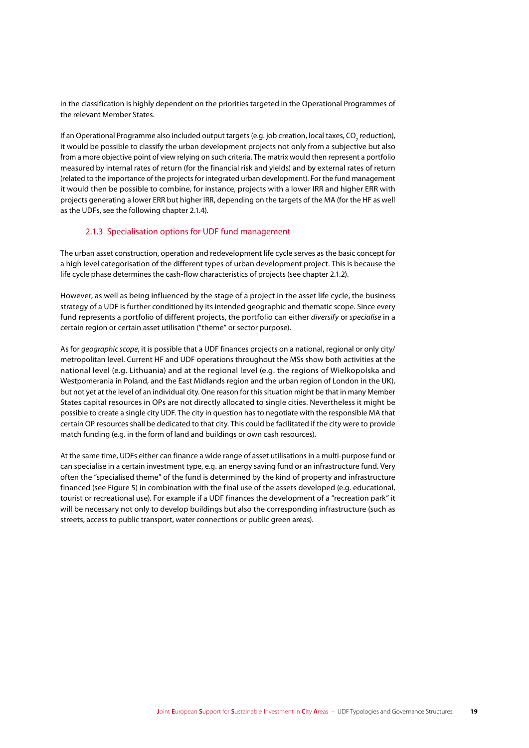in the classification is highly dependent on the priorities targeted in the Operational Programmes of the relevant Member States.

If an Operational Programme also included output targets (e.g. job creation, local taxes, CO<sub>2</sub> reduction), it would be possible to classify the urban development projects not only from a subjective but also from a more objective point of view relying on such criteria. The matrix would then represent a portfolio measured by internal rates of return (for the financial risk and yields) and by external rates of return (related to the importance of the projects for integrated urban development). For the fund management it would then be possible to combine, for instance, projects with a lower IRR and higher ERR with projects generating a lower ERR but higher IRR, depending on the targets of the MA (for the HF as well as the UDFs, see the following chapter 2.1.4).

#### 2.1.3 Specialisation options for UDF fund management

The urban asset construction, operation and redevelopment life cycle serves as the basic concept for a high level categorisation of the different types of urban development project. This is because the life cycle phase determines the cash-flow characteristics of projects (see chapter 2.1.2).

However, as well as being influenced by the stage of a project in the asset life cycle, the business strategy of a UDF is further conditioned by its intended geographic and thematic scope. Since every fund represents a portfolio of different projects, the portfolio can either *diversify* or *specialise* in a certain region or certain asset utilisation ("theme" or sector purpose).

As for *geographic scope*, it is possible that a UDF finances projects on a national, regional or only city/ metropolitan level. Current HF and UDF operations throughout the MSs show both activities at the national level (e.g. Lithuania) and at the regional level (e.g. the regions of Wielkopolska and Westpomerania in Poland, and the East Midlands region and the urban region of London in the UK), but not yet at the level of an individual city. One reason for this situation might be that in many Member States capital resources in OPs are not directly allocated to single cities. Nevertheless it might be possible to create a single city UDF. The city in question has to negotiate with the responsible MA that certain OP resources shall be dedicated to that city. This could be facilitated if the city were to provide match funding (e.g. in the form of land and buildings or own cash resources).

At the same time, UDFs either can finance a wide range of asset utilisations in a multi-purpose fund or can specialise in a certain investment type, e.g. an energy saving fund or an infrastructure fund. Very often the "specialised theme" of the fund is determined by the kind of property and infrastructure financed (see Figure 5) in combination with the final use of the assets developed (e.g. educational, tourist or recreational use). For example if a UDF finances the development of a "recreation park" it will be necessary not only to develop buildings but also the corresponding infrastructure (such as streets, access to public transport, water connections or public green areas).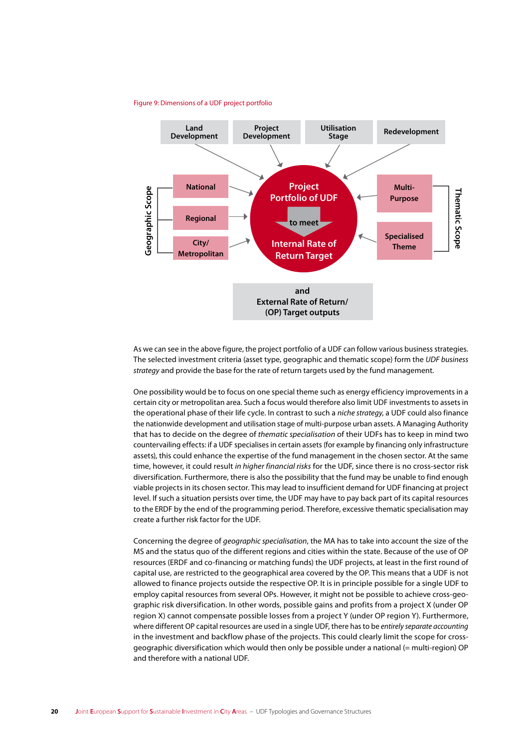#### Figure 9: Dimensions of a UDF project portfolio



As we can see in the above figure, the project portfolio of a UDF can follow various business strategies. The selected investment criteria (asset type, geographic and thematic scope) form the UDF business strategy and provide the base for the rate of return targets used by the fund management.

One possibility would be to focus on one special theme such as energy efficiency improvements in a certain city or metropolitan area. Such a focus would therefore also limit UDF investments to assets in the operational phase of their life cycle. In contrast to such a niche strategy, a UDF could also finance the nationwide development and utilisation stage of multi-purpose urban assets. A Managing Authority that has to decide on the degree of thematic specialisation of their UDFs has to keep in mind two countervailing effects: if a UDF specialises in certain assets (for example by financing only infrastructure assets), this could enhance the expertise of the fund management in the chosen sector. At the same time, however, it could result in higher financial risks for the UDF, since there is no cross-sector risk diversification. Furthermore, there is also the possibility that the fund may be unable to find enough viable projects in its chosen sector. This may lead to insufficient demand for UDF financing at project level. If such a situation persists over time, the UDF may have to pay back part of its capital resources to the ERDF by the end of the programming period. Therefore, excessive thematic specialisation may create a further risk factor for the UDF.

Concerning the degree of *geographic specialisation*, the MA has to take into account the size of the MS and the status quo of the different regions and cities within the state. Because of the use of OP resources (ERDF and co-financing or matching funds) the UDF projects, at least in the first round of capital use, are restricted to the geographical area covered by the OP. This means that a UDF is not allowed to finance projects outside the respective OP. It is in principle possible for a single UDF to employ capital resources from several OPs. However, it might not be possible to achieve cross-geographic risk diversification. In other words, possible gains and profits from a project X (under OP region X) cannot compensate possible losses from a project Y (under OP region Y). Furthermore, where different OP capital resources are used in a single UDF, there has to be entirely separate accounting in the investment and backflow phase of the projects. This could clearly limit the scope for crossgeographic diversification which would then only be possible under a national (= multi-region) OP and therefore with a national UDE.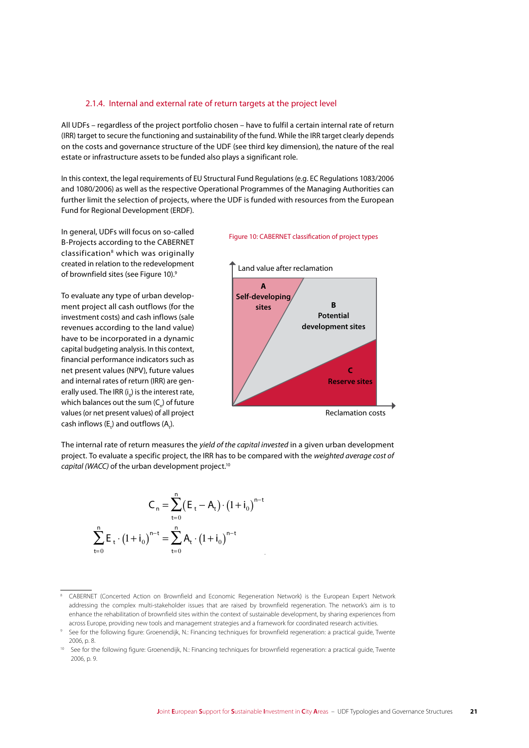#### 2.1.4. Internal and external rate of return targets at the project level

All UDFs – regardless of the project portfolio chosen – have to fulfil a certain internal rate of return (IRR) target to secure the functioning and sustainability of the fund. While the IRR target clearly depends on the costs and governance structure of the UDF (see third key dimension), the nature of the real estate or infrastructure assets to be funded also plays a significant role.

In this context, the legal requirements of EU Structural Fund Regulations (e.g. EC Regulations 1083/2006 and 1080/2006) as well as the respective Operational Programmes of the Managing Authorities can further limit the selection of projects, where the UDF is funded with resources from the European Fund for Regional Development (ERDF).

In general, UDFs will focus on so-called B-Projects according to the CABERNET classification<sup>8</sup> which was originally created in relation to the redevelopment of brownfield sites (see Figure 10).9

To evaluate any type of urban development project all cash outflows (for the investment costs) and cash inflows (sale revenues according to the land value) have to be incorporated in a dynamic capital budgeting analysis. In this context, financial performance indicators such as net present values (NPV), future values and internal rates of return (IRR) are generally used. The IRR  $(i_0)$  is the interest rate, which balances out the sum ( $C_n$ ) of future values (or net present values) of all project cash inflows  $(E_t)$  and outflows  $(A_t)$ .

#### Figure 10: CABERNET classification of project types



The internal rate of return measures the *yield of the capital invested* in a given urban development project. To evaluate a specific project, the IRR has to be compared with the *weighted average cost of capital (WACC)* of the urban development project.<sup>10</sup>

$$
C_n = \sum_{t=0}^{n} (E_t - A_t) \cdot (1 + i_0)^{n-t}
$$

$$
\sum_{t=0}^{n} E_t \cdot (1 + i_0)^{n-t} = \sum_{t=0}^{n} A_t \cdot (1 + i_0)^{n-t}
$$

<sup>&</sup>lt;sup>8</sup> CABERNET (Concerted Action on Brownfield and Economic Regeneration Network) is the European Expert Network addressing the complex multi-stakeholder issues that are raised by brownfield regeneration. The network's aim is to enhance the rehabilitation of brownfield sites within the context of sustainable development, by sharing experiences from across Europe, providing new tools and management strategies and a framework for coordinated research activities.

<sup>9</sup> See for the following figure: Groenendijk, N.: Financing techniques for brownfield regeneration: a practical guide, Twente 2006, p. 8.

<sup>10</sup> See for the following figure: Groenendijk, N.: Financing techniques for brownfield regeneration: a practical guide, Twente 2006, p. 9.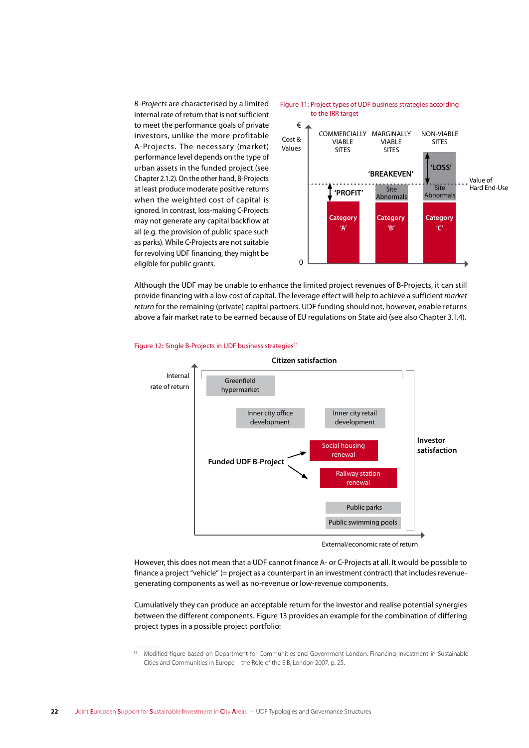*B-Projects* are characterised by a limited internal rate of return that is not sufficient to meet the performance goals of private investors, unlike the more profitable A-Projects. The necessary (market) performance level depends on the type of urban assets in the funded project (see Chapter 2.1.2). On the other hand, B-Projects at least produce moderate positive returns when the weighted cost of capital is ignored. In contrast, loss-making C-Projects may not generate any capital backflow at all (e.g. the provision of public space such as parks). While C-Projects are not suitable for revolving UDF financing, they might be eligible for public grants.



Although the UDF may be unable to enhance the limited project revenues of B-Projects, it can still provide financing with a low cost of capital. The leverage effect will help to achieve a sufficient *market return* for the remaining (private) capital partners. UDF funding should not, however, enable returns above a fair market rate to be earned because of EU regulations on State aid (see also Chapter 3.1.4).



#### Figure 12: Single B-Projects in UDF business strategies<sup>11</sup>

External/economic rate of return

However, this does not mean that a UDF cannot finance A- or C-Projects at all. It would be possible to finance a project "vehicle" (= project as a counterpart in an investment contract) that includes revenuegenerating components as well as no-revenue or low-revenue components.

Cumulatively they can produce an acceptable return for the investor and realise potential synergies between the different components. Figure 13 provides an example for the combination of differing project types in a possible project portfolio:

<sup>11</sup> Modified figure based on Department for Communities and Government London: Financing Investment in Sustainable Cities and Communities in Europe – the Role of the EIB, London 2007, p. 25.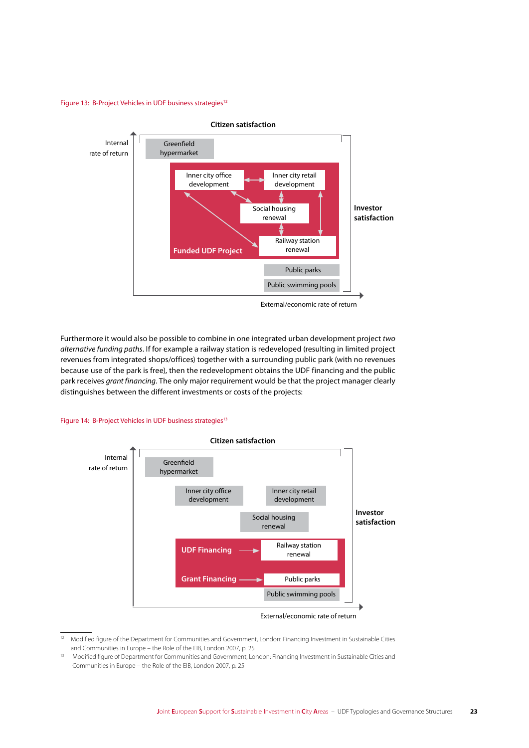Figure 13: B-Project Vehicles in UDF business strategies<sup>12</sup>



External/economic rate of return

Furthermore it would also be possible to combine in one integrated urban development project *two alternative funding paths*. If for example a railway station is redeveloped (resulting in limited project revenues from integrated shops/offices) together with a surrounding public park (with no revenues because use of the park is free), then the redevelopment obtains the UDF financing and the public park receives *grant financing*. The only major requirement would be that the project manager clearly distinguishes between the different investments or costs of the projects:

#### Figure 14: B-Project Vehicles in UDF business strategies<sup>13</sup>



External/economic rate of return

<sup>12</sup> Modified figure of the Department for Communities and Government, London: Financing Investment in Sustainable Cities and Communities in Europe – the Role of the EIB, London 2007, p. 25

<sup>13</sup> Modified figure of Department for Communities and Government, London: Financing Investment in Sustainable Cities and Communities in Europe – the Role of the EIB, London 2007, p. 25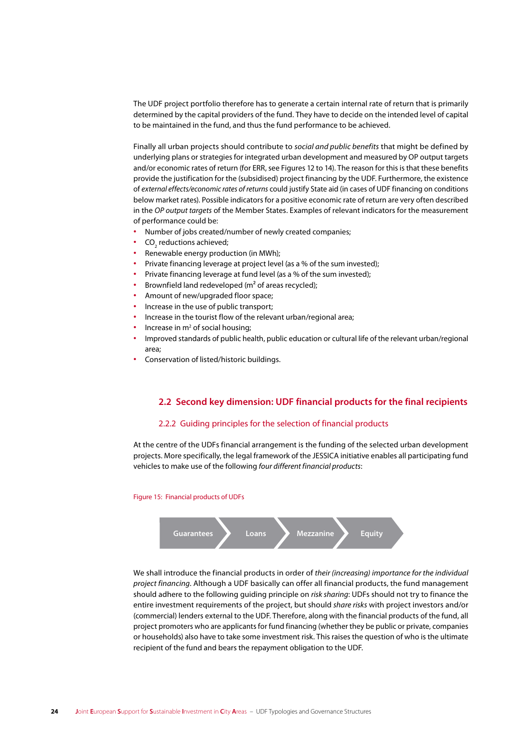The UDF project portfolio therefore has to generate a certain internal rate of return that is primarily determined by the capital providers of the fund. They have to decide on the intended level of capital to be maintained in the fund, and thus the fund performance to be achieved.

Finally all urban projects should contribute to *social and public benefits* that might be defined by underlying plans or strategies for integrated urban development and measured by OP output targets and/or economic rates of return (for ERR, see Figures 12 to 14). The reason for this is that these benefits provide the justification for the (subsidised) project financing by the UDF. Furthermore, the existence of *external effects/economic rates of returns* could justify State aid (in cases of UDF financing on conditions below market rates). Possible indicators for a positive economic rate of return are very often described in the *OP output targets* of the Member States. Examples of relevant indicators for the measurement of performance could be:

- **∙** Number of jobs created/number of newly created companies;
- CO<sub>2</sub> reductions achieved;
- **∙** Renewable energy production (in MWh);
- **∙** Private financing leverage at project level (as a % of the sum invested);
- **∙** Private financing leverage at fund level (as a % of the sum invested);
- **∙** Brownfield land redeveloped (m² of areas recycled);
- **∙** Amount of new/upgraded floor space;
- **∙** Increase in the use of public transport;
- **∙** Increase in the tourist flow of the relevant urban/regional area;
- Increase in m<sup>2</sup> of social housing;
- **∙** Improved standards of public health, public education or cultural life of the relevant urban/regional area;
- **∙** Conservation of listed/historic buildings.

#### **2.2 Second key dimension: UDF financial products for the final recipients**

#### 2.2.2 Guiding principles for the selection of financial products

At the centre of the UDFs financial arrangement is the funding of the selected urban development projects. More specifically, the legal framework of the JESSICA initiative enables all participating fund vehicles to make use of the following *four different financial products*:

#### Figure 15: Financial products of UDFs



We shall introduce the financial products in order of *their (increasing) importance for the individual project financing*. Although a UDF basically can offer all financial products, the fund management should adhere to the following guiding principle on *risk sharing*: UDFs should not try to finance the entire investment requirements of the project, but should *share risks* with project investors and/or (commercial) lenders external to the UDF. Therefore, along with the financial products of the fund, all project promoters who are applicants for fund financing (whether they be public or private, companies or households) also have to take some investment risk. This raises the question of who is the ultimate recipient of the fund and bears the repayment obligation to the UDF.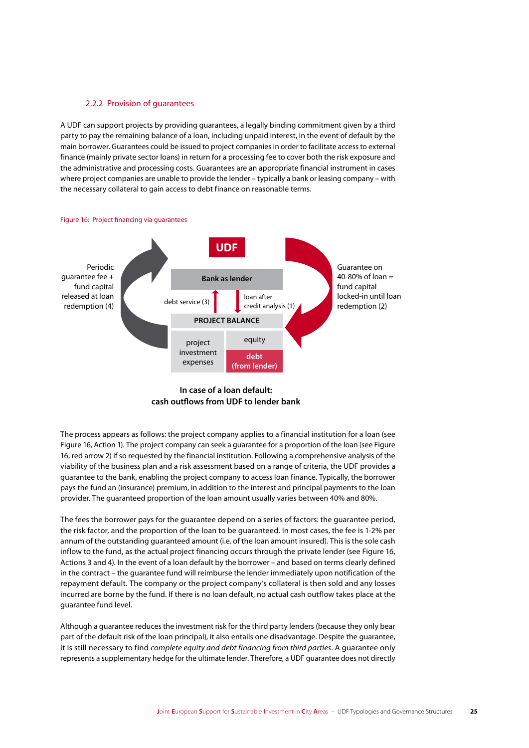#### 2.2.2 Provision of guarantees

A UDF can support projects by providing guarantees, a legally binding commitment given by a third party to pay the remaining balance of a loan, including unpaid interest, in the event of default by the main borrower. Guarantees could be issued to project companies in order to facilitate access to external finance (mainly private sector loans) in return for a processing fee to cover both the risk exposure and the administrative and processing costs. Guarantees are an appropriate financial instrument in cases where project companies are unable to provide the lender – typically a bank or leasing company – with the necessary collateral to gain access to debt finance on reasonable terms.



#### **In case of a loan default: cash outflows from UDF to lender bank**

The process appears as follows: the project company applies to a financial institution for a loan (see Figure 16, Action 1). The project company can seek a guarantee for a proportion of the loan (see Figure 16, red arrow 2) if so requested by the financial institution. Following a comprehensive analysis of the viability of the business plan and a risk assessment based on a range of criteria, the UDF provides a guarantee to the bank, enabling the project company to access loan finance. Typically, the borrower pays the fund an (insurance) premium, in addition to the interest and principal payments to the loan provider. The guaranteed proportion of the loan amount usually varies between 40% and 80%.

The fees the borrower pays for the guarantee depend on a series of factors: the guarantee period, the risk factor, and the proportion of the loan to be guaranteed. In most cases, the fee is 1-2% per annum of the outstanding guaranteed amount (i.e. of the loan amount insured). This is the sole cash inflow to the fund, as the actual project financing occurs through the private lender (see Figure 16, Actions 3 and 4). In the event of a loan default by the borrower – and based on terms clearly defined in the contract – the guarantee fund will reimburse the lender immediately upon notification of the repayment default. The company or the project company's collateral is then sold and any losses incurred are borne by the fund. If there is no loan default, no actual cash outflow takes place at the guarantee fund level.

Although a guarantee reduces the investment risk for the third party lenders (because they only bear part of the default risk of the loan principal), it also entails one disadvantage. Despite the guarantee, it is still necessary to find *complete equity and debt financing from third parties*. A guarantee only represents a supplementary hedge for the ultimate lender. Therefore, a UDF guarantee does not directly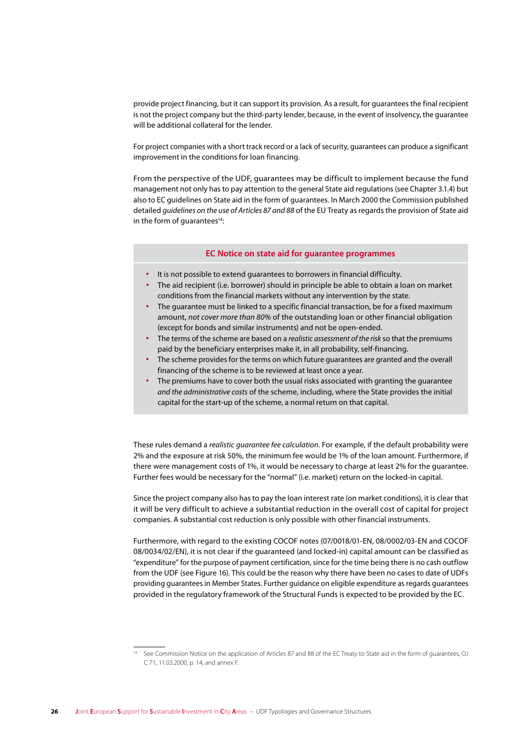provide project financing, but it can support its provision. As a result, for guarantees the final recipient is not the project company but the third-party lender, because, in the event of insolvency, the guarantee will be additional collateral for the lender.

For project companies with a short track record or a lack of security, guarantees can produce a significant improvement in the conditions for loan financing.

From the perspective of the UDF, guarantees may be difficult to implement because the fund management not only has to pay attention to the general State aid regulations (see Chapter 3.1.4) but also to EC guidelines on State aid in the form of guarantees. In March 2000 the Commission published detailed *guidelines on the use of Articles 87 and 88* of the EU Treaty as regards the provision of State aid in the form of quarantees<sup>14</sup>:

#### **EC Notice on state aid for guarantee programmes**

- **∙** It is not possible to extend guarantees to borrowers in financial difficulty.
- **∙** The aid recipient (i.e. borrower) should in principle be able to obtain a loan on market conditions from the financial markets without any intervention by the state.
- **∙** The guarantee must be linked to a specific financial transaction, be for a fixed maximum amount, *not cover more than 80%* of the outstanding loan or other financial obligation (except for bonds and similar instruments) and not be open-ended.
- **∙** The terms of the scheme are based on a *realistic assessment of the risk* so that the premiums paid by the beneficiary enterprises make it, in all probability, self-financing.
- **∙** The scheme provides for the terms on which future guarantees are granted and the overall financing of the scheme is to be reviewed at least once a year.
- **∙** The premiums have to cover both the usual risks associated with granting the guarantee *and the administrative costs* of the scheme, including, where the State provides the initial capital for the start-up of the scheme, a normal return on that capital.

These rules demand a *realistic guarantee fee calculation*. For example, if the default probability were 2% and the exposure at risk 50%, the minimum fee would be 1% of the loan amount. Furthermore, if there were management costs of 1%, it would be necessary to charge at least 2% for the guarantee. Further fees would be necessary for the "normal" (i.e. market) return on the locked-in capital.

Since the project company also has to pay the loan interest rate (on market conditions), it is clear that it will be very difficult to achieve a substantial reduction in the overall cost of capital for project companies. A substantial cost reduction is only possible with other financial instruments.

Furthermore, with regard to the existing COCOF notes (07/0018/01-EN, 08/0002/03-EN and COCOF 08/0034/02/EN), it is not clear if the guaranteed (and locked-in) capital amount can be classified as "expenditure" for the purpose of payment certification, since for the time being there is no cash outflow from the UDF (see Figure 16). This could be the reason why there have been no cases to date of UDFs providing guarantees in Member States. Further guidance on eligible expenditure as regards guarantees provided in the regulatory framework of the Structural Funds is expected to be provided by the EC.

<sup>14</sup> See Commission Notice on the application of Articles 87 and 88 of the EC Treaty to State aid in the form of guarantees, OJ C 71, 11.03.2000, p. 14, and annex F.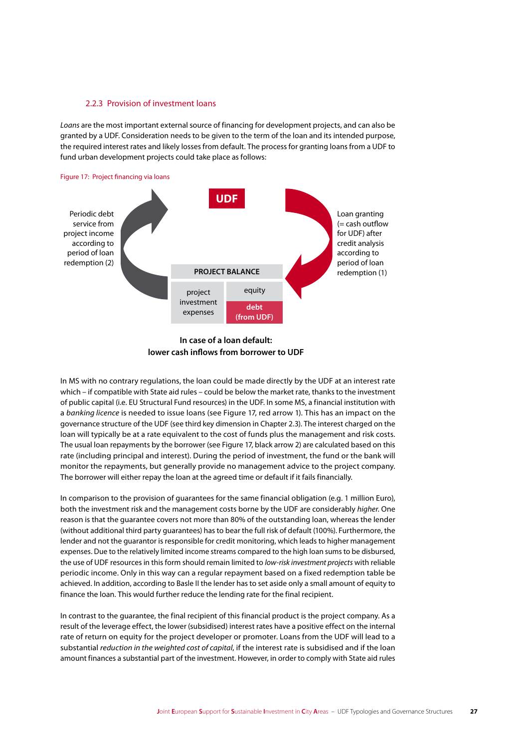#### 2.2.3 Provision of investment loans

*Loans* are the most important external source of financing for development projects, and can also be granted by a UDF. Consideration needs to be given to the term of the loan and its intended purpose, the required interest rates and likely losses from default. The process for granting loans from a UDF to fund urban development projects could take place as follows:



**In case of a loan default: lower cash inflows from borrower to UDF**

In MS with no contrary regulations, the loan could be made directly by the UDF at an interest rate which – if compatible with State aid rules – could be below the market rate, thanks to the investment of public capital (i.e. EU Structural Fund resources) in the UDF. In some MS, a financial institution with a *banking licence* is needed to issue loans (see Figure 17, red arrow 1). This has an impact on the governance structure of the UDF (see third key dimension in Chapter 2.3). The interest charged on the loan will typically be at a rate equivalent to the cost of funds plus the management and risk costs. The usual loan repayments by the borrower (see Figure 17, black arrow 2) are calculated based on this rate (including principal and interest). During the period of investment, the fund or the bank will monitor the repayments, but generally provide no management advice to the project company. The borrower will either repay the loan at the agreed time or default if it fails financially.

In comparison to the provision of guarantees for the same financial obligation (e.g. 1 million Euro), both the investment risk and the management costs borne by the UDF are considerably *higher*. One reason is that the guarantee covers not more than 80% of the outstanding loan, whereas the lender (without additional third party guarantees) has to bear the full risk of default (100%). Furthermore, the lender and not the guarantor is responsible for credit monitoring, which leads to higher management expenses. Due to the relatively limited income streams compared to the high loan sums to be disbursed, the use of UDF resources in this form should remain limited to *low-risk investment projects* with reliable periodic income. Only in this way can a regular repayment based on a fixed redemption table be achieved. In addition, according to Basle II the lender has to set aside only a small amount of equity to finance the loan. This would further reduce the lending rate for the final recipient.

In contrast to the guarantee, the final recipient of this financial product is the project company. As a result of the leverage effect, the lower (subsidised) interest rates have a positive effect on the internal rate of return on equity for the project developer or promoter. Loans from the UDF will lead to a substantial *reduction in the weighted cost of capital*, if the interest rate is subsidised and if the loan amount finances a substantial part of the investment. However, in order to comply with State aid rules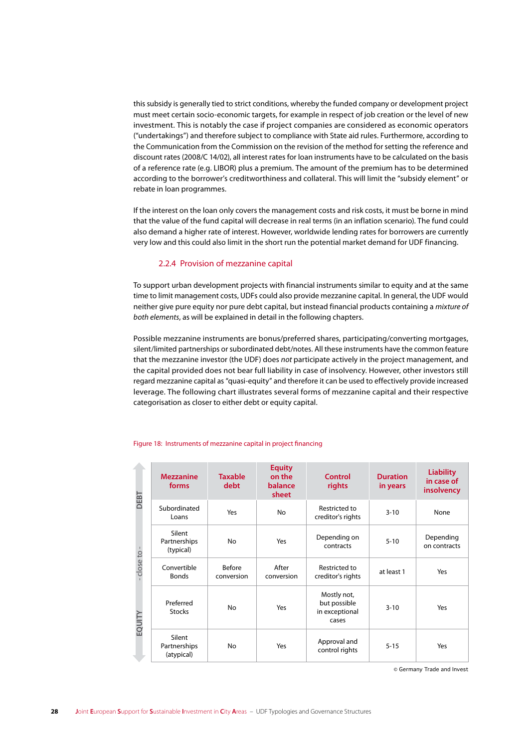this subsidy is generally tied to strict conditions, whereby the funded company or development project must meet certain socio-economic targets, for example in respect of job creation or the level of new investment. This is notably the case if project companies are considered as economic operators ("undertakings") and therefore subject to compliance with State aid rules. Furthermore, according to the Communication from the Commission on the revision of the method for setting the reference and discount rates (2008/C 14/02), all interest rates for loan instruments have to be calculated on the basis of a reference rate (e.g. LIBOR) plus a premium. The amount of the premium has to be determined according to the borrower's creditworthiness and collateral. This will limit the "subsidy element" or rebate in loan programmes.

If the interest on the loan only covers the management costs and risk costs, it must be borne in mind that the value of the fund capital will decrease in real terms (in an inflation scenario). The fund could also demand a higher rate of interest. However, worldwide lending rates for borrowers are currently very low and this could also limit in the short run the potential market demand for UDF financing.

#### 2.2.4 Provision of mezzanine capital

To support urban development projects with financial instruments similar to equity and at the same time to limit management costs, UDFs could also provide mezzanine capital. In general, the UDF would neither give pure equity nor pure debt capital, but instead financial products containing a *mixture of both elements*, as will be explained in detail in the following chapters.

Possible mezzanine instruments are bonus/preferred shares, participating/converting mortgages, silent/limited partnerships or subordinated debt/notes. All these instruments have the common feature that the mezzanine investor (the UDF) does *not* participate actively in the project management, and the capital provided does not bear full liability in case of insolvency. However, other investors still regard mezzanine capital as "quasi-equity" and therefore it can be used to effectively provide increased leverage. The following chart illustrates several forms of mezzanine capital and their respective categorisation as closer to either debt or equity capital.

#### Figure 18: Instruments of mezzanine capital in project financing

| DEBT<br>close to -<br>EQUITY | <b>Mezzanine</b><br>forms            | <b>Taxable</b><br>debt      | <b>Equity</b><br>on the<br>balance<br>sheet | Control<br>rights                                      | <b>Duration</b><br>in years | <b>Liability</b><br>in case of<br>insolvency |
|------------------------------|--------------------------------------|-----------------------------|---------------------------------------------|--------------------------------------------------------|-----------------------------|----------------------------------------------|
|                              | Subordinated<br>Loans                | Yes                         | <b>No</b>                                   | Restricted to<br>creditor's rights                     | $3 - 10$                    | None                                         |
|                              | Silent<br>Partnerships<br>(typical)  | No                          | Yes                                         | Depending on<br>contracts                              | $5 - 10$                    | Depending<br>on contracts                    |
|                              | Convertible<br><b>Bonds</b>          | <b>Before</b><br>conversion | After<br>conversion                         | Restricted to<br>creditor's rights                     | at least 1                  | Yes                                          |
|                              | Preferred<br><b>Stocks</b>           | No                          | Yes                                         | Mostly not,<br>but possible<br>in exceptional<br>cases | $3 - 10$                    | Yes                                          |
|                              | Silent<br>Partnerships<br>(atypical) | No                          | Yes                                         | Approval and<br>control rights                         | $5 - 15$                    | Yes                                          |

© Germany Trade and Invest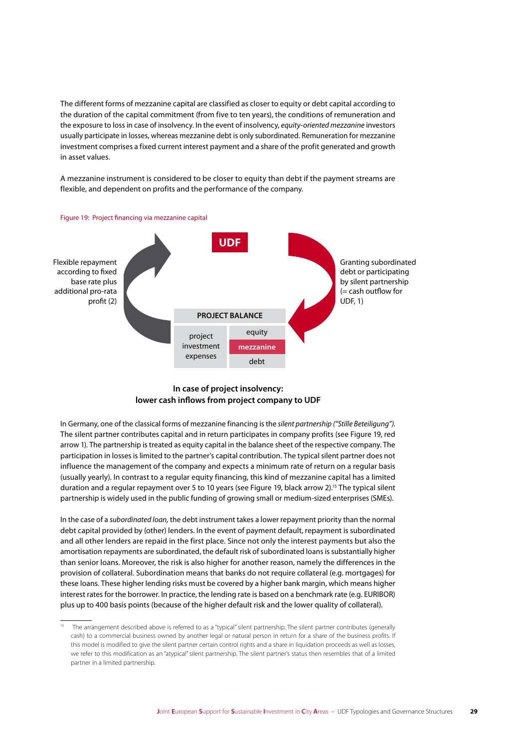The different forms of mezzanine capital are classified as closer to equity or debt capital according to the duration of the capital commitment (from five to ten years), the conditions of remuneration and the exposure to loss in case of insolvency. In the event of insolvency, *equity-oriented mezzanine* investors usually participate in losses, whereas mezzanine debt is only subordinated. Remuneration for mezzanine investment comprises a fixed current interest payment and a share of the profit generated and growth in asset values.

A mezzanine instrument is considered to be closer to equity than debt if the payment streams are flexible, and dependent on profits and the performance of the company.



#### **In case of project insolvency: lower cash inflows from project company to UDF**

In Germany, one of the classical forms of mezzanine financing is the *silent partnership ("Stille Beteiligung")*. The silent partner contributes capital and in return participates in company profits (see Figure 19, red arrow 1). The partnership is treated as equity capital in the balance sheet of the respective company. The participation in losses is limited to the partner's capital contribution. The typical silent partner does not influence the management of the company and expects a minimum rate of return on a regular basis (usually yearly). In contrast to a regular equity financing, this kind of mezzanine capital has a limited duration and a regular repayment over 5 to 10 years (see Figure 19, black arrow 2).15 The typical silent partnership is widely used in the public funding of growing small or medium-sized enterprises (SMEs).

In the case of a *subordinated loan,* the debt instrument takes a lower repayment priority than the normal debt capital provided by (other) lenders. In the event of payment default, repayment is subordinated and all other lenders are repaid in the first place. Since not only the interest payments but also the amortisation repayments are subordinated, the default risk of subordinated loans is substantially higher than senior loans. Moreover, the risk is also higher for another reason, namely the differences in the provision of collateral. Subordination means that banks do not require collateral (e.g. mortgages) for these loans. These higher lending risks must be covered by a higher bank margin, which means higher interest rates for the borrower. In practice, the lending rate is based on a benchmark rate (e.g. EURIBOR) plus up to 400 basis points (because of the higher default risk and the lower quality of collateral).

<sup>&</sup>lt;sup>15</sup> The arrangement described above is referred to as a "typical" silent partnership. The silent partner contributes (generally cash) to a commercial business owned by another legal or natural person in return for a share of the business profits. If this model is modified to give the silent partner certain control rights and a share in liquidation proceeds as well as losses, we refer to this modification as an "atypical" silent partnership. The silent partner's status then resembles that of a limited partner in a limited partnership.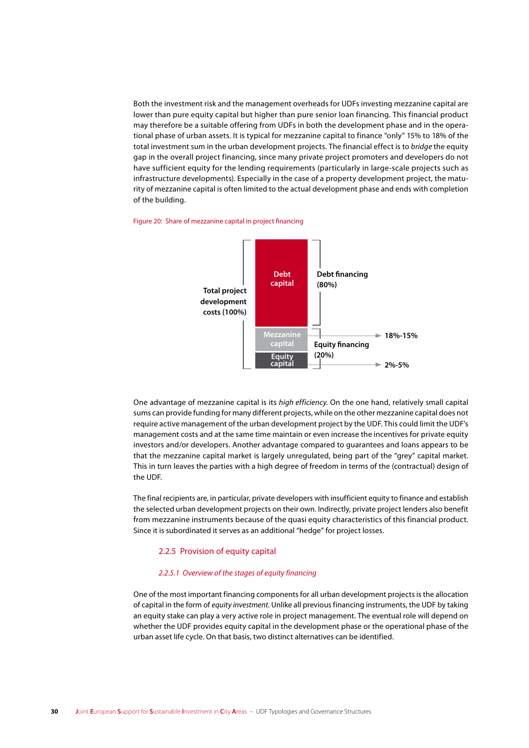Both the investment risk and the management overheads for UDFs investing mezzanine capital are lower than pure equity capital but higher than pure senior loan financing. This financial product may therefore be a suitable offering from UDFs in both the development phase and in the operational phase of urban assets. It is typical for mezzanine capital to finance "only" 15% to 18% of the total investment sum in the urban development projects. The financial effect is to bridge the equity gap in the overall project financing, since many private project promoters and developers do not have sufficient equity for the lending requirements (particularly in large-scale projects such as infrastructure developments). Especially in the case of a property development project, the maturity of mezzanine capital is often limited to the actual development phase and ends with completion of the building.

#### Figure 20: Share of mezzanine capital in project financing



One advantage of mezzanine capital is its high efficiency. On the one hand, relatively small capital sums can provide funding for many different projects, while on the other mezzanine capital does not require active management of the urban development project by the UDF. This could limit the UDF's management costs and at the same time maintain or even increase the incentives for private equity investors and/or developers. Another advantage compared to guarantees and loans appears to be that the mezzanine capital market is largely unregulated, being part of the "grey" capital market. This in turn leaves the parties with a high degree of freedom in terms of the (contractual) design of the UDE.

The final recipients are, in particular, private developers with insufficient equity to finance and establish the selected urban development projects on their own. Indirectly, private project lenders also benefit from mezzanine instruments because of the quasi equity characteristics of this financial product. Since it is subordinated it serves as an additional "hedge" for project losses.

#### 2.2.5 Provision of equity capital

#### 2.2.5.1 Overview of the stages of equity financing

One of the most important financing components for all urban development projects is the allocation of capital in the form of equity investment. Unlike all previous financing instruments, the UDF by taking an equity stake can play a very active role in project management. The eventual role will depend on whether the UDF provides equity capital in the development phase or the operational phase of the urban asset life cycle. On that basis, two distinct alternatives can be identified.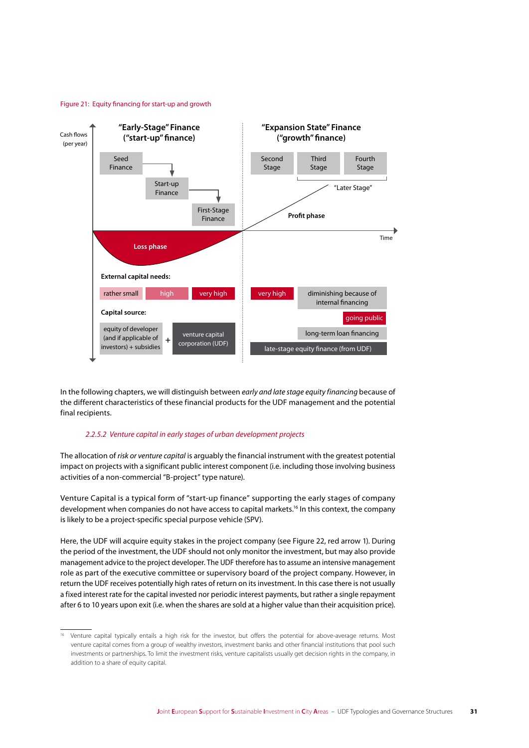#### Figure 21: Equity financing for start-up and growth



In the following chapters, we will distinguish between *early and late stage equity financing* because of the different characteristics of these financial products for the UDF management and the potential final recipients.

#### *2.2.5.2 Venture capital in early stages of urban development projects*

The allocation of *risk or venture capital* is arguably the financial instrument with the greatest potential impact on projects with a significant public interest component (i.e. including those involving business activities of a non-commercial "B-project" type nature).

Venture Capital is a typical form of "start-up finance" supporting the early stages of company development when companies do not have access to capital markets.<sup>16</sup> In this context, the company is likely to be a project-specific special purpose vehicle (SPV).

Here, the UDF will acquire equity stakes in the project company (see Figure 22, red arrow 1). During the period of the investment, the UDF should not only monitor the investment, but may also provide management advice to the project developer. The UDF therefore has to assume an intensive management role as part of the executive committee or supervisory board of the project company. However, in return the UDF receives potentially high rates of return on its investment. In this case there is not usually a fixed interest rate for the capital invested nor periodic interest payments, but rather a single repayment after 6 to 10 years upon exit (i.e. when the shares are sold at a higher value than their acquisition price).

<sup>16</sup> Venture capital typically entails a high risk for the investor, but offers the potential for above-average returns. Most venture capital comes from a group of wealthy investors, investment banks and other financial institutions that pool such investments or partnerships. To limit the investment risks, venture capitalists usually get decision rights in the company, in addition to a share of equity capital.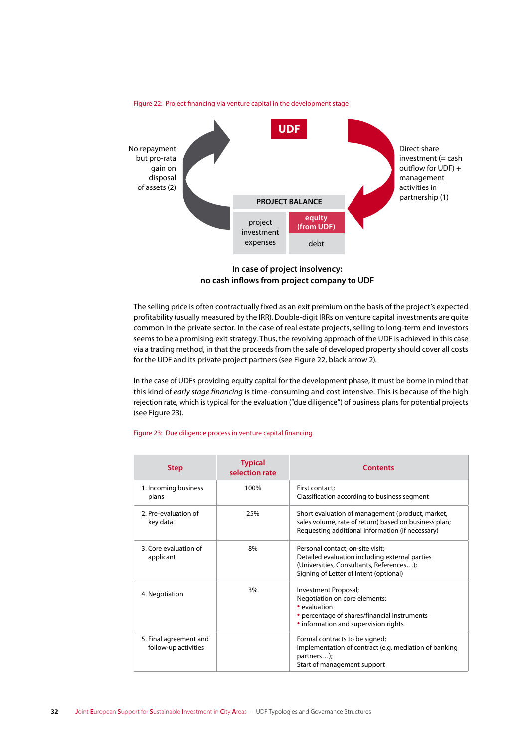

**In case of project insolvency: no cash inflows from project company to UDF**

The selling price is often contractually fixed as an exit premium on the basis of the project's expected profitability (usually measured by the IRR). Double-digit IRRs on venture capital investments are quite common in the private sector. In the case of real estate projects, selling to long-term end investors seems to be a promising exit strategy. Thus, the revolving approach of the UDF is achieved in this case via a trading method, in that the proceeds from the sale of developed property should cover all costs for the UDF and its private project partners (see Figure 22, black arrow 2).

In the case of UDFs providing equity capital for the development phase, it must be borne in mind that this kind of *early stage financing* is time-consuming and cost intensive. This is because of the high rejection rate, which is typical for the evaluation ("due diligence") of business plans for potential projects (see Figure 23).

| <b>Step</b>                                    | <b>Typical</b><br>selection rate | <b>Contents</b>                                                                                                                                                          |
|------------------------------------------------|----------------------------------|--------------------------------------------------------------------------------------------------------------------------------------------------------------------------|
| 1. Incoming business<br>plans                  | 100%                             | First contact;<br>Classification according to business segment                                                                                                           |
| 2. Pre-evaluation of<br>key data               | 25%                              | Short evaluation of management (product, market,<br>sales volume, rate of return) based on business plan;<br>Requesting additional information (if necessary)            |
| 3. Core evaluation of<br>applicant             | 8%                               | Personal contact, on-site visit;<br>Detailed evaluation including external parties<br>(Universities, Consultants, References);<br>Signing of Letter of Intent (optional) |
| 4. Negotiation                                 | 3%                               | Investment Proposal;<br>Negotiation on core elements:<br>• evaluation<br>• percentage of shares/financial instruments<br>• information and supervision rights            |
| 5. Final agreement and<br>follow-up activities |                                  | Formal contracts to be signed;<br>Implementation of contract (e.g. mediation of banking<br>partners);<br>Start of management support                                     |

#### Figure 23: Due diligence process in venture capital financing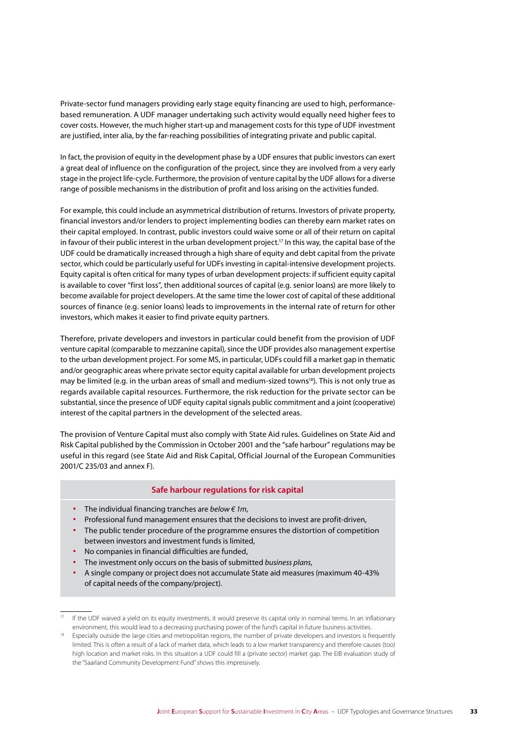Private-sector fund managers providing early stage equity financing are used to high, performancebased remuneration. A UDF manager undertaking such activity would equally need higher fees to cover costs. However, the much higher start-up and management costs for this type of UDF investment are justified, inter alia, by the far-reaching possibilities of integrating private and public capital.

In fact, the provision of equity in the development phase by a UDF ensures that public investors can exert a great deal of influence on the configuration of the project, since they are involved from a very early stage in the project life-cycle. Furthermore, the provision of venture capital by the UDF allows for a diverse range of possible mechanisms in the distribution of profit and loss arising on the activities funded.

For example, this could include an asymmetrical distribution of returns. Investors of private property, financial investors and/or lenders to project implementing bodies can thereby earn market rates on their capital employed. In contrast, public investors could waive some or all of their return on capital in favour of their public interest in the urban development project.<sup>17</sup> In this way, the capital base of the UDF could be dramatically increased through a high share of equity and debt capital from the private sector, which could be particularly useful for UDFs investing in capital-intensive development projects. Equity capital is often critical for many types of urban development projects: if sufficient equity capital is available to cover "first loss", then additional sources of capital (e.g. senior loans) are more likely to become available for project developers. At the same time the lower cost of capital of these additional sources of finance (e.g. senior loans) leads to improvements in the internal rate of return for other investors, which makes it easier to find private equity partners.

Therefore, private developers and investors in particular could benefit from the provision of UDF venture capital (comparable to mezzanine capital), since the UDF provides also management expertise to the urban development project. For some MS, in particular, UDFs could fill a market gap in thematic and/or geographic areas where private sector equity capital available for urban development projects may be limited (e.g. in the urban areas of small and medium-sized towns<sup>18</sup>). This is not only true as regards available capital resources. Furthermore, the risk reduction for the private sector can be substantial, since the presence of UDF equity capital signals public commitment and a joint (cooperative) interest of the capital partners in the development of the selected areas.

The provision of Venture Capital must also comply with State Aid rules. Guidelines on State Aid and Risk Capital published by the Commission in October 2001 and the "safe harbour" regulations may be useful in this regard (see State Aid and Risk Capital, Official Journal of the European Communities 2001/C 235/03 and annex F).

#### **Safe harbour regulations for risk capital**

- **∙** The individual financing tranches are *below € 1m*,
- **∙** Professional fund management ensures that the decisions to invest are profit-driven,
- **∙** The public tender procedure of the programme ensures the distortion of competition between investors and investment funds is limited,
- **∙** No companies in financial difficulties are funded,
- **∙** The investment only occurs on the basis of submitted *business plans,*
- **∙** A single company or project does not accumulate State aid measures (maximum 40-43% of capital needs of the company/project).

If the UDF waived a yield on its equity investments, it would preserve its capital only in nominal terms. In an inflationary environment, this would lead to a decreasing purchasing power of the fund's capital in future business activities.

<sup>&</sup>lt;sup>18</sup> Especially outside the large cities and metropolitan regions, the number of private developers and investors is frequently limited. This is often a result of a lack of market data, which leads to a low market transparency and therefore causes (too) high location and market risks. In this situation a UDF could fill a (private sector) market gap. The EIB evaluation study of the "Saarland Community Development Fund" shows this impressively.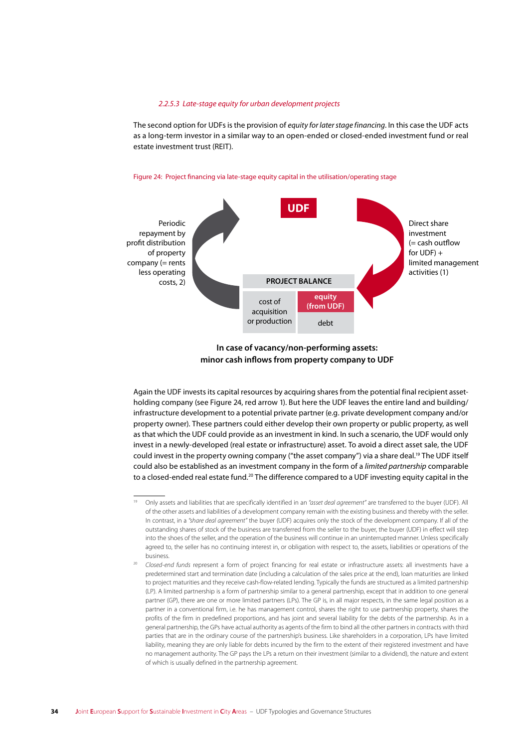#### *2.2.5.3 Late-stage equity for urban development projects*

The second option for UDFs is the provision of *equity for later stage financing*. In this case the UDF acts as a long-term investor in a similar way to an open-ended or closed-ended investment fund or real estate investment trust (REIT).

#### Figure 24: Project financing via late-stage equity capital in the utilisation/operating stage



**In case of vacancy/non-performing assets: minor cash inflows from property company to UDF**

Again the UDF invests its capital resources by acquiring shares from the potential final recipient assetholding company (see Figure 24, red arrow 1). But here the UDF leaves the entire land and building/ infrastructure development to a potential private partner (e.g. private development company and/or property owner). These partners could either develop their own property or public property, as well as that which the UDF could provide as an investment in kind. In such a scenario, the UDF would only invest in a newly-developed (real estate or infrastructure) asset. To avoid a direct asset sale, the UDF could invest in the property owning company ("the asset company") via a share deal.<sup>19</sup> The UDF itself could also be established as an investment company in the form of a *limited partnership* comparable to a closed-ended real estate fund.<sup>20</sup> The difference compared to a UDF investing equity capital in the

<sup>19</sup> Only assets and liabilities that are specifically identified in an *"asset deal agreement"* are transferred to the buyer (UDF). All of the other assets and liabilities of a development company remain with the existing business and thereby with the seller. In contrast, in a *"share deal agreement"* the buyer (UDF) acquires only the stock of the development company. If all of the outstanding shares of stock of the business are transferred from the seller to the buyer, the buyer (UDF) in effect will step into the shoes of the seller, and the operation of the business will continue in an uninterrupted manner. Unless specifically agreed to, the seller has no continuing interest in, or obligation with respect to, the assets, liabilities or operations of the business.

<sup>20</sup> *Closed-end funds* represent a form of project financing for real estate or infrastructure assets: all investments have a predetermined start and termination date (including a calculation of the sales price at the end), loan maturities are linked to project maturities and they receive cash-flow-related lending. Typically the funds are structured as a limited partnership (LP). A limited partnership is a form of partnership similar to a general partnership, except that in addition to one general partner (GP), there are one or more limited partners (LPs). The GP is, in all major respects, in the same legal position as a partner in a conventional firm, i.e. he has management control, shares the right to use partnership property, shares the profits of the firm in predefined proportions, and has joint and several liability for the debts of the partnership. As in a general partnership, the GPs have actual authority as agents of the firm to bind all the other partners in contracts with third parties that are in the ordinary course of the partnership's business. Like shareholders in a corporation, LPs have limited liability, meaning they are only liable for debts incurred by the firm to the extent of their registered investment and have no management authority. The GP pays the LPs a return on their investment (similar to a dividend), the nature and extent of which is usually defined in the partnership agreement.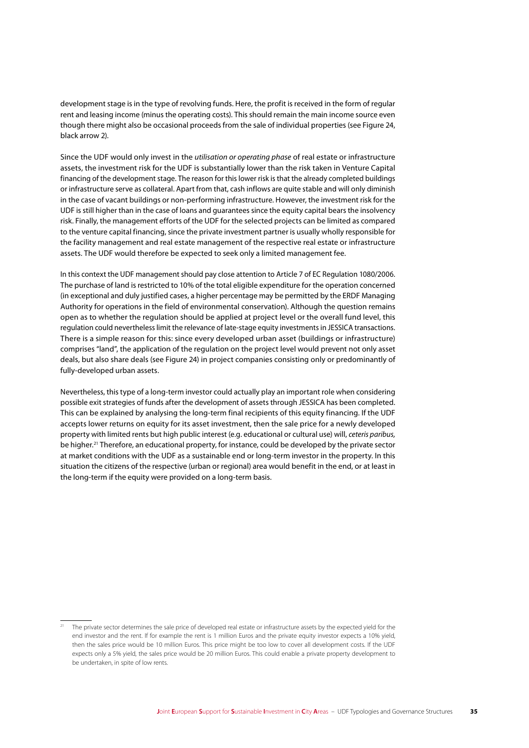development stage is in the type of revolving funds. Here, the profit is received in the form of regular rent and leasing income (minus the operating costs). This should remain the main income source even though there might also be occasional proceeds from the sale of individual properties (see Figure 24, black arrow 2).

Since the UDF would only invest in the *utilisation or operating phase* of real estate or infrastructure assets, the investment risk for the UDF is substantially lower than the risk taken in Venture Capital financing of the development stage. The reason for this lower risk is that the already completed buildings or infrastructure serve as collateral. Apart from that, cash inflows are quite stable and will only diminish in the case of vacant buildings or non-performing infrastructure. However, the investment risk for the UDF is still higher than in the case of loans and guarantees since the equity capital bears the insolvency risk. Finally, the management efforts of the UDF for the selected projects can be limited as compared to the venture capital financing, since the private investment partner is usually wholly responsible for the facility management and real estate management of the respective real estate or infrastructure assets. The UDF would therefore be expected to seek only a limited management fee.

In this context the UDF management should pay close attention to Article 7 of EC Regulation 1080/2006. The purchase of land is restricted to 10% of the total eligible expenditure for the operation concerned (in exceptional and duly justified cases, a higher percentage may be permitted by the ERDF Managing Authority for operations in the field of environmental conservation). Although the question remains open as to whether the regulation should be applied at project level or the overall fund level, this regulation could nevertheless limit the relevance of late-stage equity investments in JESSICA transactions. There is a simple reason for this: since every developed urban asset (buildings or infrastructure) comprises "land", the application of the regulation on the project level would prevent not only asset deals, but also share deals (see Figure 24) in project companies consisting only or predominantly of fully-developed urban assets.

Nevertheless, this type of a long-term investor could actually play an important role when considering possible exit strategies of funds after the development of assets through JESSICA has been completed. This can be explained by analysing the long-term final recipients of this equity financing. If the UDF accepts lower returns on equity for its asset investment, then the sale price for a newly developed property with limited rents but high public interest (e.g. educational or cultural use) will, *ceteris paribus,* be higher.<sup>21</sup> Therefore, an educational property, for instance, could be developed by the private sector at market conditions with the UDF as a sustainable end or long-term investor in the property. In this situation the citizens of the respective (urban or regional) area would benefit in the end, or at least in the long-term if the equity were provided on a long-term basis.

<sup>&</sup>lt;sup>21</sup> The private sector determines the sale price of developed real estate or infrastructure assets by the expected yield for the end investor and the rent. If for example the rent is 1 million Euros and the private equity investor expects a 10% yield, then the sales price would be 10 million Euros. This price might be too low to cover all development costs. If the UDF expects only a 5% yield, the sales price would be 20 million Euros. This could enable a private property development to be undertaken, in spite of low rents.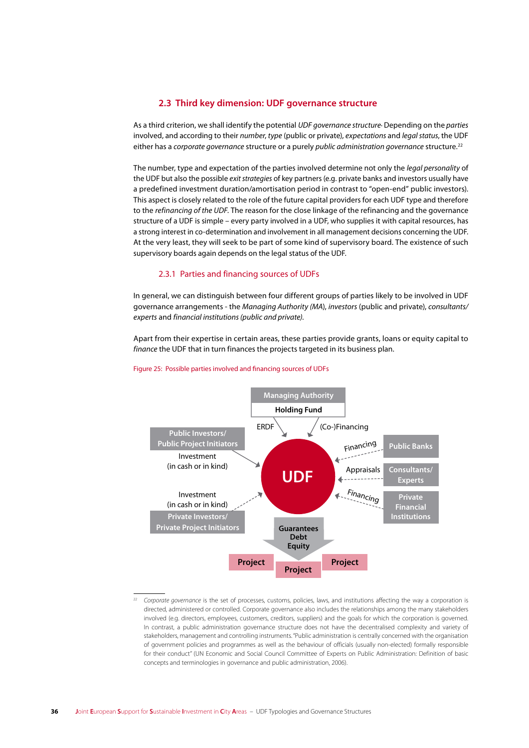# 2.3 Third key dimension: UDF governance structure

As a third criterion, we shall identify the potential UDF governance structure Depending on the parties involved, and according to their number, type (public or private), expectations and legal status, the UDF either has a corporate governance structure or a purely public administration governance structure.<sup>22</sup>

The number, type and expectation of the parties involved determine not only the legal personality of the UDF but also the possible exit strategies of key partners (e.g. private banks and investors usually have a predefined investment duration/amortisation period in contrast to "open-end" public investors). This aspect is closely related to the role of the future capital providers for each UDF type and therefore to the refinancing of the UDF. The reason for the close linkage of the refinancing and the governance structure of a UDF is simple - every party involved in a UDF, who supplies it with capital resources, has a strong interest in co-determination and involvement in all management decisions concerning the UDF. At the very least, they will seek to be part of some kind of supervisory board. The existence of such supervisory boards again depends on the legal status of the UDF.

### 2.3.1 Parties and financing sources of UDFs

In general, we can distinguish between four different groups of parties likely to be involved in UDF governance arrangements - the Managing Authority (MA), investors (public and private), consultants/ experts and financial institutions (public and private).

Apart from their expertise in certain areas, these parties provide grants, loans or equity capital to finance the UDF that in turn finances the projects targeted in its business plan.



#### Figure 25: Possible parties involved and financing sources of UDFs

Corporate governance is the set of processes, customs, policies, laws, and institutions affecting the way a corporation is directed, administered or controlled. Corporate governance also includes the relationships among the many stakeholders involved (e.g. directors, employees, customers, creditors, suppliers) and the goals for which the corporation is governed. In contrast, a public administration governance structure does not have the decentralised complexity and variety of stakeholders, management and controlling instruments. "Public administration is centrally concerned with the organisation of government policies and programmes as well as the behaviour of officials (usually non-elected) formally responsible for their conduct" (UN Fconomic and Social Council Committee of Experts on Public Administration: Definition of basic concepts and terminologies in governance and public administration, 2006).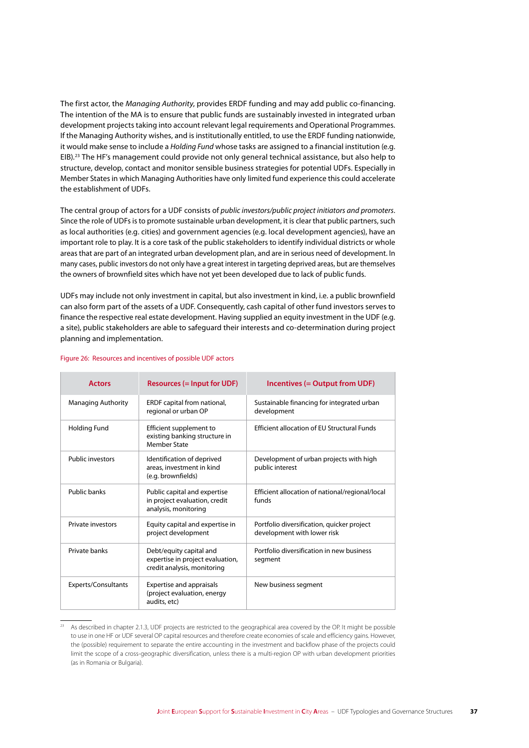The first actor, the *Managing Authority*, provides ERDF funding and may add public co-financing. The intention of the MA is to ensure that public funds are sustainably invested in integrated urban development projects taking into account relevant legal requirements and Operational Programmes. If the Managing Authority wishes, and is institutionally entitled, to use the ERDF funding nationwide, it would make sense to include a *Holding Fund* whose tasks are assigned to a financial institution (e.g. EIB).23 The HF's management could provide not only general technical assistance, but also help to structure, develop, contact and monitor sensible business strategies for potential UDFs. Especially in Member States in which Managing Authorities have only limited fund experience this could accelerate the establishment of UDFs.

The central group of actors for a UDF consists of *public investors/public project initiators and promoters*. Since the role of UDFs is to promote sustainable urban development, it is clear that public partners, such as local authorities (e.g. cities) and government agencies (e.g. local development agencies), have an important role to play. It is a core task of the public stakeholders to identify individual districts or whole areas that are part of an integrated urban development plan, and are in serious need of development. In many cases, public investors do not only have a great interest in targeting deprived areas, but are themselves the owners of brownfield sites which have not yet been developed due to lack of public funds.

UDFs may include not only investment in capital, but also investment in kind, i.e. a public brownfield can also form part of the assets of a UDF. Consequently, cash capital of other fund investors serves to finance the respective real estate development. Having supplied an equity investment in the UDF (e.g. a site), public stakeholders are able to safeguard their interests and co-determination during project planning and implementation.

| <b>Actors</b>             | <b>Resources (= Input for UDF)</b>                                                         | Incentives (= Output from UDF)                                            |
|---------------------------|--------------------------------------------------------------------------------------------|---------------------------------------------------------------------------|
| <b>Managing Authority</b> | ERDF capital from national,<br>regional or urban OP                                        | Sustainable financing for integrated urban<br>development                 |
| <b>Holding Fund</b>       | Efficient supplement to<br>existing banking structure in<br>Member State                   | <b>Efficient allocation of EU Structural Funds</b>                        |
| <b>Public investors</b>   | Identification of deprived<br>areas, investment in kind<br>(e.g. brownfields)              | Development of urban projects with high<br>public interest                |
| Public banks              | Public capital and expertise<br>in project evaluation, credit<br>analysis, monitoring      | Efficient allocation of national/regional/local<br>funds                  |
| Private investors         | Equity capital and expertise in<br>project development                                     | Portfolio diversification, quicker project<br>development with lower risk |
| Private banks             | Debt/equity capital and<br>expertise in project evaluation,<br>credit analysis, monitoring | Portfolio diversification in new business<br>segment                      |
| Experts/Consultants       | Expertise and appraisals<br>(project evaluation, energy<br>audits, etc)                    | New business segment                                                      |

#### Figure 26: Resources and incentives of possible UDF actors

<sup>&</sup>lt;sup>23</sup> As described in chapter 2.1.3, UDF projects are restricted to the geographical area covered by the OP. It might be possible to use in one HF or UDF several OP capital resources and therefore create economies of scale and efficiency gains. However, the (possible) requirement to separate the entire accounting in the investment and backflow phase of the projects could limit the scope of a cross-geographic diversification, unless there is a multi-region OP with urban development priorities (as in Romania or Bulgaria).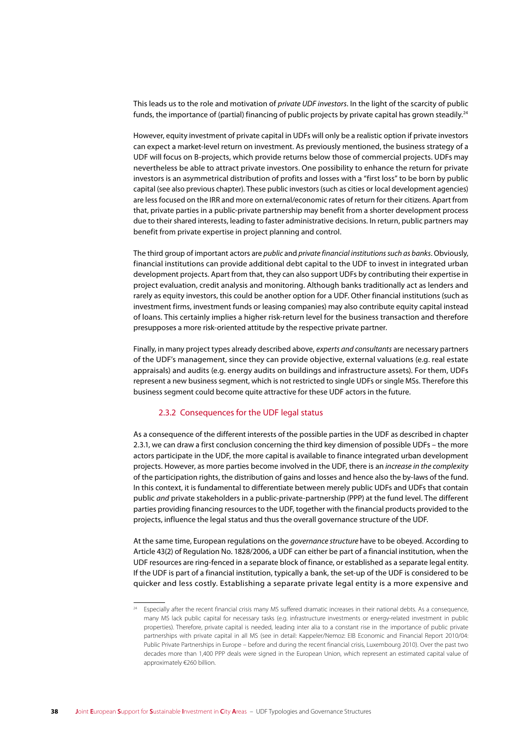This leads us to the role and motivation of private UDF investors. In the light of the scarcity of public funds, the importance of (partial) financing of public projects by private capital has grown steadily.<sup>24</sup>

However, equity investment of private capital in UDFs will only be a realistic option if private investors can expect a market-level return on investment. As previously mentioned, the business strategy of a UDF will focus on B-projects, which provide returns below those of commercial projects. UDFs may nevertheless be able to attract private investors. One possibility to enhance the return for private investors is an asymmetrical distribution of profits and losses with a "first loss" to be born by public capital (see also previous chapter). These public investors (such as cities or local development agencies) are less focused on the IRR and more on external/economic rates of return for their citizens. Apart from that, private parties in a public-private partnership may benefit from a shorter development process due to their shared interests, leading to faster administrative decisions. In return, public partners may benefit from private expertise in project planning and control.

The third group of important actors are public and private financial institutions such as banks. Obviously, financial institutions can provide additional debt capital to the UDF to invest in integrated urban development projects. Apart from that, they can also support UDFs by contributing their expertise in project evaluation, credit analysis and monitoring. Although banks traditionally act as lenders and rarely as equity investors, this could be another option for a UDF. Other financial institutions (such as investment firms, investment funds or leasing companies) may also contribute equity capital instead of loans. This certainly implies a higher risk-return level for the business transaction and therefore presupposes a more risk-oriented attitude by the respective private partner.

Finally, in many project types already described above, experts and consultants are necessary partners of the UDF's management, since they can provide objective, external valuations (e.g. real estate appraisals) and audits (e.g. energy audits on buildings and infrastructure assets). For them, UDFs represent a new business segment, which is not restricted to single UDFs or single MSs. Therefore this business segment could become quite attractive for these UDF actors in the future.

### 2.3.2 Consequences for the UDF legal status

As a consequence of the different interests of the possible parties in the UDF as described in chapter 2.3.1, we can draw a first conclusion concerning the third key dimension of possible UDFs - the more actors participate in the UDF, the more capital is available to finance integrated urban development projects. However, as more parties become involved in the UDF, there is an increase in the complexity of the participation rights, the distribution of gains and losses and hence also the by-laws of the fund. In this context, it is fundamental to differentiate between merely public UDFs and UDFs that contain public and private stakeholders in a public-private-partnership (PPP) at the fund level. The different parties providing financing resources to the UDF, together with the financial products provided to the projects, influence the legal status and thus the overall governance structure of the UDF.

At the same time. European regulations on the *governance structure* have to be obeved. According to Article 43(2) of Regulation No. 1828/2006, a UDF can either be part of a financial institution, when the UDF resources are ring-fenced in a separate block of finance, or established as a separate legal entity. If the UDF is part of a financial institution, typically a bank, the set-up of the UDF is considered to be quicker and less costly. Establishing a separate private legal entity is a more expensive and

<sup>&</sup>lt;sup>24</sup> Especially after the recent financial crisis many MS suffered dramatic increases in their national debts. As a consequence, many MS lack public capital for necessary tasks (e.g. infrastructure investments or energy-related investment in public properties). Therefore, private capital is needed, leading inter alia to a constant rise in the importance of public private partnerships with private capital in all MS (see in detail: Kappeler/Nemoz: EIB Economic and Financial Report 2010/04: Public Private Partnerships in Europe - before and during the recent financial crisis, Luxembourg 2010). Over the past two decades more than 1,400 PPP deals were signed in the European Union, which represent an estimated capital value of approximately €260 billion.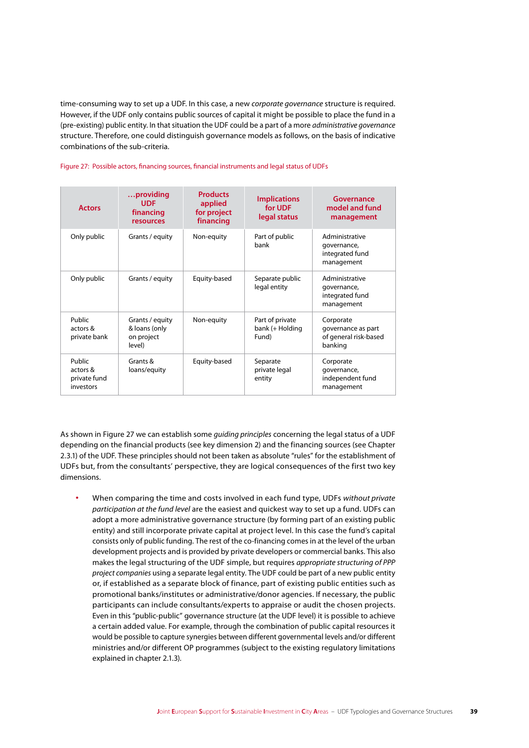time-consuming way to set up a UDF. In this case, a new *corporate governance* structure is required. However, if the UDF only contains public sources of capital it might be possible to place the fund in a (pre-existing) public entity. In that situation the UDF could be a part of a more *administrative governance* structure. Therefore, one could distinguish governance models as follows, on the basis of indicative combinations of the sub-criteria.

| <b>Actors</b>                                   | providing<br><b>UDF</b><br>financing<br>resources        | <b>Products</b><br>applied<br>for project<br>financing | <b>Implications</b><br>for UDF<br>legal status | Governance<br>model and fund<br>management                          |
|-------------------------------------------------|----------------------------------------------------------|--------------------------------------------------------|------------------------------------------------|---------------------------------------------------------------------|
| Only public                                     | Grants / equity                                          | Non-equity                                             | Part of public<br>hank                         | Administrative<br>governance,<br>integrated fund<br>management      |
| Only public                                     | Grants / equity                                          | Equity-based                                           | Separate public<br>legal entity                | Administrative<br>governance,<br>integrated fund<br>management      |
| Public<br>actors &<br>private bank              | Grants / equity<br>& loans (only<br>on project<br>level) | Non-equity                                             | Part of private<br>bank (+ Holding<br>Fund)    | Corporate<br>governance as part<br>of general risk-based<br>banking |
| Public<br>actors &<br>private fund<br>investors | Grants &<br>loans/equity                                 | Equity-based                                           | Separate<br>private legal<br>entity            | Corporate<br>governance,<br>independent fund<br>management          |

### Figure 27: Possible actors, financing sources, financial instruments and legal status of UDFs

As shown in Figure 27 we can establish some *guiding principles* concerning the legal status of a UDF depending on the financial products (see key dimension 2) and the financing sources (see Chapter 2.3.1) of the UDF. These principles should not been taken as absolute "rules" for the establishment of UDFs but, from the consultants' perspective, they are logical consequences of the first two key dimensions.

**∙** When comparing the time and costs involved in each fund type, UDFs *without private participation at the fund level* are the easiest and quickest way to set up a fund. UDFs can adopt a more administrative governance structure (by forming part of an existing public entity) and still incorporate private capital at project level. In this case the fund's capital consists only of public funding. The rest of the co-financing comes in at the level of the urban development projects and is provided by private developers or commercial banks. This also makes the legal structuring of the UDF simple, but requires *appropriate structuring of PPP project companies* using a separate legal entity. The UDF could be part of a new public entity or, if established as a separate block of finance, part of existing public entities such as promotional banks/institutes or administrative/donor agencies. If necessary, the public participants can include consultants/experts to appraise or audit the chosen projects. Even in this "public-public" governance structure (at the UDF level) it is possible to achieve a certain added value. For example, through the combination of public capital resources it would be possible to capture synergies between different governmental levels and/or different ministries and/or different OP programmes (subject to the existing regulatory limitations explained in chapter 2.1.3).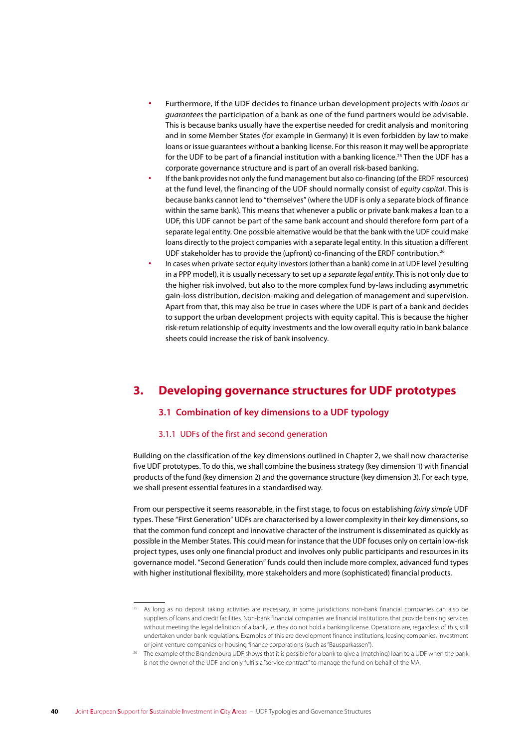- **∙** Furthermore, if the UDF decides to finance urban development projects with *loans or guarantees* the participation of a bank as one of the fund partners would be advisable. This is because banks usually have the expertise needed for credit analysis and monitoring and in some Member States (for example in Germany) it is even forbidden by law to make loans or issue guarantees without a banking license. For this reason it may well be appropriate for the UDF to be part of a financial institution with a banking licence.<sup>25</sup> Then the UDF has a corporate governance structure and is part of an overall risk-based banking.
- **∙** If the bank provides not only the fund management but also co-financing (of the ERDF resources) at the fund level, the financing of the UDF should normally consist of *equity capital*. This is because banks cannot lend to "themselves" (where the UDF is only a separate block of finance within the same bank). This means that whenever a public or private bank makes a loan to a UDF, this UDF cannot be part of the same bank account and should therefore form part of a separate legal entity. One possible alternative would be that the bank with the UDF could make loans directly to the project companies with a separate legal entity. In this situation a different UDF stakeholder has to provide the (upfront) co-financing of the ERDF contribution.<sup>26</sup>
- **∙** In cases when private sector equity investors (other than a bank) come in at UDF level (resulting in a PPP model), it is usually necessary to set up a *separate legal entity*. This is not only due to the higher risk involved, but also to the more complex fund by-laws including asymmetric gain-loss distribution, decision-making and delegation of management and supervision. Apart from that, this may also be true in cases where the UDF is part of a bank and decides to support the urban development projects with equity capital. This is because the higher risk-return relationship of equity investments and the low overall equity ratio in bank balance sheets could increase the risk of bank insolvency.

# **3. Developing governance structures for UDF prototypes**

# **3.1 Combination of key dimensions to a UDF typology**

## 3.1.1 UDFs of the first and second generation

Building on the classification of the key dimensions outlined in Chapter 2, we shall now characterise five UDF prototypes. To do this, we shall combine the business strategy (key dimension 1) with financial products of the fund (key dimension 2) and the governance structure (key dimension 3). For each type, we shall present essential features in a standardised way.

From our perspective it seems reasonable, in the first stage, to focus on establishing *fairly simple* UDF types. These "First Generation" UDFs are characterised by a lower complexity in their key dimensions, so that the common fund concept and innovative character of the instrument is disseminated as quickly as possible in the Member States. This could mean for instance that the UDF focuses only on certain low-risk project types, uses only one financial product and involves only public participants and resources in its governance model. "Second Generation" funds could then include more complex, advanced fund types with higher institutional flexibility, more stakeholders and more (sophisticated) financial products.

<sup>&</sup>lt;sup>25</sup> As long as no deposit taking activities are necessary, in some jurisdictions non-bank financial companies can also be suppliers of loans and credit facilities. Non-bank financial companies are financial institutions that provide banking services without meeting the legal definition of a bank, i.e. they do not hold a banking license. Operations are, regardless of this, still undertaken under bank regulations. Examples of this are development finance institutions, leasing companies, investment or joint-venture companies or housing finance corporations (such as "Bausparkassen").

<sup>26</sup> The example of the Brandenburg UDF shows that it is possible for a bank to give a (matching) loan to a UDF when the bank is not the owner of the UDF and only fulfils a "service contract" to manage the fund on behalf of the MA.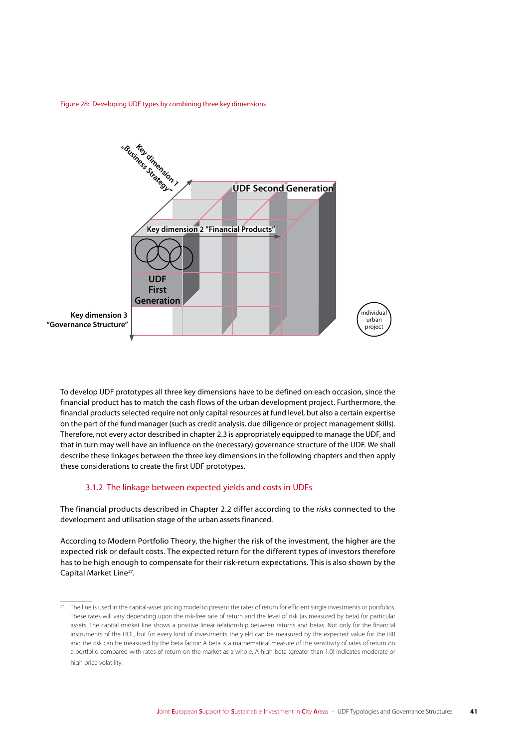Figure 28: Developing UDF types by combining three key dimensions



To develop UDF prototypes all three key dimensions have to be defined on each occasion, since the financial product has to match the cash flows of the urban development project. Furthermore, the financial products selected require not only capital resources at fund level, but also a certain expertise on the part of the fund manager (such as credit analysis, due diligence or project management skills). Therefore, not every actor described in chapter 2.3 is appropriately equipped to manage the UDF, and that in turn may well have an influence on the (necessary) governance structure of the UDF. We shall describe these linkages between the three key dimensions in the following chapters and then apply these considerations to create the first UDF prototypes.

### 3.1.2 The linkage between expected yields and costs in UDFs

The financial products described in Chapter 2.2 differ according to the *risks* connected to the development and utilisation stage of the urban assets financed.

According to Modern Portfolio Theory, the higher the risk of the investment, the higher are the expected risk or default costs. The expected return for the different types of investors therefore has to be high enough to compensate for their risk-return expectations. This is also shown by the Capital Market Line27.

<sup>27</sup> The line is used in the capital-asset pricing model to present the rates of return for efficient single investments or portfolios. These rates will vary depending upon the risk-free rate of return and the level of risk (as measured by beta) for particular assets. The capital market line shows a positive linear relationship between returns and betas. Not only for the financial instruments of the UDF, but for every kind of investments the yield can be measured by the expected value for the IRR and the risk can be measured by the beta factor: A beta is a mathematical measure of the sensitivity of rates of return on a portfolio compared with rates of return on the market as a whole. A high beta (greater than 1.0) indicates moderate or high price volatility.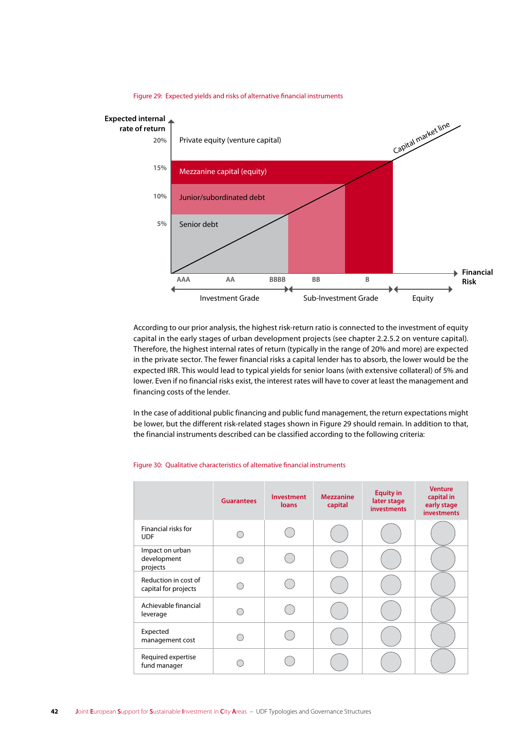

Figure 29: Expected yields and risks of alternative financial instruments

According to our prior analysis, the highest risk-return ratio is connected to the investment of equity capital in the early stages of urban development projects (see chapter 2.2.5.2 on venture capital). Therefore, the highest internal rates of return (typically in the range of 20% and more) are expected in the private sector. The fewer financial risks a capital lender has to absorb, the lower would be the expected IRR. This would lead to typical yields for senior loans (with extensive collateral) of 5% and lower. Even if no financial risks exist, the interest rates will have to cover at least the management and financing costs of the lender.

In the case of additional public financing and public fund management, the return expectations might be lower, but the different risk-related stages shown in Figure 29 should remain. In addition to that, the financial instruments described can be classified according to the following criteria:

|                                              | <b>Guarantees</b> | <b>Investment</b><br>loans | <b>Mezzanine</b><br>capital | <b>Equity in</b><br>later stage<br><b>investments</b> | <b>Venture</b><br>capital in<br>early stage<br><b>investments</b> |
|----------------------------------------------|-------------------|----------------------------|-----------------------------|-------------------------------------------------------|-------------------------------------------------------------------|
| Financial risks for<br><b>UDF</b>            |                   |                            |                             |                                                       |                                                                   |
| Impact on urban<br>development<br>projects   |                   |                            |                             |                                                       |                                                                   |
| Reduction in cost of<br>capital for projects |                   |                            |                             |                                                       |                                                                   |
| Achievable financial<br>leverage             |                   |                            |                             |                                                       |                                                                   |
| Expected<br>management cost                  |                   |                            |                             |                                                       |                                                                   |
| Required expertise<br>fund manager           |                   |                            |                             |                                                       |                                                                   |

#### Figure 30: Qualitative characteristics of alternative financial instruments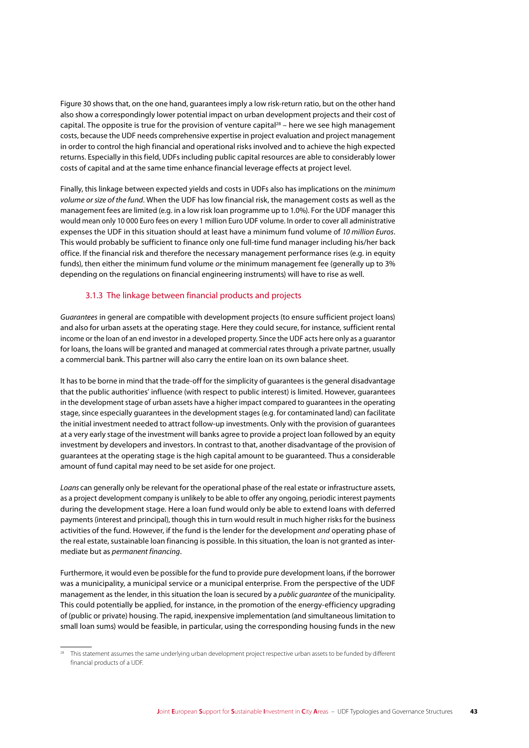Figure 30 shows that, on the one hand, guarantees imply a low risk-return ratio, but on the other hand also show a correspondingly lower potential impact on urban development projects and their cost of capital. The opposite is true for the provision of venture capital<sup>28</sup> – here we see high management costs, because the UDF needs comprehensive expertise in project evaluation and project management in order to control the high financial and operational risks involved and to achieve the high expected returns. Especially in this field, UDFs including public capital resources are able to considerably lower costs of capital and at the same time enhance financial leverage effects at project level.

Finally, this linkage between expected yields and costs in UDFs also has implications on the *minimum volume or size of the fund*. When the UDF has low financial risk, the management costs as well as the management fees are limited (e.g. in a low risk loan programme up to 1.0%). For the UDF manager this would mean only 10 000 Euro fees on every 1 million Euro UDF volume. In order to cover all administrative expenses the UDF in this situation should at least have a minimum fund volume of *10 million Euros*. This would probably be sufficient to finance only one full-time fund manager including his/her back office. If the financial risk and therefore the necessary management performance rises (e.g. in equity funds), then either the minimum fund volume *or* the minimum management fee (generally up to 3% depending on the regulations on financial engineering instruments) will have to rise as well.

### 3.1.3 The linkage between financial products and projects

*Guarantees* in general are compatible with development projects (to ensure sufficient project loans) and also for urban assets at the operating stage. Here they could secure, for instance, sufficient rental income or the loan of an end investor in a developed property. Since the UDF acts here only as a guarantor for loans, the loans will be granted and managed at commercial rates through a private partner, usually a commercial bank. This partner will also carry the entire loan on its own balance sheet.

It has to be borne in mind that the trade-off for the simplicity of guarantees is the general disadvantage that the public authorities' influence (with respect to public interest) is limited. However, guarantees in the development stage of urban assets have a higher impact compared to guarantees in the operating stage, since especially guarantees in the development stages (e.g. for contaminated land) can facilitate the initial investment needed to attract follow-up investments. Only with the provision of guarantees at a very early stage of the investment will banks agree to provide a project loan followed by an equity investment by developers and investors. In contrast to that, another disadvantage of the provision of guarantees at the operating stage is the high capital amount to be guaranteed. Thus a considerable amount of fund capital may need to be set aside for one project.

*Loans* can generally only be relevant for the operational phase of the real estate or infrastructure assets, as a project development company is unlikely to be able to offer any ongoing, periodic interest payments during the development stage. Here a loan fund would only be able to extend loans with deferred payments (interest and principal), though this in turn would result in much higher risks for the business activities of the fund. However, if the fund is the lender for the development *and* operating phase of the real estate, sustainable loan financing is possible. In this situation, the loan is not granted as intermediate but as *permanent financing*.

Furthermore, it would even be possible for the fund to provide pure development loans, if the borrower was a municipality, a municipal service or a municipal enterprise. From the perspective of the UDF management as the lender, in this situation the loan is secured by a *public guarantee* of the municipality. This could potentially be applied, for instance, in the promotion of the energy-efficiency upgrading of (public or private) housing. The rapid, inexpensive implementation (and simultaneous limitation to small loan sums) would be feasible, in particular, using the corresponding housing funds in the new

<sup>28</sup> This statement assumes the same underlying urban development project respective urban assets to be funded by different financial products of a UDF.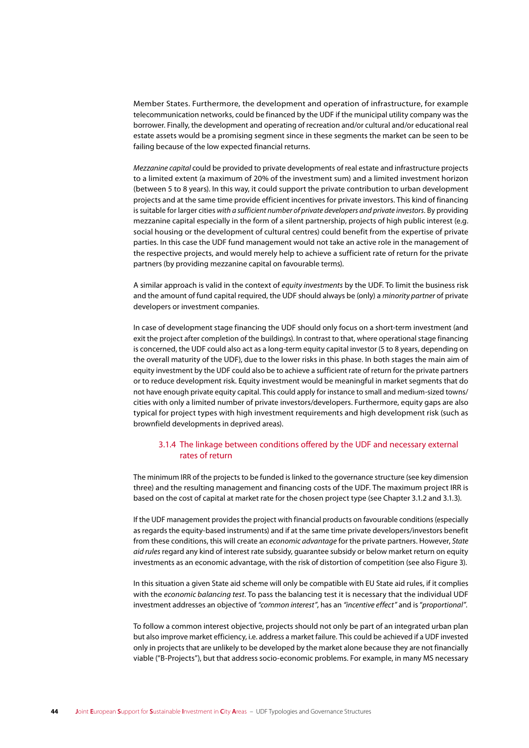Member States. Furthermore, the development and operation of infrastructure, for example telecommunication networks, could be financed by the UDF if the municipal utility company was the borrower. Finally, the development and operating of recreation and/or cultural and/or educational real estate assets would be a promising segment since in these segments the market can be seen to be failing because of the low expected financial returns.

Mezzanine capital could be provided to private developments of real estate and infrastructure projects to a limited extent (a maximum of 20% of the investment sum) and a limited investment horizon (between 5 to 8 years). In this way, it could support the private contribution to urban development projects and at the same time provide efficient incentives for private investors. This kind of financing is suitable for larger cities with a sufficient number of private developers and private investors. By providing mezzanine capital especially in the form of a silent partnership, projects of high public interest (e.g. social housing or the development of cultural centres) could benefit from the expertise of private parties. In this case the UDF fund management would not take an active role in the management of the respective projects, and would merely help to achieve a sufficient rate of return for the private partners (by providing mezzanine capital on favourable terms).

A similar approach is valid in the context of equity investments by the UDF. To limit the business risk and the amount of fund capital required, the UDF should always be (only) a minority partner of private developers or investment companies.

In case of development stage financing the UDF should only focus on a short-term investment (and exit the project after completion of the buildings). In contrast to that, where operational stage financing is concerned, the UDF could also act as a long-term equity capital investor (5 to 8 years, depending on the overall maturity of the UDF), due to the lower risks in this phase. In both stages the main aim of equity investment by the UDF could also be to achieve a sufficient rate of return for the private partners or to reduce development risk. Equity investment would be meaningful in market segments that do not have enough private equity capital. This could apply for instance to small and medium-sized towns/ cities with only a limited number of private investors/developers. Furthermore, equity gaps are also typical for project types with high investment requirements and high development risk (such as brownfield developments in deprived areas).

# 3.1.4 The linkage between conditions offered by the UDF and necessary external rates of return

The minimum IRR of the projects to be funded is linked to the governance structure (see key dimension three) and the resulting management and financing costs of the UDF. The maximum project IRR is based on the cost of capital at market rate for the chosen project type (see Chapter 3.1.2 and 3.1.3).

If the UDF management provides the project with financial products on favourable conditions (especially as regards the equity-based instruments) and if at the same time private developers/investors benefit from these conditions, this will create an economic advantage for the private partners. However, State aid rules regard any kind of interest rate subsidy, quarantee subsidy or below market return on equity investments as an economic advantage, with the risk of distortion of competition (see also Figure 3).

In this situation a given State aid scheme will only be compatible with EU State aid rules, if it complies with the economic balancing test. To pass the balancing test it is necessary that the individual UDF investment addresses an objective of "common interest", has an "incentive effect" and is "proportional".

To follow a common interest objective, projects should not only be part of an integrated urban plan but also improve market efficiency, i.e. address a market failure. This could be achieved if a UDF invested only in projects that are unlikely to be developed by the market alone because they are not financially viable ("B-Projects"), but that address socio-economic problems. For example, in many MS necessary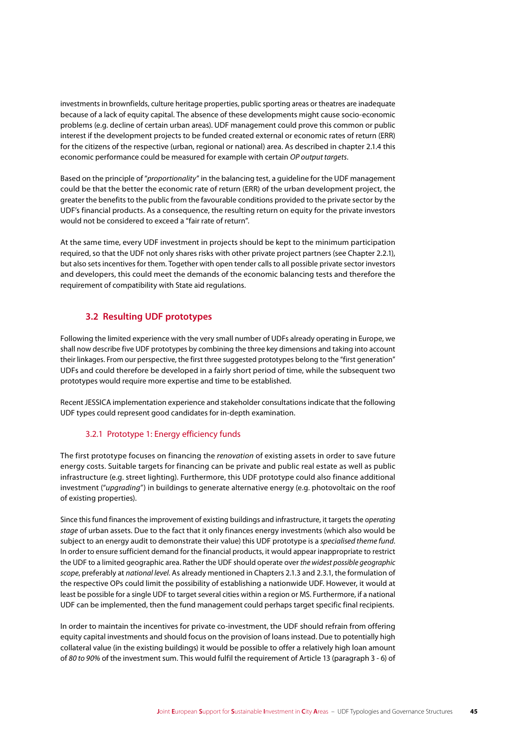investments in brownfields, culture heritage properties, public sporting areas or theatres are inadequate because of a lack of equity capital. The absence of these developments might cause socio-economic problems (e.g. decline of certain urban areas). UDF management could prove this common or public interest if the development projects to be funded created external or economic rates of return (ERR) for the citizens of the respective (urban, regional or national) area. As described in chapter 2.1.4 this economic performance could be measured for example with certain *OP output targets*.

Based on the principle of "*proportionality*" in the balancing test, a guideline for the UDF management could be that the better the economic rate of return (ERR) of the urban development project, the greater the benefits to the public from the favourable conditions provided to the private sector by the UDF's financial products. As a consequence, the resulting return on equity for the private investors would not be considered to exceed a "fair rate of return".

At the same time, every UDF investment in projects should be kept to the minimum participation required, so that the UDF not only shares risks with other private project partners (see Chapter 2.2.1), but also sets incentives for them. Together with open tender calls to all possible private sector investors and developers, this could meet the demands of the economic balancing tests and therefore the requirement of compatibility with State aid regulations.

# **3.2 Resulting UDF prototypes**

Following the limited experience with the very small number of UDFs already operating in Europe, we shall now describe five UDF prototypes by combining the three key dimensions and taking into account their linkages. From our perspective, the first three suggested prototypes belong to the "first generation" UDFs and could therefore be developed in a fairly short period of time, while the subsequent two prototypes would require more expertise and time to be established.

Recent JESSICA implementation experience and stakeholder consultations indicate that the following UDF types could represent good candidates for in-depth examination.

# 3.2.1 Prototype 1: Energy efficiency funds

The first prototype focuses on financing the *renovation* of existing assets in order to save future energy costs. Suitable targets for financing can be private and public real estate as well as public infrastructure (e.g. street lighting). Furthermore, this UDF prototype could also finance additional investment ("*upgrading*") in buildings to generate alternative energy (e.g. photovoltaic on the roof of existing properties).

Since this fund finances the improvement of existing buildings and infrastructure, it targets the *operating stage* of urban assets. Due to the fact that it only finances energy investments (which also would be subject to an energy audit to demonstrate their value) this UDF prototype is a *specialised theme fund*. In order to ensure sufficient demand for the financial products, it would appear inappropriate to restrict the UDF to a limited geographic area. Rather the UDF should operate over *the widest possible geographic scope*, preferably at *national level.* As already mentioned in Chapters 2.1.3 and 2.3.1, the formulation of the respective OPs could limit the possibility of establishing a nationwide UDF. However, it would at least be possible for a single UDF to target several cities within a region or MS. Furthermore, if a national UDF can be implemented, then the fund management could perhaps target specific final recipients.

In order to maintain the incentives for private co-investment, the UDF should refrain from offering equity capital investments and should focus on the provision of loans instead. Due to potentially high collateral value (in the existing buildings) it would be possible to offer a relatively high loan amount of *80 to 90%* of the investment sum. This would fulfil the requirement of Article 13 (paragraph 3 - 6) of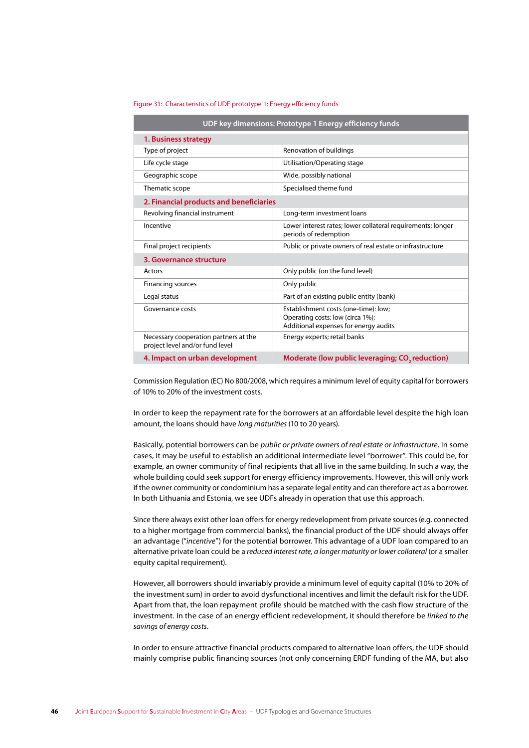#### Figure 31: Characteristics of UDF prototype 1: Energy efficiency funds

| UDF key dimensions: Prototype 1 Energy efficiency funds                  |                                                                                                                   |  |  |
|--------------------------------------------------------------------------|-------------------------------------------------------------------------------------------------------------------|--|--|
| 1. Business strategy                                                     |                                                                                                                   |  |  |
| Type of project                                                          | Renovation of buildings                                                                                           |  |  |
| Life cycle stage                                                         | Utilisation/Operating stage                                                                                       |  |  |
| Geographic scope                                                         | Wide, possibly national                                                                                           |  |  |
| Thematic scope                                                           | Specialised theme fund                                                                                            |  |  |
| 2. Financial products and beneficiaries                                  |                                                                                                                   |  |  |
| Revolving financial instrument                                           | Long-term investment loans                                                                                        |  |  |
| Incentive                                                                | Lower interest rates; lower collateral requirements; longer<br>periods of redemption                              |  |  |
| Final project recipients                                                 | Public or private owners of real estate or infrastructure                                                         |  |  |
| 3. Governance structure                                                  |                                                                                                                   |  |  |
| Actors                                                                   | Only public (on the fund level)                                                                                   |  |  |
| Financing sources                                                        | Only public                                                                                                       |  |  |
| Legal status                                                             | Part of an existing public entity (bank)                                                                          |  |  |
| Governance costs                                                         | Establishment costs (one-time): low;<br>Operating costs: low (circa 1%);<br>Additional expenses for energy audits |  |  |
| Necessary cooperation partners at the<br>project level and/or fund level | Energy experts; retail banks                                                                                      |  |  |
| 4. Impact on urban development                                           | Moderate (low public leveraging; CO <sub>2</sub> reduction)                                                       |  |  |

Commission Regulation (EC) No 800/2008, which requires a minimum level of equity capital for borrowers of 10% to 20% of the investment costs.

In order to keep the repayment rate for the borrowers at an affordable level despite the high loan amount, the loans should have *long maturities* (10 to 20 years).

Basically, potential borrowers can be *public or private owners of real estate or infrastructure*. In some cases, it may be useful to establish an additional intermediate level "borrower". This could be, for example, an owner community of final recipients that all live in the same building. In such a way, the whole building could seek support for energy efficiency improvements. However, this will only work if the owner community or condominium has a separate legal entity and can therefore act as a borrower. In both Lithuania and Estonia, we see UDFs already in operation that use this approach.

Since there always exist other loan offers for energy redevelopment from private sources (e.g. connected to a higher mortgage from commercial banks), the financial product of the UDF should always offer an advantage ("*incentive*") for the potential borrower. This advantage of a UDF loan compared to an alternative private loan could be a *reduced interest rate, a longer maturity or lower collateral* (or a smaller equity capital requirement).

However, all borrowers should invariably provide a minimum level of equity capital (10% to 20% of the investment sum) in order to avoid dysfunctional incentives and limit the default risk for the UDF. Apart from that, the loan repayment profile should be matched with the cash flow structure of the investment. In the case of an energy efficient redevelopment, it should therefore be *linked to the savings of energy costs*.

In order to ensure attractive financial products compared to alternative loan offers, the UDF should mainly comprise public financing sources (not only concerning ERDF funding of the MA, but also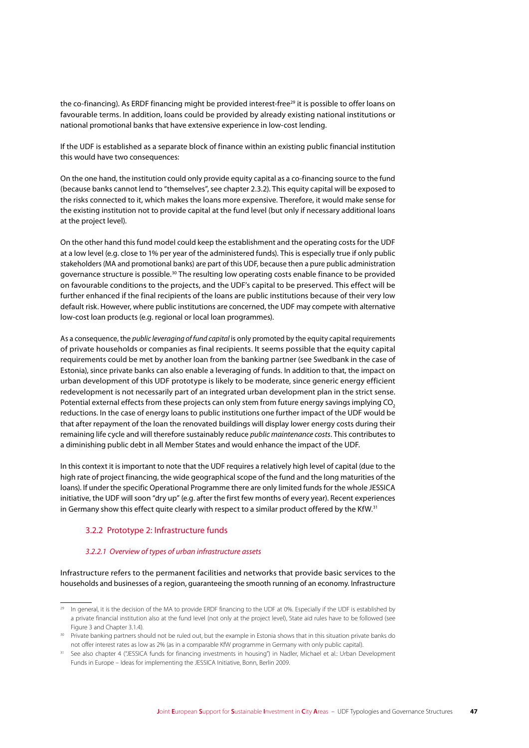the co-financing). As ERDF financing might be provided interest-free<sup>29</sup> it is possible to offer loans on favourable terms. In addition, loans could be provided by already existing national institutions or national promotional banks that have extensive experience in low-cost lending.

If the UDF is established as a separate block of finance within an existing public financial institution this would have two consequences:

On the one hand, the institution could only provide equity capital as a co-financing source to the fund (because banks cannot lend to "themselves", see chapter 2.3.2). This equity capital will be exposed to the risks connected to it, which makes the loans more expensive. Therefore, it would make sense for the existing institution not to provide capital at the fund level (but only if necessary additional loans at the project level).

On the other hand this fund model could keep the establishment and the operating costs for the UDF at a low level (e.g. close to 1% per year of the administered funds). This is especially true if only public stakeholders (MA and promotional banks) are part of this UDF, because then a pure public administration governance structure is possible.<sup>30</sup> The resulting low operating costs enable finance to be provided on favourable conditions to the projects, and the UDF's capital to be preserved. This effect will be further enhanced if the final recipients of the loans are public institutions because of their very low default risk. However, where public institutions are concerned, the UDF may compete with alternative low-cost loan products (e.g. regional or local loan programmes).

As a consequence, the public leveraging of fund capital is only promoted by the equity capital requirements of private households or companies as final recipients. It seems possible that the equity capital requirements could be met by another loan from the banking partner (see Swedbank in the case of Estonia), since private banks can also enable a leveraging of funds. In addition to that, the impact on urban development of this UDF prototype is likely to be moderate, since generic energy efficient redevelopment is not necessarily part of an integrated urban development plan in the strict sense. Potential external effects from these projects can only stem from future energy savings implying CO<sub>3</sub> reductions. In the case of energy loans to public institutions one further impact of the UDF would be that after repayment of the loan the renovated buildings will display lower energy costs during their remaining life cycle and will therefore sustainably reduce *public maintenance costs*. This contributes to a diminishing public debt in all Member States and would enhance the impact of the UDF.

In this context it is important to note that the UDF requires a relatively high level of capital (due to the high rate of project financing, the wide geographical scope of the fund and the long maturities of the loans). If under the specific Operational Programme there are only limited funds for the whole JESSICA initiative, the UDF will soon "dry up" (e.g. after the first few months of every year). Recent experiences in Germany show this effect quite clearly with respect to a similar product offered by the KfW.<sup>31</sup>

### 3.2.2 Prototype 2: Infrastructure funds

### 3.2.2.1 Overview of types of urban infrastructure assets

Infrastructure refers to the permanent facilities and networks that provide basic services to the households and businesses of a region, quaranteeing the smooth running of an economy. Infrastructure

In general, it is the decision of the MA to provide ERDF financing to the UDF at 0%. Especially if the UDF is established by a private financial institution also at the fund level (not only at the project level), State aid rules have to be followed (see Figure 3 and Chapter 3.1.4).

<sup>30</sup> Private banking partners should not be ruled out, but the example in Estonia shows that in this situation private banks do not offer interest rates as low as 2% (as in a comparable KfW programme in Germany with only public capital).

See also chapter 4 ("JESSICA funds for financing investments in housing") in Nadler, Michael et al.: Urban Development Funds in Europe - Ideas for implementing the JESSICA Initiative, Bonn, Berlin 2009.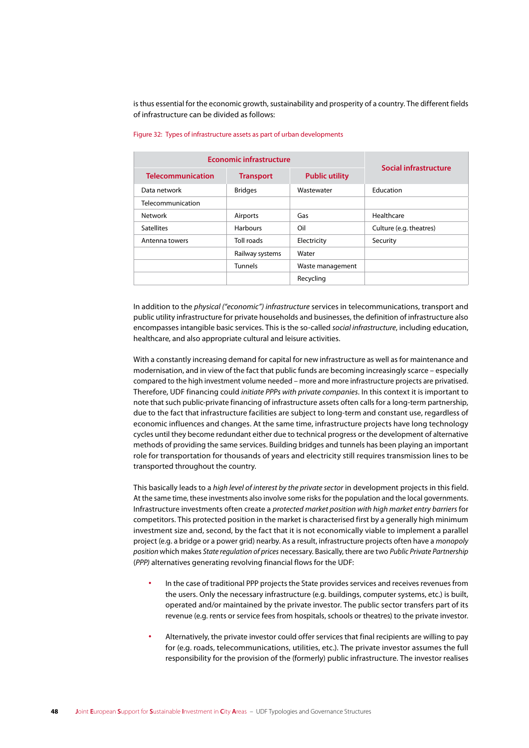is thus essential for the economic growth, sustainability and prosperity of a country. The different fields of infrastructure can be divided as follows:

| <b>Economic infrastructure</b> |                  |                       |                         |
|--------------------------------|------------------|-----------------------|-------------------------|
| <b>Telecommunication</b>       | <b>Transport</b> | <b>Public utility</b> | Social infrastructure   |
| Data network                   | <b>Bridges</b>   | Wastewater            | Education               |
| Telecommunication              |                  |                       |                         |
| Network                        | Airports         | Gas                   | Healthcare              |
| <b>Satellites</b>              | <b>Harbours</b>  | Oil                   | Culture (e.g. theatres) |
| Antenna towers                 | Toll roads       | Electricity           | Security                |
|                                | Railway systems  | Water                 |                         |
|                                | <b>Tunnels</b>   | Waste management      |                         |
|                                |                  | Recycling             |                         |

#### Figure 32: Types of infrastructure assets as part of urban developments

In addition to the *physical ("economic") infrastructure* services in telecommunications, transport and public utility infrastructure for private households and businesses, the definition of infrastructure also encompasses intangible basic services. This is the so-called *social infrastructure*, including education, healthcare, and also appropriate cultural and leisure activities.

With a constantly increasing demand for capital for new infrastructure as well as for maintenance and modernisation, and in view of the fact that public funds are becoming increasingly scarce – especially compared to the high investment volume needed – more and more infrastructure projects are privatised. Therefore, UDF financing could *initiate PPPs with private companies*. In this context it is important to note that such public-private financing of infrastructure assets often calls for a long-term partnership, due to the fact that infrastructure facilities are subject to long-term and constant use, regardless of economic influences and changes. At the same time, infrastructure projects have long technology cycles until they become redundant either due to technical progress or the development of alternative methods of providing the same services. Building bridges and tunnels has been playing an important role for transportation for thousands of years and electricity still requires transmission lines to be transported throughout the country.

This basically leads to a *high level of interest by the private sector* in development projects in this field. At the same time, these investments also involve some risks for the population and the local governments. Infrastructure investments often create a *protected market position with high market entry barriers* for competitors. This protected position in the market is characterised first by a generally high minimum investment size and, second, by the fact that it is not economically viable to implement a parallel project (e.g. a bridge or a power grid) nearby. As a result, infrastructure projects often have a *monopoly position* which makes *State regulation of prices* necessary. Basically, there are two *Public Private Partnership* (*PPP)* alternatives generating revolving financial flows for the UDF:

- **∙** In the case of traditional PPP projects the State provides services and receives revenues from the users. Only the necessary infrastructure (e.g. buildings, computer systems, etc.) is built, operated and/or maintained by the private investor. The public sector transfers part of its revenue (e.g. rents or service fees from hospitals, schools or theatres) to the private investor.
- **∙** Alternatively, the private investor could offer services that final recipients are willing to pay for (e.g. roads, telecommunications, utilities, etc.). The private investor assumes the full responsibility for the provision of the (formerly) public infrastructure. The investor realises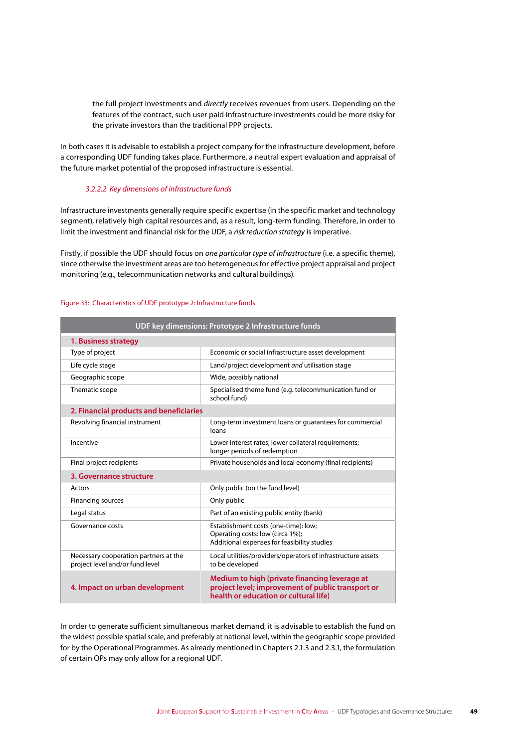the full project investments and *directly* receives revenues from users. Depending on the features of the contract, such user paid infrastructure investments could be more risky for the private investors than the traditional PPP projects.

In both cases it is advisable to establish a project company for the infrastructure development, before a corresponding UDF funding takes place. Furthermore, a neutral expert evaluation and appraisal of the future market potential of the proposed infrastructure is essential.

### *3.2.2.2 Key dimensions of infrastructure funds*

Infrastructure investments generally require specific expertise (in the specific market and technology segment), relatively high capital resources and, as a result, long-term funding. Therefore, in order to limit the investment and financial risk for the UDF, a *risk reduction strategy* is imperative.

Firstly, if possible the UDF should focus on *one particular type of infrastructure* (i.e. a specific theme), since otherwise the investment areas are too heterogeneous for effective project appraisal and project monitoring (e.g., telecommunication networks and cultural buildings).

| UDF key dimensions: Prototype 2 Infrastructure funds                     |                                                                                                                                             |  |  |
|--------------------------------------------------------------------------|---------------------------------------------------------------------------------------------------------------------------------------------|--|--|
| 1. Business strategy                                                     |                                                                                                                                             |  |  |
| Type of project                                                          | Economic or social infrastructure asset development                                                                                         |  |  |
| Life cycle stage                                                         | Land/project development and utilisation stage                                                                                              |  |  |
| Geographic scope                                                         | Wide, possibly national                                                                                                                     |  |  |
| Thematic scope                                                           | Specialised theme fund (e.g. telecommunication fund or<br>school fund)                                                                      |  |  |
| 2. Financial products and beneficiaries                                  |                                                                                                                                             |  |  |
| Revolving financial instrument                                           | Long-term investment loans or quarantees for commercial<br>loans                                                                            |  |  |
| Incentive                                                                | Lower interest rates; lower collateral requirements;<br>longer periods of redemption                                                        |  |  |
| Final project recipients                                                 | Private households and local economy (final recipients)                                                                                     |  |  |
| 3. Governance structure                                                  |                                                                                                                                             |  |  |
| Actors                                                                   | Only public (on the fund level)                                                                                                             |  |  |
| Financing sources                                                        | Only public                                                                                                                                 |  |  |
| Legal status                                                             | Part of an existing public entity (bank)                                                                                                    |  |  |
| Governance costs                                                         | Establishment costs (one-time): low;<br>Operating costs: low (circa 1%);<br>Additional expenses for feasibility studies                     |  |  |
| Necessary cooperation partners at the<br>project level and/or fund level | Local utilities/providers/operators of infrastructure assets<br>to be developed                                                             |  |  |
| 4. Impact on urban development                                           | Medium to high (private financing leverage at<br>project level; improvement of public transport or<br>health or education or cultural life) |  |  |

#### Figure 33: Characteristics of UDF prototype 2: Infrastructure funds

In order to generate sufficient simultaneous market demand, it is advisable to establish the fund on the widest possible spatial scale, and preferably at national level, within the geographic scope provided for by the Operational Programmes. As already mentioned in Chapters 2.1.3 and 2.3.1, the formulation of certain OPs may only allow for a regional UDF.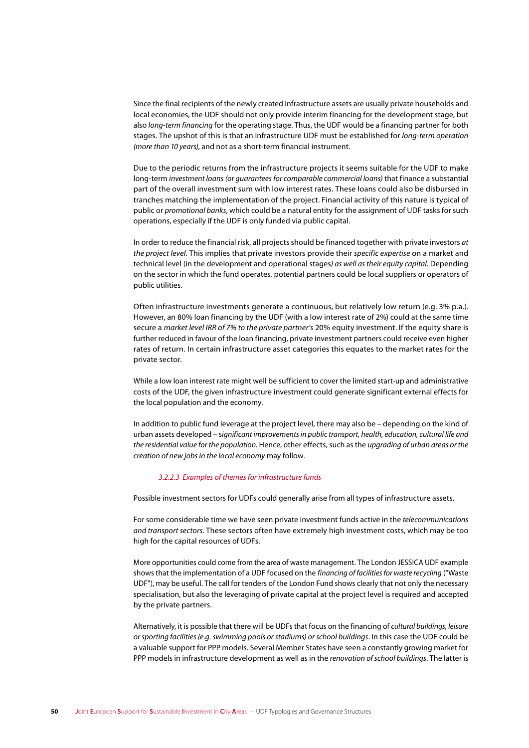Since the final recipients of the newly created infrastructure assets are usually private households and local economies, the UDF should not only provide interim financing for the development stage, but also long-term financing for the operating stage. Thus, the UDF would be a financing partner for both stages. The upshot of this is that an infrastructure UDF must be established for long-term operation (more than 10 years), and not as a short-term financial instrument.

Due to the periodic returns from the infrastructure projects it seems suitable for the UDF to make long-term investment loans (or quarantees for comparable commercial loans) that finance a substantial part of the overall investment sum with low interest rates. These loans could also be disbursed in tranches matching the implementation of the project. Financial activity of this nature is typical of public or promotional banks, which could be a natural entity for the assignment of UDF tasks for such operations, especially if the UDF is only funded via public capital.

In order to reduce the financial risk, all projects should be financed together with private investors at the project level. This implies that private investors provide their specific expertise on a market and technical level (in the development and operational stages) as well as their equity capital. Depending on the sector in which the fund operates, potential partners could be local suppliers or operators of public utilities.

Often infrastructure investments generate a continuous, but relatively low return (e.g. 3% p.a.). However, an 80% loan financing by the UDF (with a low interest rate of 2%) could at the same time secure a market level IRR of 7% to the private partner's 20% equity investment. If the equity share is further reduced in favour of the loan financing, private investment partners could receive even higher rates of return. In certain infrastructure asset categories this equates to the market rates for the private sector.

While a low loan interest rate might well be sufficient to cover the limited start-up and administrative costs of the UDF, the given infrastructure investment could generate significant external effects for the local population and the economy.

In addition to public fund leverage at the project level, there may also be – depending on the kind of urban assets developed – significant improvements in public transport, health, education, cultural life and the residential value for the population. Hence, other effects, such as the upgrading of urban areas or the creation of new jobs in the local economy may follow.

### 3.2.2.3 Examples of themes for infrastructure funds

Possible investment sectors for UDFs could generally arise from all types of infrastructure assets.

For some considerable time we have seen private investment funds active in the telecommunications and transport sectors. These sectors often have extremely high investment costs, which may be too high for the capital resources of UDFs.

More opportunities could come from the area of waste management. The London JESSICA UDF example shows that the implementation of a UDF focused on the financing of facilities for waste recycling ("Waste UDF"), may be useful. The call for tenders of the London Fund shows clearly that not only the necessary specialisation, but also the leveraging of private capital at the project level is required and accepted by the private partners.

Alternatively, it is possible that there will be UDFs that focus on the financing of cultural buildings, leisure or sporting facilities (e.g. swimming pools or stadiums) or school buildings. In this case the UDF could be a valuable support for PPP models. Several Member States have seen a constantly growing market for PPP models in infrastructure development as well as in the renovation of school buildings. The latter is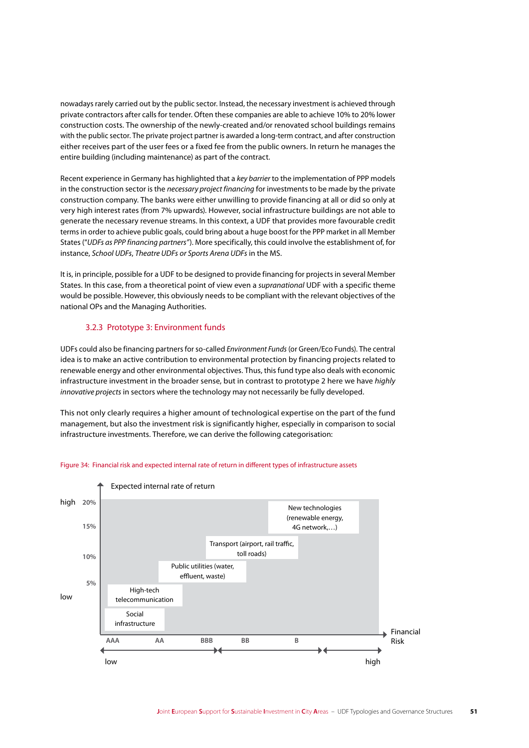nowadays rarely carried out by the public sector. Instead, the necessary investment is achieved through private contractors after calls for tender. Often these companies are able to achieve 10% to 20% lower construction costs. The ownership of the newly-created and/or renovated school buildings remains with the public sector. The private project partner is awarded a long-term contract, and after construction either receives part of the user fees or a fixed fee from the public owners. In return he manages the entire building (including maintenance) as part of the contract.

Recent experience in Germany has highlighted that a *key barrier* to the implementation of PPP models in the construction sector is the *necessary project financing* for investments to be made by the private construction company. The banks were either unwilling to provide financing at all or did so only at very high interest rates (from 7% upwards). However, social infrastructure buildings are not able to generate the necessary revenue streams. In this context, a UDF that provides more favourable credit terms in order to achieve public goals, could bring about a huge boost for the PPP market in all Member States ("*UDFs as PPP financing partners"*). More specifically, this could involve the establishment of, for instance, *School UDFs*, *Theatre UDFs or Sports Arena UDFs* in the MS.

It is, in principle, possible for a UDF to be designed to provide financing for projects in several Member States. In this case, from a theoretical point of view even a *supranational* UDF with a specific theme would be possible. However, this obviously needs to be compliant with the relevant objectives of the national OPs and the Managing Authorities.

### 3.2.3 Prototype 3: Environment funds

UDFs could also be financing partners for so-called *Environment Funds* (or Green/Eco Funds). The central idea is to make an active contribution to environmental protection by financing projects related to renewable energy and other environmental objectives. Thus, this fund type also deals with economic infrastructure investment in the broader sense, but in contrast to prototype 2 here we have *highly innovative projects* in sectors where the technology may not necessarily be fully developed.

This not only clearly requires a higher amount of technological expertise on the part of the fund management, but also the investment risk is significantly higher, especially in comparison to social infrastructure investments. Therefore, we can derive the following categorisation:



#### Figure 34: Financial risk and expected internal rate of return in different types of infrastructure assets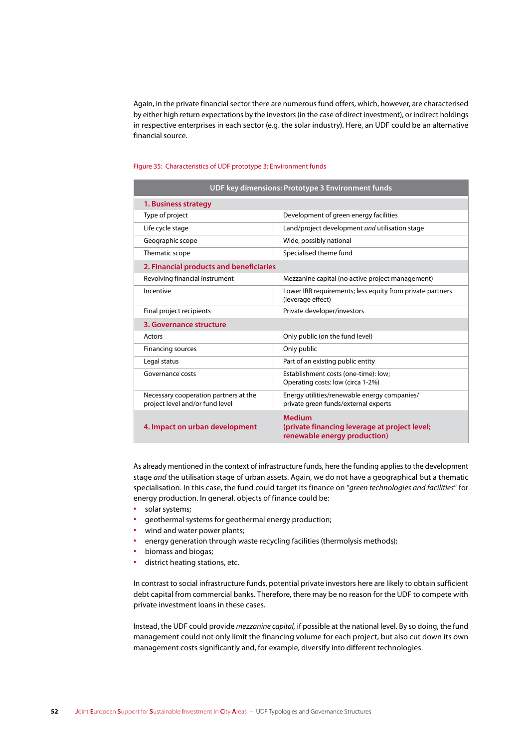Again, in the private financial sector there are numerous fund offers, which, however, are characterised by either high return expectations by the investors (in the case of direct investment), or indirect holdings in respective enterprises in each sector (e.g. the solar industry). Here, an UDF could be an alternative financial source.

#### Figure 35: Characteristics of UDF prototype 3: Environment funds

| UDF key dimensions: Prototype 3 Environment funds                        |                                                                                                |  |  |
|--------------------------------------------------------------------------|------------------------------------------------------------------------------------------------|--|--|
| 1. Business strategy                                                     |                                                                                                |  |  |
| Type of project                                                          | Development of green energy facilities                                                         |  |  |
| Life cycle stage                                                         | Land/project development and utilisation stage                                                 |  |  |
| Geographic scope                                                         | Wide, possibly national                                                                        |  |  |
| Thematic scope                                                           | Specialised theme fund                                                                         |  |  |
| 2. Financial products and beneficiaries                                  |                                                                                                |  |  |
| Revolving financial instrument                                           | Mezzanine capital (no active project management)                                               |  |  |
| Incentive                                                                | Lower IRR requirements; less equity from private partners<br>(leverage effect)                 |  |  |
| Final project recipients                                                 | Private developer/investors                                                                    |  |  |
| 3. Governance structure                                                  |                                                                                                |  |  |
| Actors                                                                   | Only public (on the fund level)                                                                |  |  |
| Financing sources                                                        | Only public                                                                                    |  |  |
| Legal status                                                             | Part of an existing public entity                                                              |  |  |
| Governance costs                                                         | Establishment costs (one-time): low;<br>Operating costs: low (circa 1-2%)                      |  |  |
| Necessary cooperation partners at the<br>project level and/or fund level | Energy utilities/renewable energy companies/<br>private green funds/external experts           |  |  |
| 4. Impact on urban development                                           | <b>Medium</b><br>(private financing leverage at project level;<br>renewable energy production) |  |  |

As already mentioned in the context of infrastructure funds, here the funding applies to the development stage *and* the utilisation stage of urban assets. Again, we do not have a geographical but a thematic specialisation. In this case, the fund could target its finance on "*green technologies and facilities*" for energy production. In general, objects of finance could be:

- **∙** solar systems;
- **∙** geothermal systems for geothermal energy production;
- **∙** wind and water power plants;
- **∙** energy generation through waste recycling facilities (thermolysis methods);
- **∙** biomass and biogas;
- **∙** district heating stations, etc.

In contrast to social infrastructure funds, potential private investors here are likely to obtain sufficient debt capital from commercial banks. Therefore, there may be no reason for the UDF to compete with private investment loans in these cases.

Instead, the UDF could provide *mezzanine capital,* if possible at the national level. By so doing, the fund management could not only limit the financing volume for each project, but also cut down its own management costs significantly and, for example, diversify into different technologies.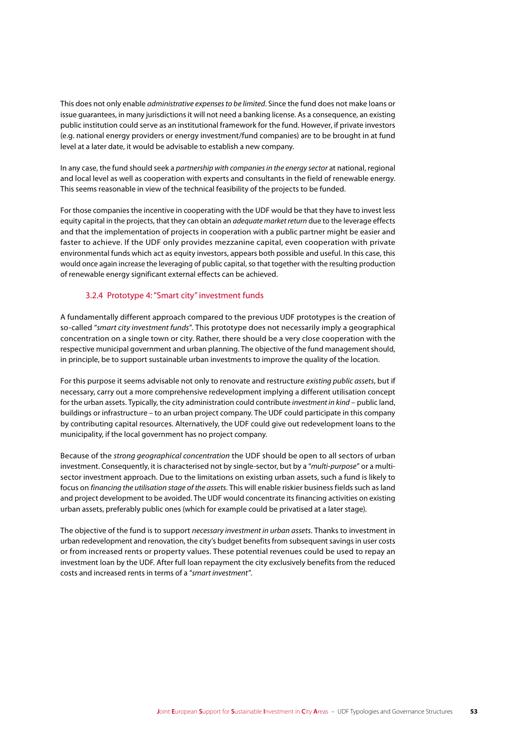This does not only enable *administrative expenses to be limited*. Since the fund does not make loans or issue guarantees, in many jurisdictions it will not need a banking license. As a consequence, an existing public institution could serve as an institutional framework for the fund. However, if private investors (e.g. national energy providers or energy investment/fund companies) are to be brought in at fund level at a later date, it would be advisable to establish a new company.

In any case, the fund should seek a *partnership with companies in the energy sector* at national, regional and local level as well as cooperation with experts and consultants in the field of renewable energy. This seems reasonable in view of the technical feasibility of the projects to be funded.

For those companies the incentive in cooperating with the UDF would be that they have to invest less equity capital in the projects, that they can obtain an *adequate market return* due to the leverage effects and that the implementation of projects in cooperation with a public partner might be easier and faster to achieve. If the UDF only provides mezzanine capital, even cooperation with private environmental funds which act as equity investors, appears both possible and useful. In this case, this would once again increase the leveraging of public capital, so that together with the resulting production of renewable energy significant external effects can be achieved.

# 3.2.4 Prototype 4: "Smart city" investment funds

A fundamentally different approach compared to the previous UDF prototypes is the creation of so-called "*smart city investment funds*". This prototype does not necessarily imply a geographical concentration on a single town or city. Rather, there should be a very close cooperation with the respective municipal government and urban planning. The objective of the fund management should, in principle, be to support sustainable urban investments to improve the quality of the location.

For this purpose it seems advisable not only to renovate and restructure *existing public assets*, but if necessary, carry out a more comprehensive redevelopment implying a different utilisation concept for the urban assets. Typically, the city administration could contribute *investment in kind* – public land, buildings or infrastructure – to an urban project company. The UDF could participate in this company by contributing capital resources. Alternatively, the UDF could give out redevelopment loans to the municipality, if the local government has no project company.

Because of the *strong geographical concentration* the UDF should be open to all sectors of urban investment. Consequently, it is characterised not by single-sector, but by a "*multi-purpose*" or a multisector investment approach. Due to the limitations on existing urban assets, such a fund is likely to focus on *financing the utilisation stage of the assets*. This will enable riskier business fields such as land and project development to be avoided. The UDF would concentrate its financing activities on existing urban assets, preferably public ones (which for example could be privatised at a later stage).

The objective of the fund is to support *necessary investment in urban assets*. Thanks to investment in urban redevelopment and renovation, the city's budget benefits from subsequent savings in user costs or from increased rents or property values. These potential revenues could be used to repay an investment loan by the UDF. After full loan repayment the city exclusively benefits from the reduced costs and increased rents in terms of a "*smart investment*".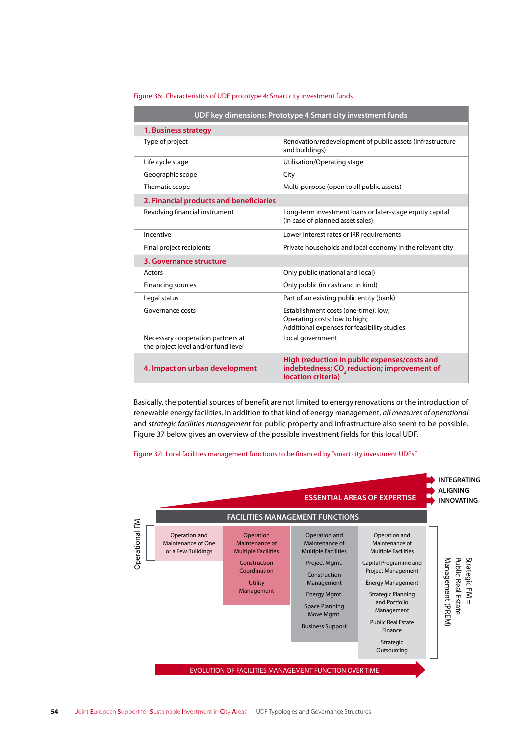| UDF key dimensions: Prototype 4 Smart city investment funds              |                                                                                                                               |  |  |
|--------------------------------------------------------------------------|-------------------------------------------------------------------------------------------------------------------------------|--|--|
| 1. Business strategy                                                     |                                                                                                                               |  |  |
| Type of project                                                          | Renovation/redevelopment of public assets (infrastructure<br>and buildings)                                                   |  |  |
| Life cycle stage                                                         | Utilisation/Operating stage                                                                                                   |  |  |
| Geographic scope                                                         | City                                                                                                                          |  |  |
| Thematic scope                                                           | Multi-purpose (open to all public assets)                                                                                     |  |  |
| 2. Financial products and beneficiaries                                  |                                                                                                                               |  |  |
| Revolving financial instrument                                           | Long-term investment loans or later-stage equity capital<br>(in case of planned asset sales)                                  |  |  |
| Incentive                                                                | Lower interest rates or IRR requirements                                                                                      |  |  |
| Final project recipients                                                 | Private households and local economy in the relevant city                                                                     |  |  |
| 3. Governance structure                                                  |                                                                                                                               |  |  |
| Actors                                                                   | Only public (national and local)                                                                                              |  |  |
| <b>Financing sources</b>                                                 | Only public (in cash and in kind)                                                                                             |  |  |
| Legal status                                                             | Part of an existing public entity (bank)                                                                                      |  |  |
| Governance costs                                                         | Establishment costs (one-time): low;<br>Operating costs: low to high;<br>Additional expenses for feasibility studies          |  |  |
| Necessary cooperation partners at<br>the project level and/or fund level | Local government                                                                                                              |  |  |
| 4. Impact on urban development                                           | High (reduction in public expenses/costs and<br>indebtedness; CO <sub>2</sub> reduction; improvement of<br>location criteria) |  |  |

Figure 36: Characteristics of UDF prototype 4: Smart city investment funds

Basically, the potential sources of benefit are not limited to energy renovations or the introduction of renewable energy facilities. In addition to that kind of energy management, *all measures of operational* and *strategic facilities management* for public property and infrastructure also seem to be possible. Figure 37 below gives an overview of the possible investment fields for this local UDF.

Figure 37: Local facilities management functions to be financed by "smart city investment UDFs"

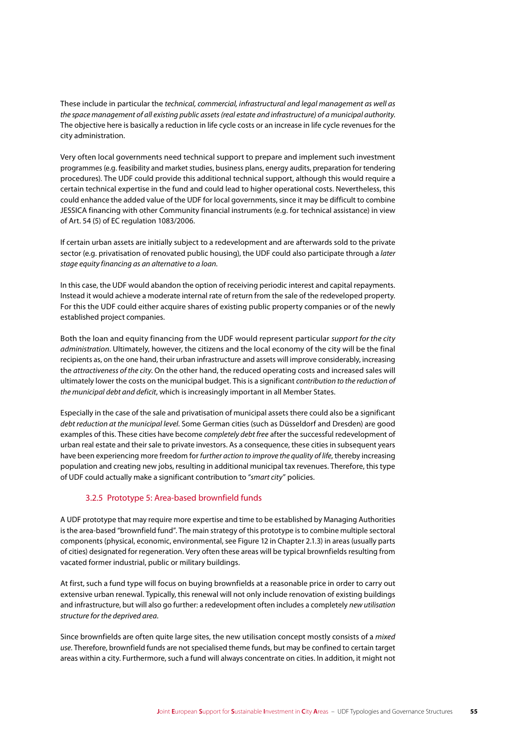These include in particular the *technical, commercial, infrastructural and legal management as well as the space management of all existing public assets (real estate and infrastructure) of a municipal authority*. The objective here is basically a reduction in life cycle costs or an increase in life cycle revenues for the city administration.

Very often local governments need technical support to prepare and implement such investment programmes (e.g. feasibility and market studies, business plans, energy audits, preparation for tendering procedures). The UDF could provide this additional technical support, although this would require a certain technical expertise in the fund and could lead to higher operational costs. Nevertheless, this could enhance the added value of the UDF for local governments, since it may be difficult to combine JESSICA financing with other Community financial instruments (e.g. for technical assistance) in view of Art. 54 (5) of EC regulation 1083/2006.

If certain urban assets are initially subject to a redevelopment and are afterwards sold to the private sector (e.g. privatisation of renovated public housing), the UDF could also participate through a *later stage equity financing as an alternative to a loan*.

In this case, the UDF would abandon the option of receiving periodic interest and capital repayments. Instead it would achieve a moderate internal rate of return from the sale of the redeveloped property. For this the UDF could either acquire shares of existing public property companies or of the newly established project companies.

Both the loan and equity financing from the UDF would represent particular *support for the city administration*. Ultimately, however, the citizens and the local economy of the city will be the final recipients as, on the one hand, their urban infrastructure and assets will improve considerably, increasing the *attractiveness of the city*. On the other hand, the reduced operating costs and increased sales will ultimately lower the costs on the municipal budget. This is a significant *contribution to the reduction of the municipal debt and deficit*, which is increasingly important in all Member States.

Especially in the case of the sale and privatisation of municipal assets there could also be a significant *debt reduction at the municipal level*. Some German cities (such as Düsseldorf and Dresden) are good examples of this. These cities have become *completely debt free* after the successful redevelopment of urban real estate and their sale to private investors. As a consequence, these cities in subsequent years have been experiencing more freedom for *further action to improve the quality of life*, thereby increasing population and creating new jobs, resulting in additional municipal tax revenues. Therefore, this type of UDF could actually make a significant contribution to "*smart city*" policies.

### 3.2.5 Prototype 5: Area-based brownfield funds

A UDF prototype that may require more expertise and time to be established by Managing Authorities is the area-based "brownfield fund". The main strategy of this prototype is to combine multiple sectoral components (physical, economic, environmental, see Figure 12 in Chapter 2.1.3) in areas (usually parts of cities) designated for regeneration. Very often these areas will be typical brownfields resulting from vacated former industrial, public or military buildings.

At first, such a fund type will focus on buying brownfields at a reasonable price in order to carry out extensive urban renewal. Typically, this renewal will not only include renovation of existing buildings and infrastructure, but will also go further: a redevelopment often includes a completely *new utilisation structure for the deprived area*.

Since brownfields are often quite large sites, the new utilisation concept mostly consists of a *mixed use*. Therefore, brownfield funds are not specialised theme funds, but may be confined to certain target areas within a city. Furthermore, such a fund will always concentrate on cities. In addition, it might not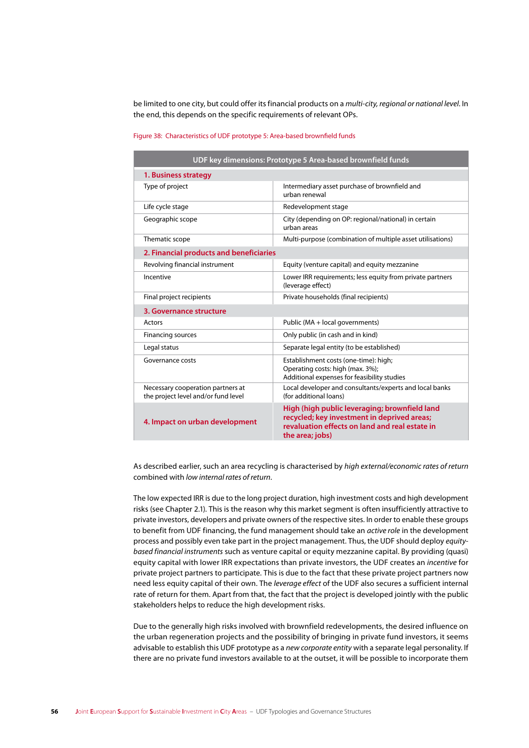be limited to one city, but could offer its financial products on a *multi-city, regional or national level*. In the end, this depends on the specific requirements of relevant OPs.

|                                                                          | UDF key dimensions: Prototype 5 Area-based brownfield funds                                                                                                       |
|--------------------------------------------------------------------------|-------------------------------------------------------------------------------------------------------------------------------------------------------------------|
| 1. Business strategy                                                     |                                                                                                                                                                   |
| Type of project                                                          | Intermediary asset purchase of brownfield and<br>urban renewal                                                                                                    |
| Life cycle stage                                                         | Redevelopment stage                                                                                                                                               |
| Geographic scope                                                         | City (depending on OP: regional/national) in certain<br>urban areas                                                                                               |
| Thematic scope                                                           | Multi-purpose (combination of multiple asset utilisations)                                                                                                        |
| 2. Financial products and beneficiaries                                  |                                                                                                                                                                   |
| Revolving financial instrument                                           | Equity (venture capital) and equity mezzanine                                                                                                                     |
| Incentive                                                                | Lower IRR requirements; less equity from private partners<br>(leverage effect)                                                                                    |
| Final project recipients                                                 | Private households (final recipients)                                                                                                                             |
| 3. Governance structure                                                  |                                                                                                                                                                   |
| Actors                                                                   | Public (MA + local governments)                                                                                                                                   |
| <b>Financing sources</b>                                                 | Only public (in cash and in kind)                                                                                                                                 |
| Legal status                                                             | Separate legal entity (to be established)                                                                                                                         |
| Governance costs                                                         | Establishment costs (one-time): high;<br>Operating costs: high (max. 3%);<br>Additional expenses for feasibility studies                                          |
| Necessary cooperation partners at<br>the project level and/or fund level | Local developer and consultants/experts and local banks<br>(for additional loans)                                                                                 |
| 4. Impact on urban development                                           | High (high public leveraging; brownfield land<br>recycled; key investment in deprived areas;<br>revaluation effects on land and real estate in<br>the area; jobs) |

#### Figure 38: Characteristics of UDF prototype 5: Area-based brownfield funds

As described earlier, such an area recycling is characterised by *high external/economic rates of return* combined with *low internal rates of return*.

The low expected IRR is due to the long project duration, high investment costs and high development risks (see Chapter 2.1). This is the reason why this market segment is often insufficiently attractive to private investors, developers and private owners of the respective sites. In order to enable these groups to benefit from UDF financing, the fund management should take an *active role* in the development process and possibly even take part in the project management. Thus, the UDF should deploy *equitybased financial instruments* such as venture capital or equity mezzanine capital. By providing (quasi) equity capital with lower IRR expectations than private investors, the UDF creates an *incentive* for private project partners to participate. This is due to the fact that these private project partners now need less equity capital of their own. The *leverage effect* of the UDF also secures a sufficient internal rate of return for them. Apart from that, the fact that the project is developed jointly with the public stakeholders helps to reduce the high development risks.

Due to the generally high risks involved with brownfield redevelopments, the desired influence on the urban regeneration projects and the possibility of bringing in private fund investors, it seems advisable to establish this UDF prototype as a *new corporate entity* with a separate legal personality. If there are no private fund investors available to at the outset, it will be possible to incorporate them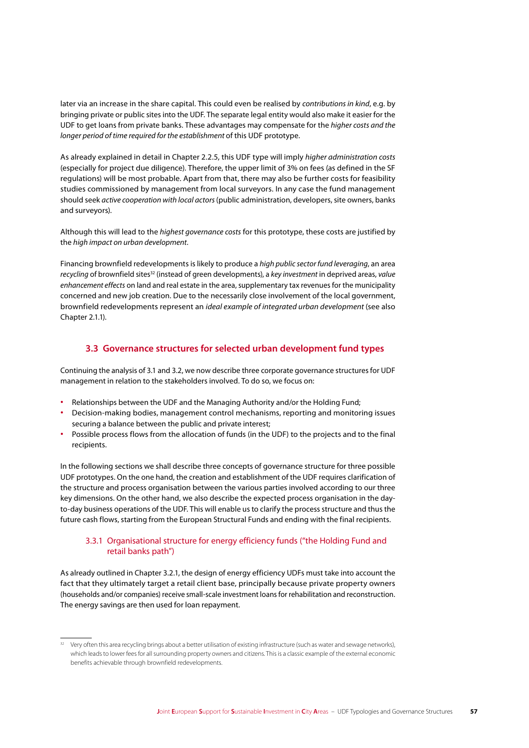later via an increase in the share capital. This could even be realised by *contributions in kind*, e.g. by bringing private or public sites into the UDF. The separate legal entity would also make it easier for the UDF to get loans from private banks. These advantages may compensate for the *higher costs and the longer period of time required for the establishment* of this UDF prototype.

As already explained in detail in Chapter 2.2.5, this UDF type will imply *higher administration costs* (especially for project due diligence). Therefore, the upper limit of 3% on fees (as defined in the SF regulations) will be most probable. Apart from that, there may also be further costs for feasibility studies commissioned by management from local surveyors. In any case the fund management should seek *active cooperation with local actors* (public administration, developers, site owners, banks and surveyors).

Although this will lead to the *highest governance costs* for this prototype, these costs are justified by the *high impact on urban development*.

Financing brownfield redevelopments is likely to produce a *high public sector fund leveraging*, an area *recycling* of brownfield sites<sup>32</sup> (instead of green developments), a *key investment* in deprived areas, *value enhancement effects* on land and real estate in the area, supplementary tax revenues for the municipality concerned and new job creation. Due to the necessarily close involvement of the local government, brownfield redevelopments represent an *ideal example of integrated urban development* (see also Chapter 2.1.1).

# **3.3 Governance structures for selected urban development fund types**

Continuing the analysis of 3.1 and 3.2, we now describe three corporate governance structures for UDF management in relation to the stakeholders involved. To do so, we focus on:

- **∙** Relationships between the UDF and the Managing Authority and/or the Holding Fund;
- **∙** Decision-making bodies, management control mechanisms, reporting and monitoring issues securing a balance between the public and private interest;
- **∙** Possible process flows from the allocation of funds (in the UDF) to the projects and to the final recipients.

In the following sections we shall describe three concepts of governance structure for three possible UDF prototypes. On the one hand, the creation and establishment of the UDF requires clarification of the structure and process organisation between the various parties involved according to our three key dimensions. On the other hand, we also describe the expected process organisation in the dayto-day business operations of the UDF. This will enable us to clarify the process structure and thus the future cash flows, starting from the European Structural Funds and ending with the final recipients.

# 3.3.1 Organisational structure for energy efficiency funds ("the Holding Fund and retail banks path")

As already outlined in Chapter 3.2.1, the design of energy efficiency UDFs must take into account the fact that they ultimately target a retail client base, principally because private property owners (households and/or companies) receive small-scale investment loans for rehabilitation and reconstruction. The energy savings are then used for loan repayment.

<sup>32</sup> Very often this area recycling brings about a better utilisation of existing infrastructure (such as water and sewage networks), which leads to lower fees for all surrounding property owners and citizens. This is a classic example of the external economic benefits achievable through brownfield redevelopments.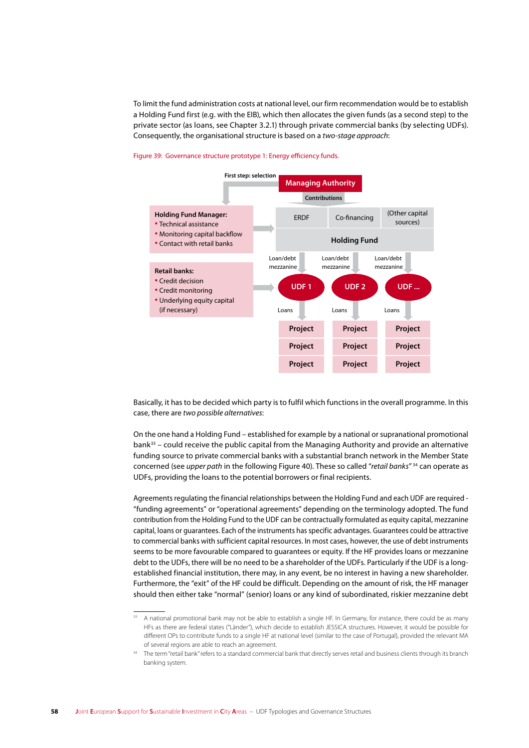To limit the fund administration costs at national level, our firm recommendation would be to establish a Holding Fund first (e.g. with the EIB), which then allocates the given funds (as a second step) to the private sector (as loans, see Chapter 3.2.1) through private commercial banks (by selecting UDFs). Consequently, the organisational structure is based on a two-stage approach:

### Figure 39: Governance structure prototype 1: Energy efficiency funds.



Basically, it has to be decided which party is to fulfil which functions in the overall programme. In this case, there are two possible alternatives:

On the one hand a Holding Fund – established for example by a national or supranational promotional bank<sup>33</sup> – could receive the public capital from the Managing Authority and provide an alternative funding source to private commercial banks with a substantial branch network in the Member State concerned (see *upper path* in the following Figure 40). These so called "retail banks"<sup>34</sup> can operate as UDFs, providing the loans to the potential borrowers or final recipients.

Agreements regulating the financial relationships between the Holding Fund and each UDF are reguired -"funding agreements" or "operational agreements" depending on the terminology adopted. The fund contribution from the Holding Fund to the UDF can be contractually formulated as equity capital, mezzanine capital, loans or quarantees. Each of the instruments has specific advantages. Guarantees could be attractive to commercial banks with sufficient capital resources. In most cases, however, the use of debt instruments seems to be more favourable compared to quarantees or equity. If the HF provides loans or mezzanine debt to the UDFs, there will be no need to be a shareholder of the UDFs. Particularly if the UDF is a longestablished financial institution, there may, in any event, be no interest in having a new shareholder. Furthermore, the "exit" of the HF could be difficult. Depending on the amount of risk, the HF manager should then either take "normal" (senior) loans or any kind of subordinated, riskier mezzanine debt

A national promotional bank may not be able to establish a single HF. In Germany, for instance, there could be as many HFs as there are federal states ("Länder"), which decide to establish JESSICA structures. However, it would be possible for different OPs to contribute funds to a single HF at national level (similar to the case of Portugal), provided the relevant MA of several regions are able to reach an agreement.

The term "retail bank" refers to a standard commercial bank that directly serves retail and business clients through its branch banking system.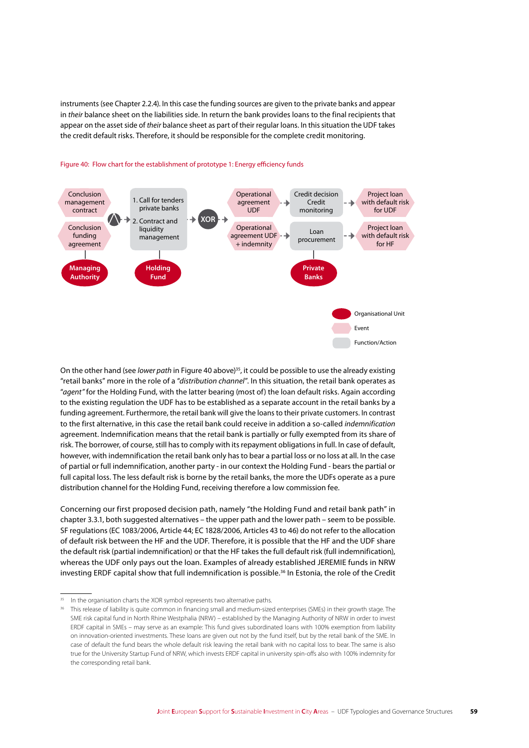instruments (see Chapter 2.2.4). In this case the funding sources are given to the private banks and appear in *their* balance sheet on the liabilities side. In return the bank provides loans to the final recipients that appear on the asset side of *their* balance sheet as part of their regular loans. In this situation the UDF takes the credit default risks. Therefore, it should be responsible for the complete credit monitoring.



### Figure 40: Flow chart for the establishment of prototype 1: Energy efficiency funds

On the other hand (see *lower path* in Figure 40 above)35, it could be possible to use the already existing "retail banks" more in the role of a "*distribution channel*". In this situation, the retail bank operates as "*agent"* for the Holding Fund, with the latter bearing (most of) the loan default risks. Again according to the existing regulation the UDF has to be established as a separate account in the retail banks by a funding agreement. Furthermore, the retail bank will give the loans to their private customers. In contrast to the first alternative, in this case the retail bank could receive in addition a so-called *indemnification* agreement. Indemnification means that the retail bank is partially or fully exempted from its share of risk. The borrower, of course, still has to comply with its repayment obligations in full. In case of default, however, with indemnification the retail bank only has to bear a partial loss or no loss at all. In the case of partial or full indemnification, another party - in our context the Holding Fund - bears the partial or full capital loss. The less default risk is borne by the retail banks, the more the UDFs operate as a pure distribution channel for the Holding Fund, receiving therefore a low commission fee.

Concerning our first proposed decision path, namely "the Holding Fund and retail bank path" in chapter 3.3.1, both suggested alternatives – the upper path and the lower path – seem to be possible. SF regulations (EC 1083/2006, Article 44; EC 1828/2006, Articles 43 to 46) do not refer to the allocation of default risk between the HF and the UDF. Therefore, it is possible that the HF and the UDF share the default risk (partial indemnification) or that the HF takes the full default risk (full indemnification), whereas the UDF only pays out the loan. Examples of already established JEREMIE funds in NRW investing ERDF capital show that full indemnification is possible.<sup>36</sup> In Estonia, the role of the Credit

In the organisation charts the XOR symbol represents two alternative paths.

<sup>36</sup> This release of liability is quite common in financing small and medium-sized enterprises (SMEs) in their growth stage. The SME risk capital fund in North Rhine Westphalia (NRW) – established by the Managing Authority of NRW in order to invest ERDF capital in SMEs – may serve as an example: This fund gives subordinated loans with 100% exemption from liability on innovation-oriented investments. These loans are given out not by the fund itself, but by the retail bank of the SME. In case of default the fund bears the whole default risk leaving the retail bank with no capital loss to bear. The same is also true for the University Startup Fund of NRW, which invests ERDF capital in university spin-offs also with 100% indemnity for the corresponding retail bank.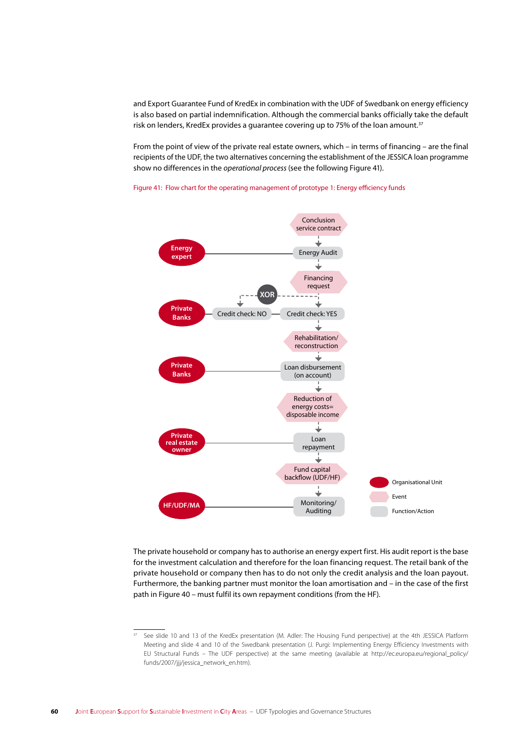and Export Guarantee Fund of KredEx in combination with the UDF of Swedbank on energy efficiency is also based on partial indemnification. Although the commercial banks officially take the default risk on lenders, KredEx provides a guarantee covering up to 75% of the loan amount.<sup>37</sup>

From the point of view of the private real estate owners, which – in terms of financing – are the final recipients of the UDF, the two alternatives concerning the establishment of the JESSICA loan programme show no differences in the *operational process* (see the following Figure 41).



Figure 41: Flow chart for the operating management of prototype 1: Energy efficiency funds

The private household or company has to authorise an energy expert first. His audit report is the base for the investment calculation and therefore for the loan financing request. The retail bank of the private household or company then has to do not only the credit analysis and the loan payout. Furthermore, the banking partner must monitor the loan amortisation and – in the case of the first path in Figure 40 – must fulfil its own repayment conditions (from the HF).

See slide 10 and 13 of the KredEx presentation (M. Adler: The Housing Fund perspective) at the 4th JESSICA Platform Meeting and slide 4 and 10 of the Swedbank presentation (J. Purgi: Implementing Energy Efficiency Investments with EU Structural Funds – The UDF perspective) at the same meeting (available at http://ec.europa.eu/regional\_policy/ funds/2007/jjj/jessica\_network\_en.htm).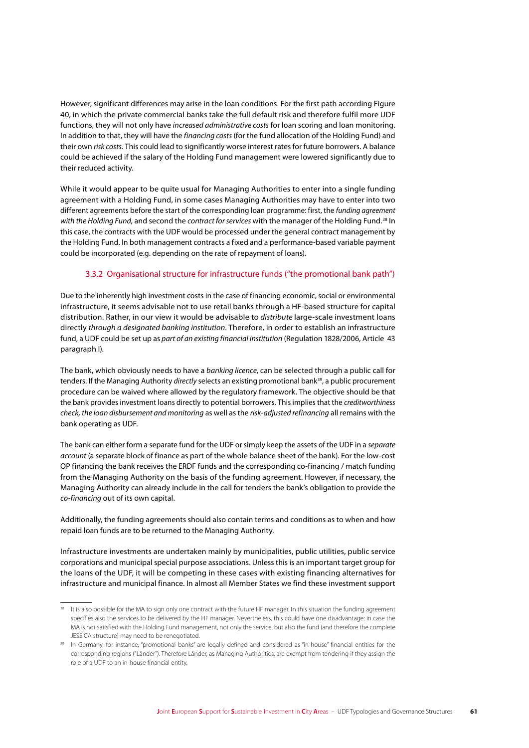However, significant differences may arise in the loan conditions. For the first path according Figure 40, in which the private commercial banks take the full default risk and therefore fulfil more UDF functions, they will not only have *increased administrative costs* for loan scoring and loan monitoring. In addition to that, they will have the *financing costs* (for the fund allocation of the Holding Fund) and their own *risk costs*. This could lead to significantly worse interest rates for future borrowers. A balance could be achieved if the salary of the Holding Fund management were lowered significantly due to their reduced activity.

While it would appear to be quite usual for Managing Authorities to enter into a single funding agreement with a Holding Fund, in some cases Managing Authorities may have to enter into two different agreements before the start of the corresponding loan programme: first, the *funding agreement with the Holding Fund,* and second the *contract for services* with the manager of the Holding Fund.38 In this case, the contracts with the UDF would be processed under the general contract management by the Holding Fund. In both management contracts a fixed and a performance-based variable payment could be incorporated (e.g. depending on the rate of repayment of loans).

# 3.3.2 Organisational structure for infrastructure funds ("the promotional bank path")

Due to the inherently high investment costs in the case of financing economic, social or environmental infrastructure, it seems advisable not to use retail banks through a HF-based structure for capital distribution. Rather, in our view it would be advisable to *distribute* large-scale investment loans directly *through a designated banking institution*. Therefore, in order to establish an infrastructure fund, a UDF could be set up as *part of an existing financial institution* (Regulation 1828/2006, Article 43 paragraph I).

The bank, which obviously needs to have a *banking licence*, can be selected through a public call for tenders. If the Managing Authority *directly* selects an existing promotional bank<sup>39</sup>, a public procurement procedure can be waived where allowed by the regulatory framework. The objective should be that the bank provides investment loans directly to potential borrowers. This implies that the *creditworthiness check, the loan disbursement and monitoring* as well as the *risk-adjusted refinancing* all remains with the bank operating as UDF.

The bank can either form a separate fund for the UDF or simply keep the assets of the UDF in a *separate account* (a separate block of finance as part of the whole balance sheet of the bank). For the low-cost OP financing the bank receives the ERDF funds and the corresponding co-financing / match funding from the Managing Authority on the basis of the funding agreement. However, if necessary, the Managing Authority can already include in the call for tenders the bank's obligation to provide the *co-financing* out of its own capital.

Additionally, the funding agreements should also contain terms and conditions as to when and how repaid loan funds are to be returned to the Managing Authority.

Infrastructure investments are undertaken mainly by municipalities, public utilities, public service corporations and municipal special purpose associations. Unless this is an important target group for the loans of the UDF, it will be competing in these cases with existing financing alternatives for infrastructure and municipal finance. In almost all Member States we find these investment support

It is also possible for the MA to sign only one contract with the future HF manager. In this situation the funding agreement specifies also the services to be delivered by the HF manager. Nevertheless, this could have one disadvantage: in case the MA is not satisfied with the Holding Fund management, not only the service, but also the fund (and therefore the complete JESSICA structure) may need to be renegotiated.

<sup>&</sup>lt;sup>39</sup> In Germany, for instance, "promotional banks" are legally defined and considered as "in-house" financial entities for the corresponding regions ("Länder"). Therefore Länder, as Managing Authorities, are exempt from tendering if they assign the role of a UDF to an in-house financial entity.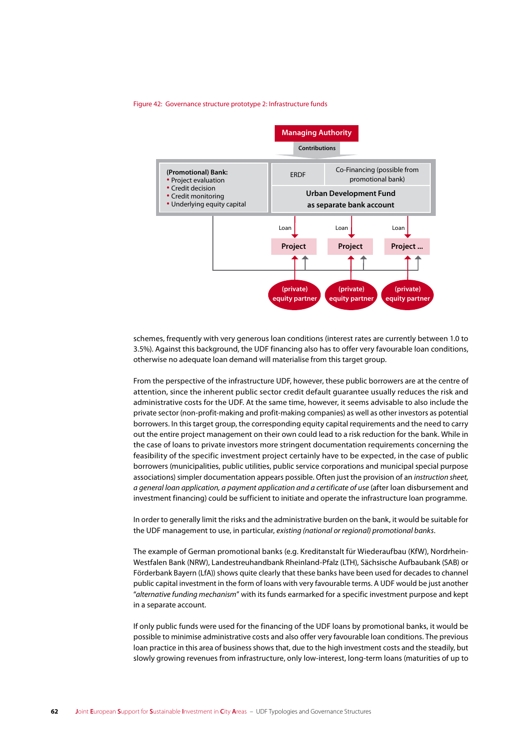#### Figure 42: Governance structure prototype 2: Infrastructure funds



schemes, frequently with very generous loan conditions (interest rates are currently between 1.0 to 3.5%). Against this background, the UDF financing also has to offer very favourable loan conditions, otherwise no adequate loan demand will materialise from this target group.

From the perspective of the infrastructure UDF, however, these public borrowers are at the centre of attention, since the inherent public sector credit default quarantee usually reduces the risk and administrative costs for the UDF. At the same time, however, it seems advisable to also include the private sector (non-profit-making and profit-making companies) as well as other investors as potential borrowers. In this target group, the corresponding equity capital requirements and the need to carry out the entire project management on their own could lead to a risk reduction for the bank. While in the case of loans to private investors more stringent documentation requirements concerning the feasibility of the specific investment project certainly have to be expected, in the case of public borrowers (municipalities, public utilities, public service corporations and municipal special purpose associations) simpler documentation appears possible. Often just the provision of an instruction sheet, a general loan application, a payment application and a certificate of use (after loan disbursement and investment financing) could be sufficient to initiate and operate the infrastructure loan programme.

In order to generally limit the risks and the administrative burden on the bank, it would be suitable for the UDF management to use, in particular, existing (national or regional) promotional banks.

The example of German promotional banks (e.g. Kreditanstalt für Wiederaufbau (KfW). Nordrhein-Westfalen Bank (NRW), Landestreuhandbank Rheinland-Pfalz (LTH), Sächsische Aufbaubank (SAB) or Förderbank Bayern (LfA)) shows quite clearly that these banks have been used for decades to channel public capital investment in the form of loans with very favourable terms. A UDF would be just another "alternative funding mechanism" with its funds earmarked for a specific investment purpose and kept in a separate account.

If only public funds were used for the financing of the UDF loans by promotional banks, it would be possible to minimise administrative costs and also offer very favourable loan conditions. The previous loan practice in this area of business shows that, due to the high investment costs and the steadily, but slowly growing revenues from infrastructure, only low-interest, long-term loans (maturities of up to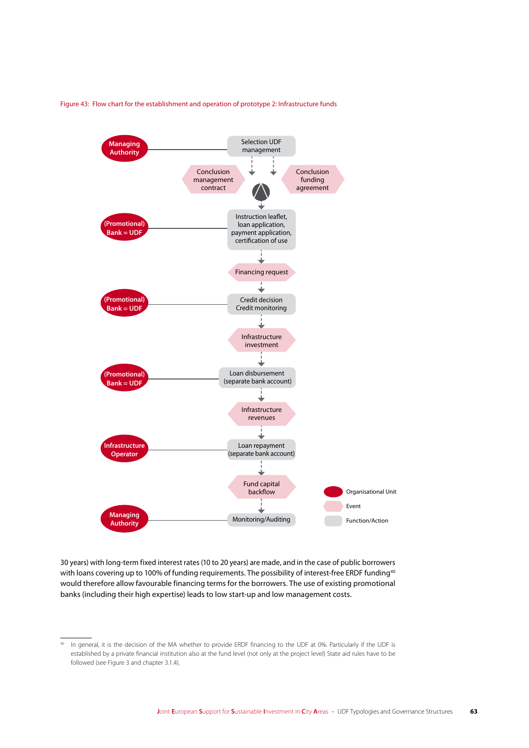Figure 43: Flow chart for the establishment and operation of prototype 2: Infrastructure funds



30 years) with long-term fixed interest rates (10 to 20 years) are made, and in the case of public borrowers with loans covering up to 100% of funding requirements. The possibility of interest-free ERDF funding<sup>40</sup> would therefore allow favourable financing terms for the borrowers. The use of existing promotional banks (including their high expertise) leads to low start-up and low management costs.

<sup>40</sup> In general, it is the decision of the MA whether to provide ERDF financing to the UDF at 0%. Particularly if the UDF is established by a private financial institution also at the fund level (not only at the project level) State aid rules have to be followed (see Figure 3 and chapter 3.1.4).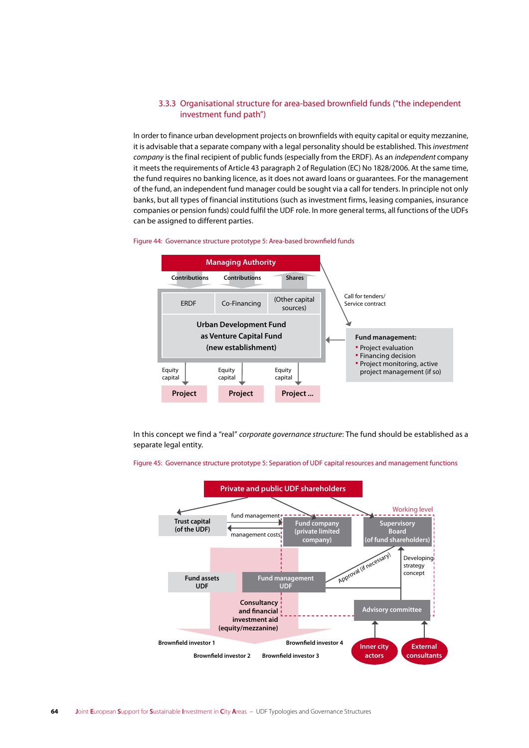# 3.3.3 Organisational structure for area-based brownfield funds ("the independent investment fund path")

In order to finance urban development projects on brownfields with equity capital or equity mezzanine, it is advisable that a separate company with a legal personality should be established. This *investment company* is the final recipient of public funds (especially from the ERDF). As an *independent* company it meets the requirements of Article 43 paragraph 2 of Regulation (EC) No 1828/2006. At the same time, the fund requires no banking licence, as it does not award loans or guarantees. For the management of the fund, an independent fund manager could be sought via a call for tenders. In principle not only banks, but all types of financial institutions (such as investment firms, leasing companies, insurance companies or pension funds) could fulfil the UDF role. In more general terms, all functions of the UDFs can be assigned to different parties.





In this concept we find a "real" *corporate governance structure*: The fund should be established as a separate legal entity.



Figure 45: Governance structure prototype 5: Separation of UDF capital resources and management functions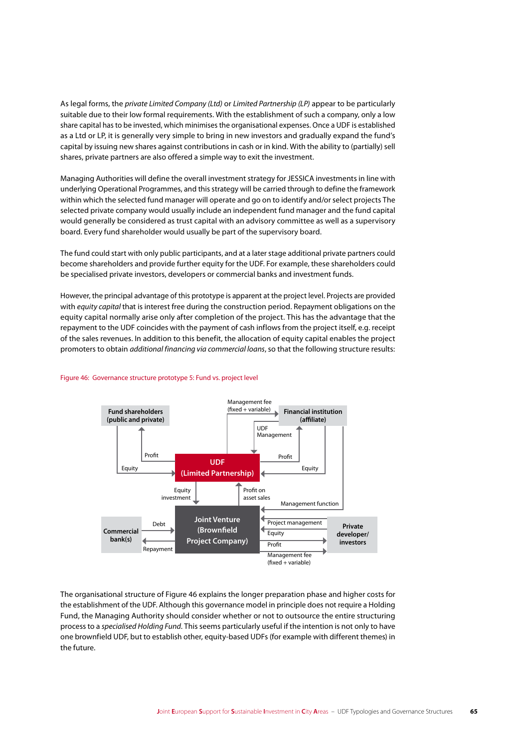As legal forms, the *private Limited Company (Ltd)* or *Limited Partnership (LP)* appear to be particularly suitable due to their low formal requirements. With the establishment of such a company, only a low share capital has to be invested, which minimises the organisational expenses. Once a UDF is established as a Ltd or LP, it is generally very simple to bring in new investors and gradually expand the fund's capital by issuing new shares against contributions in cash or in kind. With the ability to (partially) sell shares, private partners are also offered a simple way to exit the investment.

Managing Authorities will define the overall investment strategy for JESSICA investments in line with underlying Operational Programmes, and this strategy will be carried through to define the framework within which the selected fund manager will operate and go on to identify and/or select projects The selected private company would usually include an independent fund manager and the fund capital would generally be considered as trust capital with an advisory committee as well as a supervisory board. Every fund shareholder would usually be part of the supervisory board.

The fund could start with only public participants, and at a later stage additional private partners could become shareholders and provide further equity for the UDF. For example, these shareholders could be specialised private investors, developers or commercial banks and investment funds.

However, the principal advantage of this prototype is apparent at the project level. Projects are provided with *equity capital* that is interest free during the construction period. Repayment obligations on the equity capital normally arise only after completion of the project. This has the advantage that the repayment to the UDF coincides with the payment of cash inflows from the project itself, e.g. receipt of the sales revenues. In addition to this benefit, the allocation of equity capital enables the project promoters to obtain *additional financing via commercial loans*, so that the following structure results:



### Figure 46: Governance structure prototype 5: Fund vs. project level

The organisational structure of Figure 46 explains the longer preparation phase and higher costs for the establishment of the UDF. Although this governance model in principle does not require a Holding Fund, the Managing Authority should consider whether or not to outsource the entire structuring process to a *specialised Holding Fund*. This seems particularly useful if the intention is not only to have one brownfield UDF, but to establish other, equity-based UDFs (for example with different themes) in the future.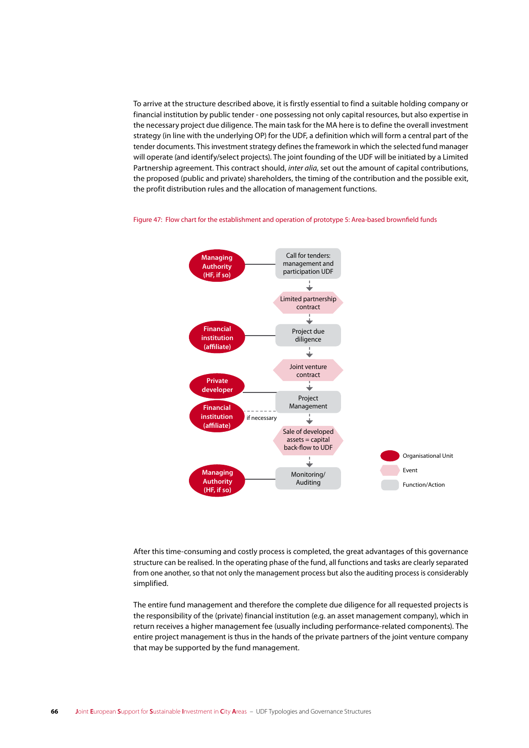To arrive at the structure described above, it is firstly essential to find a suitable holding company or financial institution by public tender - one possessing not only capital resources, but also expertise in the necessary project due diligence. The main task for the MA here is to define the overall investment strategy (in line with the underlying OP) for the UDF, a definition which will form a central part of the tender documents. This investment strategy defines the framework in which the selected fund manager will operate (and identify/select projects). The joint founding of the UDF will be initiated by a Limited Partnership agreement. This contract should, *inter alia*, set out the amount of capital contributions, the proposed (public and private) shareholders, the timing of the contribution and the possible exit, the profit distribution rules and the allocation of management functions.



Figure 47: Flow chart for the establishment and operation of prototype 5: Area-based brownfield funds

After this time-consuming and costly process is completed, the great advantages of this governance structure can be realised. In the operating phase of the fund, all functions and tasks are clearly separated from one another, so that not only the management process but also the auditing process is considerably simplified.

The entire fund management and therefore the complete due diligence for all requested projects is the responsibility of the (private) financial institution (e.g. an asset management company), which in return receives a higher management fee (usually including performance-related components). The entire project management is thus in the hands of the private partners of the joint venture company that may be supported by the fund management.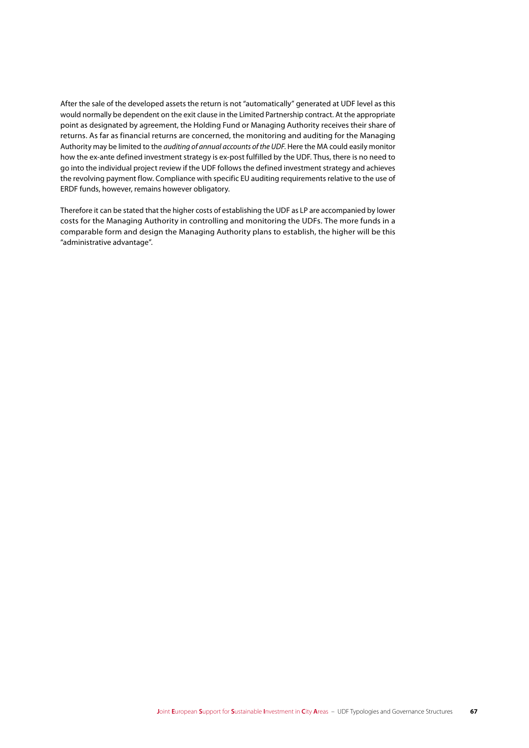After the sale of the developed assets the return is not "automatically" generated at UDF level as this would normally be dependent on the exit clause in the Limited Partnership contract. At the appropriate point as designated by agreement, the Holding Fund or Managing Authority receives their share of returns. As far as financial returns are concerned, the monitoring and auditing for the Managing Authority may be limited to the *auditing of annual accounts of the UDF*. Here the MA could easily monitor how the ex-ante defined investment strategy is ex-post fulfilled by the UDF. Thus, there is no need to go into the individual project review if the UDF follows the defined investment strategy and achieves the revolving payment flow. Compliance with specific EU auditing requirements relative to the use of ERDF funds, however, remains however obligatory.

Therefore it can be stated that the higher costs of establishing the UDF as LP are accompanied by lower costs for the Managing Authority in controlling and monitoring the UDFs. The more funds in a comparable form and design the Managing Authority plans to establish, the higher will be this "administrative advantage".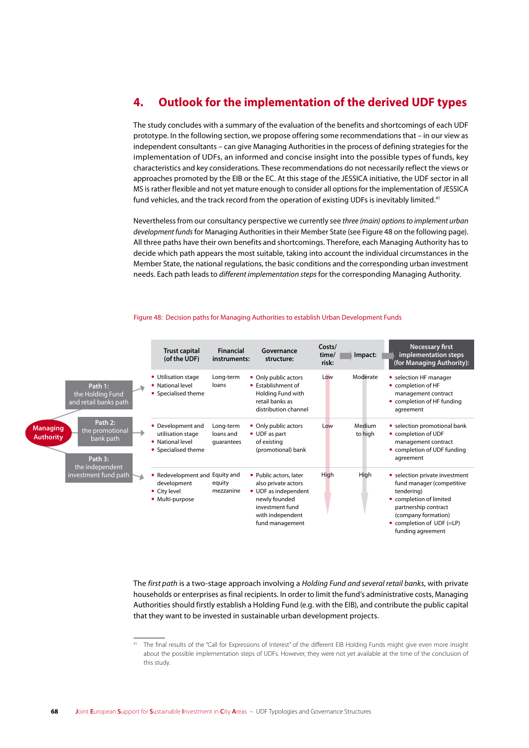# **4. Outlook for the implementation of the derived UDF types**

The study concludes with a summary of the evaluation of the benefits and shortcomings of each UDF prototype. In the following section, we propose offering some recommendations that – in our view as independent consultants – can give Managing Authorities in the process of defining strategies for the implementation of UDFs, an informed and concise insight into the possible types of funds, key characteristics and key considerations. These recommendations do not necessarily reflect the views or approaches promoted by the EIB or the EC. At this stage of the JESSICA initiative, the UDF sector in all MS is rather flexible and not yet mature enough to consider all options for the implementation of JESSICA fund vehicles, and the track record from the operation of existing UDFs is inevitably limited.<sup>41</sup>

Nevertheless from our consultancy perspective we currently see *three (main) options to implement urban development funds* for Managing Authorities in their Member State (see Figure 48 on the following page). All three paths have their own benefits and shortcomings. Therefore, each Managing Authority has to decide which path appears the most suitable, taking into account the individual circumstances in the Member State, the national regulations, the basic conditions and the corresponding urban investment needs. Each path leads to *different implementation steps* for the corresponding Managing Authority.

|                                                                                                                                                                                              | <b>Trust capital</b><br>(of the UDF)                                              | <b>Financial</b><br>instruments:     | Governance<br>structure:                                                                                                                         | Costs/<br>time/<br>risk: | Impact:           | <b>Necessary first</b><br>implementation steps<br>(for Managing Authority):                                                                                                                           |
|----------------------------------------------------------------------------------------------------------------------------------------------------------------------------------------------|-----------------------------------------------------------------------------------|--------------------------------------|--------------------------------------------------------------------------------------------------------------------------------------------------|--------------------------|-------------------|-------------------------------------------------------------------------------------------------------------------------------------------------------------------------------------------------------|
| Path 1:<br>the Holding Fund<br>and retail banks path<br>Path 2:<br><b>Managing</b><br>the promotional<br><b>Authority</b><br>bank path<br>Path 3:<br>the independent<br>investment fund path | • Utilisation stage<br>• National level<br>• Specialised theme                    | Long-term<br>loans                   | • Only public actors<br>• Establishment of<br>Holding Fund with<br>retail banks as<br>distribution channel                                       | Low                      | Moderate          | • selection HF manager<br>• completion of HF<br>management contract<br>• completion of HF funding<br>agreement                                                                                        |
|                                                                                                                                                                                              | • Development and<br>utilisation stage<br>• National level<br>• Specialised theme | Long-term<br>loans and<br>quarantees | • Only public actors<br>• UDF as part<br>of existing<br>(promotional) bank                                                                       | Low                      | Medium<br>to high | • selection promotional bank<br>• completion of UDF<br>management contract<br>• completion of UDF funding<br>agreement                                                                                |
|                                                                                                                                                                                              | • Redevelopment and Equity and<br>development<br>• City level<br>• Multi-purpose  | equity<br>mezzanine                  | • Public actors, later<br>also private actors<br>• UDF as independent<br>newly founded<br>investment fund<br>with independent<br>fund management | High                     | High              | • selection private investment<br>fund manager (competitive<br>tendering)<br>• completion of limited<br>partnership contract<br>(company formation)<br>• completion of UDF (=LP)<br>funding agreement |

#### Figure 48: Decision paths for Managing Authorities to establish Urban Development Funds

The *first path* is a two-stage approach involving a *Holding Fund and several retail banks*, with private households or enterprises as final recipients. In order to limit the fund's administrative costs, Managing Authorities should firstly establish a Holding Fund (e.g. with the EIB), and contribute the public capital that they want to be invested in sustainable urban development projects.

The final results of the "Call for Expressions of Interest" of the different EIB Holding Funds might give even more insight about the possible implementation steps of UDFs. However, they were not yet available at the time of the conclusion of this study.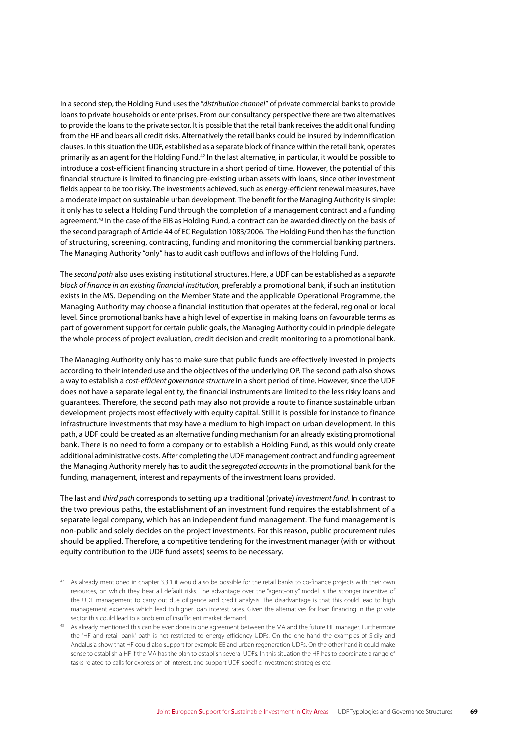In a second step, the Holding Fund uses the "*distribution channel*" of private commercial banks to provide loans to private households or enterprises. From our consultancy perspective there are two alternatives to provide the loans to the private sector. It is possible that the retail bank receives the additional funding from the HF and bears all credit risks. Alternatively the retail banks could be insured by indemnification clauses. In this situation the UDF, established as a separate block of finance within the retail bank, operates primarily as an agent for the Holding Fund.42 In the last alternative, in particular, it would be possible to introduce a cost-efficient financing structure in a short period of time. However, the potential of this financial structure is limited to financing pre-existing urban assets with loans, since other investment fields appear to be too risky. The investments achieved, such as energy-efficient renewal measures, have a moderate impact on sustainable urban development. The benefit for the Managing Authority is simple: it only has to select a Holding Fund through the completion of a management contract and a funding agreement.43 In the case of the EIB as Holding Fund, a contract can be awarded directly on the basis of the second paragraph of Article 44 of EC Regulation 1083/2006. The Holding Fund then has the function of structuring, screening, contracting, funding and monitoring the commercial banking partners. The Managing Authority "only" has to audit cash outflows and inflows of the Holding Fund.

The *second path* also uses existing institutional structures. Here, a UDF can be established as a *separate block of finance in an existing financial institution, preferably a promotional bank, if such an institution* exists in the MS. Depending on the Member State and the applicable Operational Programme, the Managing Authority may choose a financial institution that operates at the federal, regional or local level. Since promotional banks have a high level of expertise in making loans on favourable terms as part of government support for certain public goals, the Managing Authority could in principle delegate the whole process of project evaluation, credit decision and credit monitoring to a promotional bank.

The Managing Authority only has to make sure that public funds are effectively invested in projects according to their intended use and the objectives of the underlying OP. The second path also shows a way to establish a *cost-efficient governance structure* in a short period of time. However, since the UDF does not have a separate legal entity, the financial instruments are limited to the less risky loans and guarantees. Therefore, the second path may also not provide a route to finance sustainable urban development projects most effectively with equity capital. Still it is possible for instance to finance infrastructure investments that may have a medium to high impact on urban development. In this path, a UDF could be created as an alternative funding mechanism for an already existing promotional bank. There is no need to form a company or to establish a Holding Fund, as this would only create additional administrative costs. After completing the UDF management contract and funding agreement the Managing Authority merely has to audit the *segregated accounts* in the promotional bank for the funding, management, interest and repayments of the investment loans provided.

The last and *third path* corresponds to setting up a traditional (private) *investment fund*. In contrast to the two previous paths, the establishment of an investment fund requires the establishment of a separate legal company, which has an independent fund management. The fund management is non-public and solely decides on the project investments. For this reason, public procurement rules should be applied. Therefore, a competitive tendering for the investment manager (with or without equity contribution to the UDF fund assets) seems to be necessary.

<sup>42</sup> As already mentioned in chapter 3.3.1 it would also be possible for the retail banks to co-finance projects with their own resources, on which they bear all default risks. The advantage over the "agent-only" model is the stronger incentive of the UDF management to carry out due diligence and credit analysis. The disadvantage is that this could lead to high management expenses which lead to higher loan interest rates. Given the alternatives for loan financing in the private sector this could lead to a problem of insufficient market demand.

<sup>&</sup>lt;sup>43</sup> As already mentioned this can be even done in one agreement between the MA and the future HF manager. Furthermore the "HF and retail bank" path is not restricted to energy efficiency UDFs. On the one hand the examples of Sicily and Andalusia show that HF could also support for example EE and urban regeneration UDFs. On the other hand it could make sense to establish a HF if the MA has the plan to establish several UDFs. In this situation the HF has to coordinate a range of tasks related to calls for expression of interest, and support UDF-specific investment strategies etc.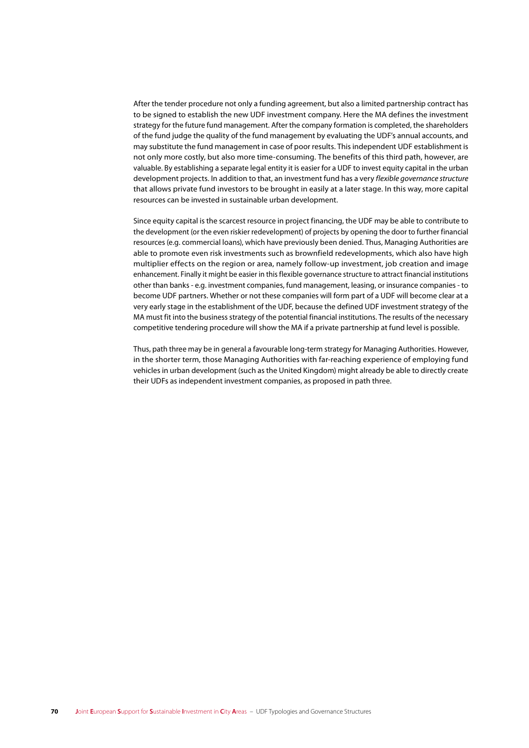After the tender procedure not only a funding agreement, but also a limited partnership contract has to be signed to establish the new UDF investment company. Here the MA defines the investment strategy for the future fund management. After the company formation is completed, the shareholders of the fund judge the quality of the fund management by evaluating the UDF's annual accounts, and may substitute the fund management in case of poor results. This independent UDF establishment is not only more costly, but also more time-consuming. The benefits of this third path, however, are valuable. By establishing a separate legal entity it is easier for a UDF to invest equity capital in the urban development projects. In addition to that, an investment fund has a very flexible governance structure that allows private fund investors to be brought in easily at a later stage. In this way, more capital resources can be invested in sustainable urban development.

Since equity capital is the scarcest resource in project financing, the UDF may be able to contribute to the development (or the even riskier redevelopment) of projects by opening the door to further financial resources (e.g. commercial loans), which have previously been denied. Thus, Managing Authorities are able to promote even risk investments such as brownfield redevelopments, which also have high multiplier effects on the region or area, namely follow-up investment, job creation and image enhancement. Finally it might be easier in this flexible governance structure to attract financial institutions other than banks - e.g. investment companies, fund management, leasing, or insurance companies - to become UDF partners. Whether or not these companies will form part of a UDF will become clear at a very early stage in the establishment of the UDF, because the defined UDF investment strategy of the MA must fit into the business strategy of the potential financial institutions. The results of the necessary competitive tendering procedure will show the MA if a private partnership at fund level is possible.

Thus, path three may be in general a favourable long-term strategy for Managing Authorities. However, in the shorter term, those Managing Authorities with far-reaching experience of employing fund vehicles in urban development (such as the United Kingdom) might already be able to directly create their UDFs as independent investment companies, as proposed in path three.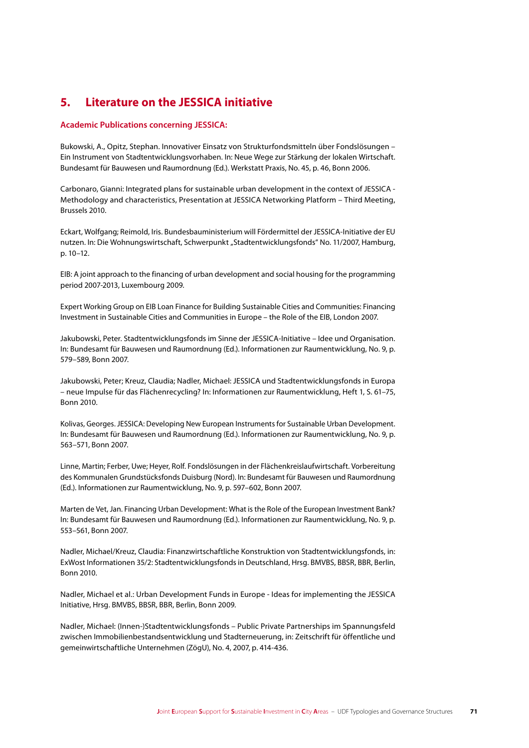#### Literature on the JESSICA initiative 5.

## **Academic Publications concerning JESSICA:**

Bukowski, A., Opitz, Stephan. Innovativer Einsatz von Strukturfondsmitteln über Fondslösungen -Ein Instrument von Stadtentwicklungsvorhaben. In: Neue Wege zur Stärkung der lokalen Wirtschaft. Bundesamt für Bauwesen und Raumordnung (Ed.). Werkstatt Praxis, No. 45, p. 46, Bonn 2006.

Carbonaro, Gianni: Integrated plans for sustainable urban development in the context of JESSICA -Methodology and characteristics, Presentation at JESSICA Networking Platform - Third Meeting, Brussels 2010.

Eckart, Wolfgang; Reimold, Iris. Bundesbauministerium will Fördermittel der JESSICA-Initiative der EU nutzen. In: Die Wohnungswirtschaft, Schwerpunkt "Stadtentwicklungsfonds" No. 11/2007, Hamburg, p. 10-12.

EIB: A joint approach to the financing of urban development and social housing for the programming period 2007-2013, Luxembourg 2009.

Expert Working Group on EIB Loan Finance for Building Sustainable Cities and Communities: Financing Investment in Sustainable Cities and Communities in Europe - the Role of the EIB, London 2007.

Jakubowski, Peter. Stadtentwicklungsfonds im Sinne der JESSICA-Initiative - Idee und Organisation. In: Bundesamt für Bauwesen und Raumordnung (Ed.). Informationen zur Raumentwicklung, No. 9, p. 579-589, Bonn 2007.

Jakubowski, Peter; Kreuz, Claudia; Nadler, Michael: JESSICA und Stadtentwicklungsfonds in Europa - neue Impulse für das Flächenrecycling? In: Informationen zur Raumentwicklung, Heft 1, S. 61-75, **Bonn 2010** 

Kolivas, Georges, JESSICA: Developing New European Instruments for Sustainable Urban Development. In: Bundesamt für Bauwesen und Raumordnung (Ed.), Informationen zur Raumentwicklung. No. 9, p. 563-571, Bonn 2007.

Linne, Martin; Ferber, Uwe; Heyer, Rolf. Fondslösungen in der Flächenkreislaufwirtschaft. Vorbereitung des Kommunalen Grundstücksfonds Duisburg (Nord). In: Bundesamt für Bauwesen und Raumordnung (Ed.). Informationen zur Raumentwicklung, No. 9, p. 597-602, Bonn 2007.

Marten de Vet. Jan. Financing Urban Development: What is the Role of the European Investment Bank? In: Bundesamt für Bauwesen und Raumordnung (Ed.). Informationen zur Raumentwicklung, No. 9, p. 553-561, Bonn 2007.

Nadler, Michael/Kreuz, Claudia: Finanzwirtschaftliche Konstruktion von Stadtentwicklungsfonds, in: ExWost Informationen 35/2: Stadtentwicklungsfonds in Deutschland, Hrsg. BMVBS, BBSR, BBR, Berlin, **Bonn 2010** 

Nadler, Michael et al.: Urban Development Funds in Europe - Ideas for implementing the JESSICA Initiative, Hrsg. BMVBS, BBSR, BBR, Berlin, Bonn 2009.

Nadler, Michael: (Innen-)Stadtentwicklungsfonds - Public Private Partnerships im Spannungsfeld zwischen Immobilienbestandsentwicklung und Stadterneuerung, in: Zeitschrift für öffentliche und gemeinwirtschaftliche Unternehmen (ZögU), No. 4, 2007, p. 414-436.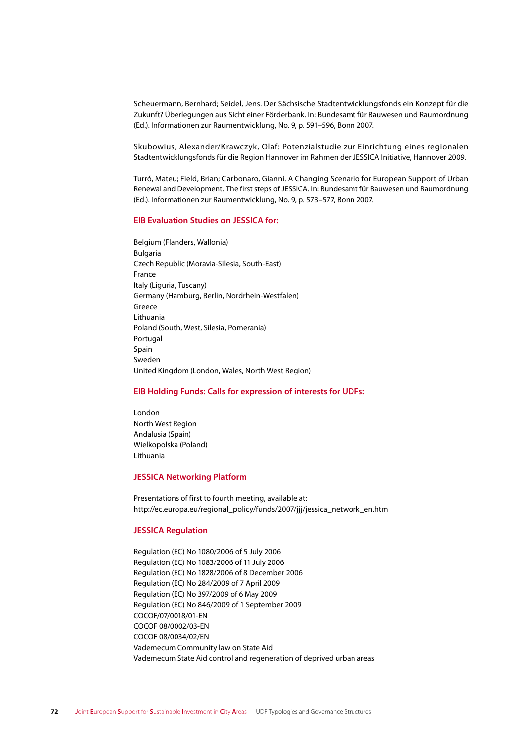Scheuermann, Bernhard; Seidel, Jens. Der Sächsische Stadtentwicklungsfonds ein Konzept für die Zukunft? Überlegungen aus Sicht einer Förderbank. In: Bundesamt für Bauwesen und Raumordnung (Ed.). Informationen zur Raumentwicklung, No. 9, p. 591-596, Bonn 2007.

Skubowius, Alexander/Krawczyk, Olaf: Potenzialstudie zur Einrichtung eines regionalen Stadtentwicklungsfonds für die Region Hannover im Rahmen der JESSICA Initiative, Hannover 2009.

Turró, Mateu; Field, Brian; Carbonaro, Gianni. A Changing Scenario for European Support of Urban Renewal and Development. The first steps of JESSICA. In: Bundesamt für Bauwesen und Raumordnung (Ed.). Informationen zur Raumentwicklung, No. 9, p. 573-577, Bonn 2007.

# **EIB Evaluation Studies on JESSICA for:**

Belgium (Flanders, Wallonia) **Bulgaria** Czech Republic (Moravia-Silesia, South-East) France Italy (Liguria, Tuscany) Germany (Hamburg, Berlin, Nordrhein-Westfalen) Greece Lithuania Poland (South, West, Silesia, Pomerania) Portugal Spain Sweden United Kingdom (London, Wales, North West Region)

# **EIB Holding Funds: Calls for expression of interests for UDFs:**

London North West Region Andalusia (Spain) Wielkopolska (Poland) Lithuania

### **JESSICA Networking Platform**

Presentations of first to fourth meeting, available at: http://ec.europa.eu/regional\_policy/funds/2007/jjj/jessica\_network\_en.htm

### **JESSICA Regulation**

Regulation (EC) No 1080/2006 of 5 July 2006 Regulation (EC) No 1083/2006 of 11 July 2006 Regulation (EC) No 1828/2006 of 8 December 2006 Regulation (EC) No 284/2009 of 7 April 2009 Regulation (EC) No 397/2009 of 6 May 2009 Regulation (EC) No 846/2009 of 1 September 2009 COCOF/07/0018/01-EN COCOF 08/0002/03-EN COCOF 08/0034/02/EN Vademecum Community law on State Aid Vademecum State Aid control and regeneration of deprived urban areas